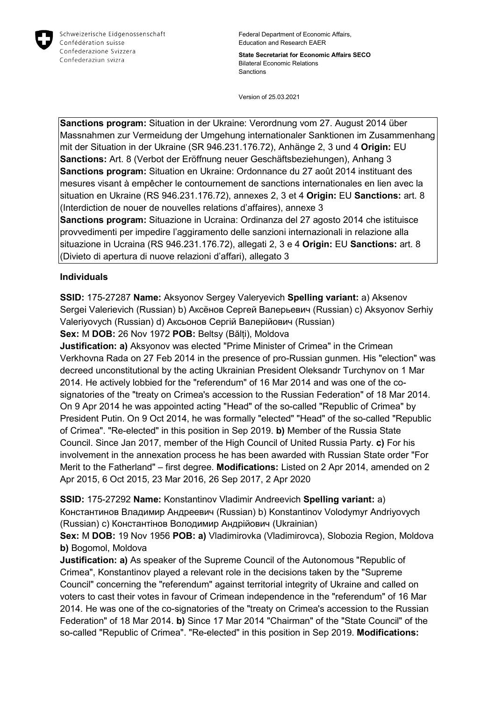

Schweizerische Eidgenossenschaft Confédération suisse Confederazione Svizzera Confederaziun svizra

Federal Department of Economic Affairs, Education and Research EAER

**State Secretariat for Economic Affairs SECO** Bilateral Economic Relations Sanctions

Version of 25.03.2021

**Sanctions program:** Situation in der Ukraine: Verordnung vom 27. August 2014 über Massnahmen zur Vermeidung der Umgehung internationaler Sanktionen im Zusammenhang mit der Situation in der Ukraine (SR 946.231.176.72), Anhänge 2, 3 und 4 **Origin:** EU **Sanctions:** Art. 8 (Verbot der Eröffnung neuer Geschäftsbeziehungen), Anhang 3 **Sanctions program:** Situation en Ukraine: Ordonnance du 27 août 2014 instituant des mesures visant à empêcher le contournement de sanctions internationales en lien avec la situation en Ukraine (RS 946.231.176.72), annexes 2, 3 et 4 **Origin:** EU **Sanctions:** art. 8 (Interdiction de nouer de nouvelles relations d'affaires), annexe 3 **Sanctions program:** Situazione in Ucraina: Ordinanza del 27 agosto 2014 che istituisce provvedimenti per impedire l'aggiramento delle sanzioni internazionali in relazione alla situazione in Ucraina (RS 946.231.176.72), allegati 2, 3 e 4 **Origin:** EU **Sanctions:** art. 8 (Divieto di apertura di nuove relazioni d'affari), allegato 3

#### **Individuals**

**SSID:** 175-27287 **Name:** Aksyonov Sergey Valeryevich **Spelling variant:** a) Aksenov Sergei Valerievich (Russian) b) Аксёнов Сергей Валерьевич (Russian) c) Aksyonov Serhiy Valeriyovych (Russian) d) Аксьонов Сергій Валерійович (Russian)

**Sex:** M **DOB:** 26 Nov 1972 **POB:** Beltsy (Bălți), Moldova

**Justification: a)** Aksyonov was elected "Prime Minister of Crimea" in the Crimean Verkhovna Rada on 27 Feb 2014 in the presence of pro-Russian gunmen. His "election" was decreed unconstitutional by the acting Ukrainian President Oleksandr Turchynov on 1 Mar 2014. He actively lobbied for the "referendum" of 16 Mar 2014 and was one of the cosignatories of the "treaty on Crimea's accession to the Russian Federation" of 18 Mar 2014. On 9 Apr 2014 he was appointed acting "Head" of the so-called "Republic of Crimea" by President Putin. On 9 Oct 2014, he was formally "elected" "Head" of the so-called "Republic of Crimea". "Re-elected" in this position in Sep 2019. **b)** Member of the Russia State Council. Since Jan 2017, member of the High Council of United Russia Party. **c)** For his involvement in the annexation process he has been awarded with Russian State order "For Merit to the Fatherland" – first degree. **Modifications:** Listed on 2 Apr 2014, amended on 2 Apr 2015, 6 Oct 2015, 23 Mar 2016, 26 Sep 2017, 2 Apr 2020

**SSID:** 175-27292 **Name:** Konstantinov Vladimir Andreevich **Spelling variant:** a) Константинов Владимир Андреевич (Russian) b) Konstantinov Volodymyr Andriyovych (Russian) c) Константiнов Володимир Андрійович (Ukrainian)

**Sex:** M **DOB:** 19 Nov 1956 **POB: a)** Vladimirovka (Vladimirovca), Slobozia Region, Moldova **b)** Bogomol, Moldova

**Justification: a)** As speaker of the Supreme Council of the Autonomous "Republic of Crimea", Konstantinov played a relevant role in the decisions taken by the "Supreme Council" concerning the "referendum" against territorial integrity of Ukraine and called on voters to cast their votes in favour of Crimean independence in the "referendum" of 16 Mar 2014. He was one of the co-signatories of the "treaty on Crimea's accession to the Russian Federation" of 18 Mar 2014. **b)** Since 17 Mar 2014 "Chairman" of the "State Council" of the so-called "Republic of Crimea". "Re-elected" in this position in Sep 2019. **Modifications:**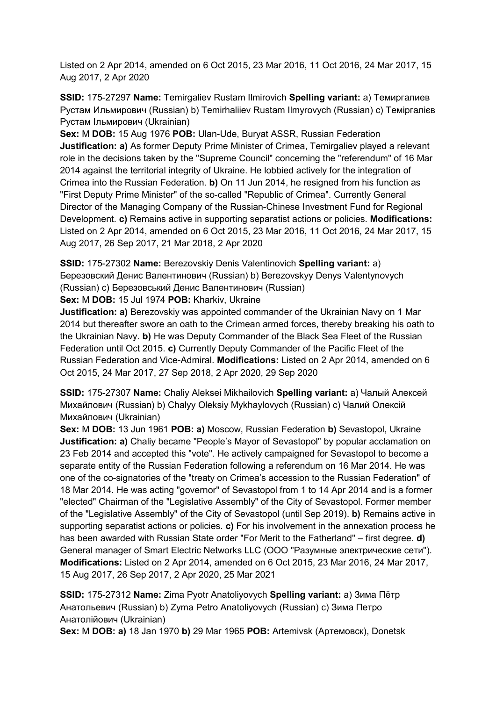Listed on 2 Apr 2014, amended on 6 Oct 2015, 23 Mar 2016, 11 Oct 2016, 24 Mar 2017, 15 Aug 2017, 2 Apr 2020

**SSID:** 175-27297 **Name:** Temirgaliev Rustam Ilmirovich **Spelling variant:** a) Темиргалиев Рустам Ильмирович (Russian) b) Temirhaliiev Rustam Ilmyrovych (Russian) c) Темiргалiєв Рустам Iльмирович (Ukrainian)

**Sex:** M **DOB:** 15 Aug 1976 **POB:** Ulan-Ude, Buryat ASSR, Russian Federation **Justification: a)** As former Deputy Prime Minister of Crimea, Temirgaliev played a relevant role in the decisions taken by the "Supreme Council" concerning the "referendum" of 16 Mar 2014 against the territorial integrity of Ukraine. He lobbied actively for the integration of Crimea into the Russian Federation. **b)** On 11 Jun 2014, he resigned from his function as "First Deputy Prime Minister" of the so-called "Republic of Crimea". Currently General Director of the Managing Company of the Russian-Chinese Investment Fund for Regional Development. **c)** Remains active in supporting separatist actions or policies. **Modifications:**  Listed on 2 Apr 2014, amended on 6 Oct 2015, 23 Mar 2016, 11 Oct 2016, 24 Mar 2017, 15 Aug 2017, 26 Sep 2017, 21 Mar 2018, 2 Apr 2020

**SSID:** 175-27302 **Name:** Berezovskiy Denis Valentinovich **Spelling variant:** a) Березовский Денис Валентинович (Russian) b) Berezovskyy Denys Valentynovych (Russian) c) Березовський Денис Валентинович (Russian)

**Sex:** M **DOB:** 15 Jul 1974 **POB:** Kharkiv, Ukraine

**Justification: a)** Berezovskiy was appointed commander of the Ukrainian Navy on 1 Mar 2014 but thereafter swore an oath to the Crimean armed forces, thereby breaking his oath to the Ukrainian Navy. **b)** He was Deputy Commander of the Black Sea Fleet of the Russian Federation until Oct 2015. **c)** Currently Deputy Commander of the Pacific Fleet of the Russian Federation and Vice-Admiral. **Modifications:** Listed on 2 Apr 2014, amended on 6 Oct 2015, 24 Mar 2017, 27 Sep 2018, 2 Apr 2020, 29 Sep 2020

**SSID:** 175-27307 **Name:** Chaliy Aleksei Mikhailovich **Spelling variant:** a) Чалый Алексей Михайлович (Russian) b) Chalyy Oleksiy Mykhaylovych (Russian) c) Чалий Олексій Михайлович (Ukrainian)

**Sex:** M **DOB:** 13 Jun 1961 **POB: a)** Moscow, Russian Federation **b)** Sevastopol, Ukraine **Justification: a)** Chaliy became "People's Mayor of Sevastopol" by popular acclamation on 23 Feb 2014 and accepted this "vote". He actively campaigned for Sevastopol to become a separate entity of the Russian Federation following a referendum on 16 Mar 2014. He was one of the co-signatories of the "treaty on Crimea's accession to the Russian Federation" of 18 Mar 2014. He was acting "governor" of Sevastopol from 1 to 14 Apr 2014 and is a former "elected" Chairman of the "Legislative Assembly" of the City of Sevastopol. Former member of the "Legislative Assembly" of the City of Sevastopol (until Sep 2019). **b)** Remains active in supporting separatist actions or policies. **c)** For his involvement in the annexation process he has been awarded with Russian State order "For Merit to the Fatherland" – first degree. **d)**  General manager of Smart Electric Networks LLC (OOO "Разумные электрические сети"). **Modifications:** Listed on 2 Apr 2014, amended on 6 Oct 2015, 23 Mar 2016, 24 Mar 2017, 15 Aug 2017, 26 Sep 2017, 2 Apr 2020, 25 Mar 2021

**SSID:** 175-27312 **Name:** Zima Pyotr Anatoliyovych **Spelling variant:** a) Зима Пётр Анатольевич (Russian) b) Zyma Petro Anatoliyovych (Russian) c) Зима Петро Анатолійович (Ukrainian)

**Sex:** M **DOB: a)** 18 Jan 1970 **b)** 29 Mar 1965 **POB:** Artemivsk (Артемовск), Donetsk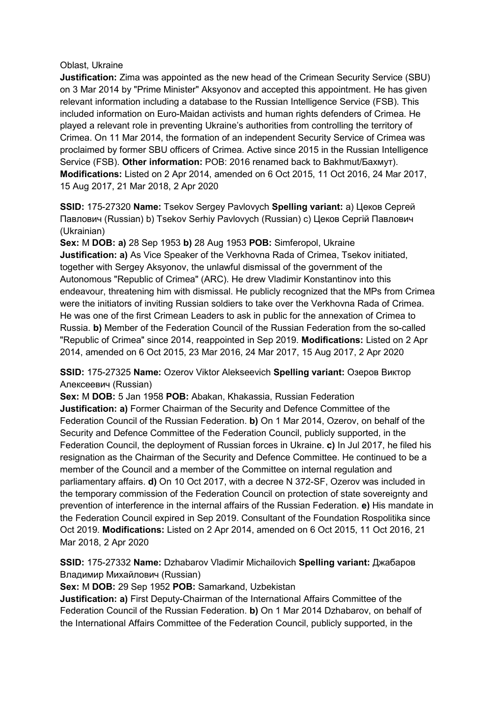#### Oblast, Ukraine

**Justification:** Zima was appointed as the new head of the Crimean Security Service (SBU) on 3 Mar 2014 by "Prime Minister" Aksyonov and accepted this appointment. He has given relevant information including a database to the Russian Intelligence Service (FSB). This included information on Euro-Maidan activists and human rights defenders of Crimea. He played a relevant role in preventing Ukraine's authorities from controlling the territory of Crimea. On 11 Mar 2014, the formation of an independent Security Service of Crimea was proclaimed by former SBU officers of Crimea. Active since 2015 in the Russian Intelligence Service (FSB). **Other information:** POB: 2016 renamed back to Bakhmut/Бахмут). **Modifications:** Listed on 2 Apr 2014, amended on 6 Oct 2015, 11 Oct 2016, 24 Mar 2017, 15 Aug 2017, 21 Mar 2018, 2 Apr 2020

**SSID:** 175-27320 **Name:** Tsekov Sergey Pavlovych **Spelling variant:** a) Цеков Сергей Павлович (Russian) b) Tsekov Serhiy Pavlovych (Russian) c) Цеков Сергій Павлович (Ukrainian)

**Sex:** M **DOB: a)** 28 Sep 1953 **b)** 28 Aug 1953 **POB:** Simferopol, Ukraine **Justification: a)** As Vice Speaker of the Verkhovna Rada of Crimea, Tsekov initiated, together with Sergey Aksyonov, the unlawful dismissal of the government of the Autonomous "Republic of Crimea" (ARC). He drew Vladimir Konstantinov into this endeavour, threatening him with dismissal. He publicly recognized that the MPs from Crimea were the initiators of inviting Russian soldiers to take over the Verkhovna Rada of Crimea. He was one of the first Crimean Leaders to ask in public for the annexation of Crimea to Russia. **b)** Member of the Federation Council of the Russian Federation from the so-called "Republic of Crimea" since 2014, reappointed in Sep 2019. **Modifications:** Listed on 2 Apr 2014, amended on 6 Oct 2015, 23 Mar 2016, 24 Mar 2017, 15 Aug 2017, 2 Apr 2020

**SSID:** 175-27325 **Name:** Ozerov Viktor Alekseevich **Spelling variant:** Озеров Виктор Алексеевич (Russian)

**Sex:** M **DOB:** 5 Jan 1958 **POB:** Abakan, Khakassia, Russian Federation **Justification: a)** Former Chairman of the Security and Defence Committee of the Federation Council of the Russian Federation. **b)** On 1 Mar 2014, Ozerov, on behalf of the Security and Defence Committee of the Federation Council, publicly supported, in the Federation Council, the deployment of Russian forces in Ukraine. **c)** In Jul 2017, he filed his resignation as the Chairman of the Security and Defence Committee. He continued to be a member of the Council and a member of the Committee on internal regulation and parliamentary affairs. **d)** On 10 Oct 2017, with a decree N 372-SF, Ozerov was included in the temporary commission of the Federation Council on protection of state sovereignty and prevention of interference in the internal affairs of the Russian Federation. **e)** His mandate in the Federation Council expired in Sep 2019. Consultant of the Foundation Rospolitika since Oct 2019. **Modifications:** Listed on 2 Apr 2014, amended on 6 Oct 2015, 11 Oct 2016, 21 Mar 2018, 2 Apr 2020

**SSID:** 175-27332 **Name:** Dzhabarov Vladimir Michailovich **Spelling variant:** Джабаров Владимир Михайлович (Russian)

**Sex:** M **DOB:** 29 Sep 1952 **POB:** Samarkand, Uzbekistan

**Justification: a)** First Deputy-Chairman of the International Affairs Committee of the Federation Council of the Russian Federation. **b)** On 1 Mar 2014 Dzhabarov, on behalf of the International Affairs Committee of the Federation Council, publicly supported, in the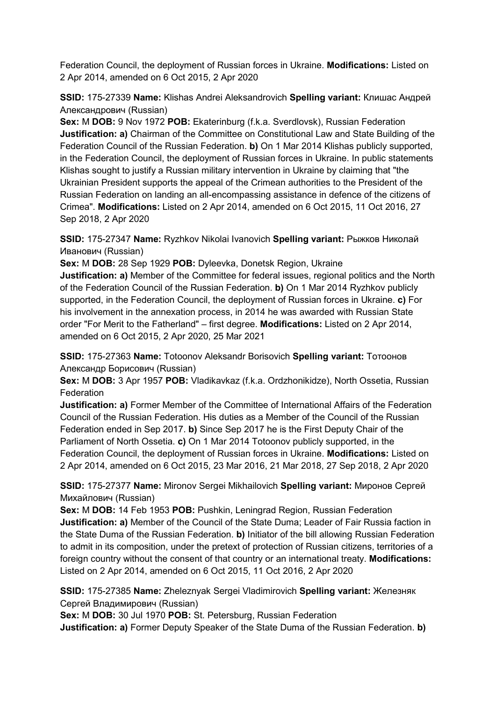Federation Council, the deployment of Russian forces in Ukraine. **Modifications:** Listed on 2 Apr 2014, amended on 6 Oct 2015, 2 Apr 2020

**SSID:** 175-27339 **Name:** Klishas Andrei Aleksandrovich **Spelling variant:** Клишас Андрей Александрович (Russian)

**Sex:** M **DOB:** 9 Nov 1972 **POB:** Ekaterinburg (f.k.a. Sverdlovsk), Russian Federation **Justification: a)** Chairman of the Committee on Constitutional Law and State Building of the Federation Council of the Russian Federation. **b)** On 1 Mar 2014 Klishas publicly supported, in the Federation Council, the deployment of Russian forces in Ukraine. In public statements Klishas sought to justify a Russian military intervention in Ukraine by claiming that "the Ukrainian President supports the appeal of the Crimean authorities to the President of the Russian Federation on landing an all-encompassing assistance in defence of the citizens of Crimea". **Modifications:** Listed on 2 Apr 2014, amended on 6 Oct 2015, 11 Oct 2016, 27 Sep 2018, 2 Apr 2020

**SSID:** 175-27347 **Name:** Ryzhkov Nikolai Ivanovich **Spelling variant:** Рыжков Николай Иванович (Russian)

**Sex:** M **DOB:** 28 Sep 1929 **POB:** Dyleevka, Donetsk Region, Ukraine

**Justification: a)** Member of the Committee for federal issues, regional politics and the North of the Federation Council of the Russian Federation. **b)** On 1 Mar 2014 Ryzhkov publicly supported, in the Federation Council, the deployment of Russian forces in Ukraine. **c)** For his involvement in the annexation process, in 2014 he was awarded with Russian State order "For Merit to the Fatherland" – first degree. **Modifications:** Listed on 2 Apr 2014, amended on 6 Oct 2015, 2 Apr 2020, 25 Mar 2021

**SSID:** 175-27363 **Name:** Totoonov Aleksandr Borisovich **Spelling variant:** Тотоонов Александр Борисович (Russian)

**Sex:** M **DOB:** 3 Apr 1957 **POB:** Vladikavkaz (f.k.a. Ordzhonikidze), North Ossetia, Russian Federation

**Justification: a)** Former Member of the Committee of International Affairs of the Federation Council of the Russian Federation. His duties as a Member of the Council of the Russian Federation ended in Sep 2017. **b)** Since Sep 2017 he is the First Deputy Chair of the Parliament of North Ossetia. **c)** On 1 Mar 2014 Totoonov publicly supported, in the Federation Council, the deployment of Russian forces in Ukraine. **Modifications:** Listed on 2 Apr 2014, amended on 6 Oct 2015, 23 Mar 2016, 21 Mar 2018, 27 Sep 2018, 2 Apr 2020

**SSID:** 175-27377 **Name:** Mironov Sergei Mikhailovich **Spelling variant:** Миронов Сергей Михайлович (Russian)

**Sex:** M **DOB:** 14 Feb 1953 **POB:** Pushkin, Leningrad Region, Russian Federation **Justification: a)** Member of the Council of the State Duma; Leader of Fair Russia faction in the State Duma of the Russian Federation. **b)** Initiator of the bill allowing Russian Federation to admit in its composition, under the pretext of protection of Russian citizens, territories of a foreign country without the consent of that country or an international treaty. **Modifications:**  Listed on 2 Apr 2014, amended on 6 Oct 2015, 11 Oct 2016, 2 Apr 2020

**SSID:** 175-27385 **Name:** Zheleznyak Sergei Vladimirovich **Spelling variant:** Железняк Сергей Владимирович (Russian)

**Sex:** M **DOB:** 30 Jul 1970 **POB:** St. Petersburg, Russian Federation **Justification: a)** Former Deputy Speaker of the State Duma of the Russian Federation. **b**)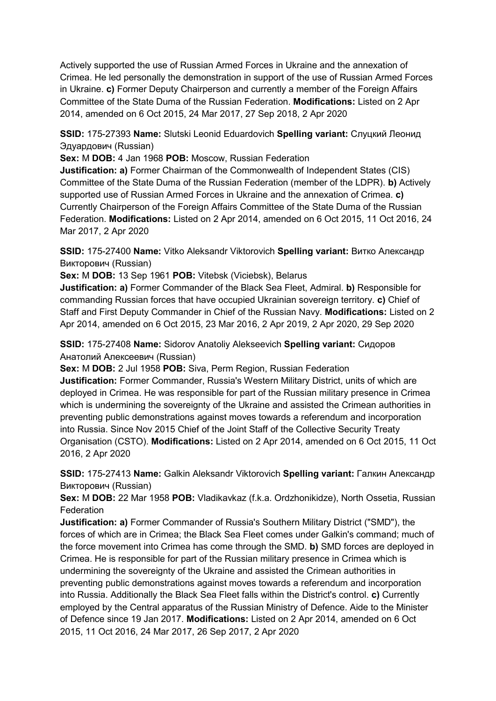Actively supported the use of Russian Armed Forces in Ukraine and the annexation of Crimea. He led personally the demonstration in support of the use of Russian Armed Forces in Ukraine. **c)** Former Deputy Chairperson and currently a member of the Foreign Affairs Committee of the State Duma of the Russian Federation. **Modifications:** Listed on 2 Apr 2014, amended on 6 Oct 2015, 24 Mar 2017, 27 Sep 2018, 2 Apr 2020

**SSID:** 175-27393 **Name:** Slutski Leonid Eduardovich **Spelling variant:** Слуцкий Леонид Эдуардович (Russian)

**Sex:** M **DOB:** 4 Jan 1968 **POB:** Moscow, Russian Federation

**Justification: a)** Former Chairman of the Commonwealth of Independent States (CIS) Committee of the State Duma of the Russian Federation (member of the LDPR). **b)** Actively supported use of Russian Armed Forces in Ukraine and the annexation of Crimea. **c)**  Currently Chairperson of the Foreign Affairs Committee of the State Duma of the Russian Federation. **Modifications:** Listed on 2 Apr 2014, amended on 6 Oct 2015, 11 Oct 2016, 24 Mar 2017, 2 Apr 2020

**SSID:** 175-27400 **Name:** Vitko Aleksandr Viktorovich **Spelling variant:** Витко Александр Викторович (Russian)

**Sex:** M **DOB:** 13 Sep 1961 **POB:** Vitebsk (Viciebsk), Belarus

**Justification: a)** Former Commander of the Black Sea Fleet, Admiral. **b)** Responsible for commanding Russian forces that have occupied Ukrainian sovereign territory. **c)** Chief of Staff and First Deputy Commander in Chief of the Russian Navy. **Modifications:** Listed on 2 Apr 2014, amended on 6 Oct 2015, 23 Mar 2016, 2 Apr 2019, 2 Apr 2020, 29 Sep 2020

**SSID:** 175-27408 **Name:** Sidorov Anatoliy Alekseevich **Spelling variant:** Сидоров Анатолий Алексеевич (Russian)

**Sex:** M **DOB:** 2 Jul 1958 **POB:** Siva, Perm Region, Russian Federation

**Justification:** Former Commander, Russia's Western Military District, units of which are deployed in Crimea. He was responsible for part of the Russian military presence in Crimea which is undermining the sovereignty of the Ukraine and assisted the Crimean authorities in preventing public demonstrations against moves towards a referendum and incorporation into Russia. Since Nov 2015 Chief of the Joint Staff of the Collective Security Treaty Organisation (CSTO). **Modifications:** Listed on 2 Apr 2014, amended on 6 Oct 2015, 11 Oct 2016, 2 Apr 2020

**SSID:** 175-27413 **Name:** Galkin Aleksandr Viktorovich **Spelling variant:** Галкин Александр Викторович (Russian)

**Sex:** M **DOB:** 22 Mar 1958 **POB:** Vladikavkaz (f.k.a. Ordzhonikidze), North Ossetia, Russian Federation

**Justification: a)** Former Commander of Russia's Southern Military District ("SMD"), the forces of which are in Crimea; the Black Sea Fleet comes under Galkin's command; much of the force movement into Crimea has come through the SMD. **b)** SMD forces are deployed in Crimea. He is responsible for part of the Russian military presence in Crimea which is undermining the sovereignty of the Ukraine and assisted the Crimean authorities in preventing public demonstrations against moves towards a referendum and incorporation into Russia. Additionally the Black Sea Fleet falls within the District's control. **c)** Currently employed by the Central apparatus of the Russian Ministry of Defence. Aide to the Minister of Defence since 19 Jan 2017. **Modifications:** Listed on 2 Apr 2014, amended on 6 Oct 2015, 11 Oct 2016, 24 Mar 2017, 26 Sep 2017, 2 Apr 2020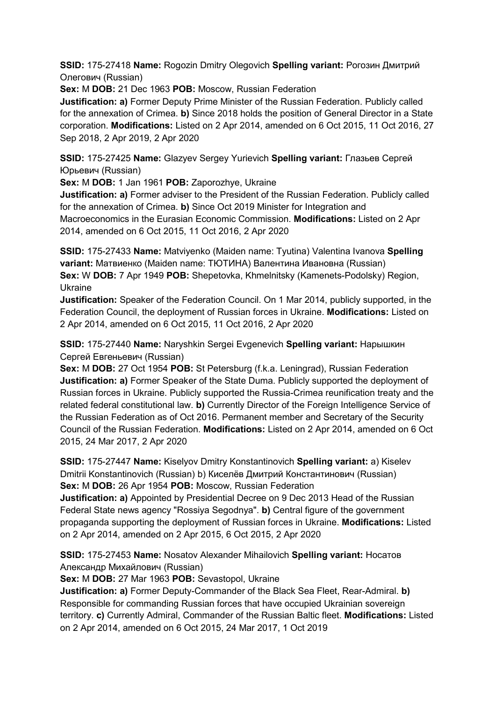**SSID:** 175-27418 **Name:** Rogozin Dmitry Olegovich **Spelling variant:** Рогозин Дмитрий Олегович (Russian)

**Sex:** M **DOB:** 21 Dec 1963 **POB:** Moscow, Russian Federation

**Justification: a)** Former Deputy Prime Minister of the Russian Federation. Publicly called for the annexation of Crimea. **b)** Since 2018 holds the position of General Director in a State corporation. **Modifications:** Listed on 2 Apr 2014, amended on 6 Oct 2015, 11 Oct 2016, 27 Sep 2018, 2 Apr 2019, 2 Apr 2020

**SSID:** 175-27425 **Name:** Glazyev Sergey Yurievich **Spelling variant:** Глазьев Сергей Юрьевич (Russian)

**Sex:** M **DOB:** 1 Jan 1961 **POB:** Zaporozhye, Ukraine

**Justification: a)** Former adviser to the President of the Russian Federation. Publicly called for the annexation of Crimea. **b)** Since Oct 2019 Minister for Integration and Macroeconomics in the Eurasian Economic Commission. **Modifications:** Listed on 2 Apr 2014, amended on 6 Oct 2015, 11 Oct 2016, 2 Apr 2020

**SSID:** 175-27433 **Name:** Matviyenko (Maiden name: Tyutina) Valentina Ivanova **Spelling variant:** Матвиенко (Maiden name: ТЮТИНА) Валентина Ивановна (Russian) **Sex:** W **DOB:** 7 Apr 1949 **POB:** Shepetovka, Khmelnitsky (Kamenets-Podolsky) Region, Ukraine

**Justification:** Speaker of the Federation Council. On 1 Mar 2014, publicly supported, in the Federation Council, the deployment of Russian forces in Ukraine. **Modifications:** Listed on 2 Apr 2014, amended on 6 Oct 2015, 11 Oct 2016, 2 Apr 2020

**SSID:** 175-27440 **Name:** Naryshkin Sergei Evgenevich **Spelling variant:** Нарышкин Сергей Евгеньевич (Russian)

**Sex:** M **DOB:** 27 Oct 1954 **POB:** St Petersburg (f.k.a. Leningrad), Russian Federation **Justification: a)** Former Speaker of the State Duma. Publicly supported the deployment of Russian forces in Ukraine. Publicly supported the Russia-Crimea reunification treaty and the related federal constitutional law. **b)** Currently Director of the Foreign Intelligence Service of the Russian Federation as of Oct 2016. Permanent member and Secretary of the Security Council of the Russian Federation. **Modifications:** Listed on 2 Apr 2014, amended on 6 Oct 2015, 24 Mar 2017, 2 Apr 2020

**SSID:** 175-27447 **Name:** Kiselyov Dmitry Konstantinovich **Spelling variant:** a) Kiselev Dmitrii Konstantinovich (Russian) b) Киселёв Дмитрий Константинович (Russian) **Sex:** M **DOB:** 26 Apr 1954 **POB:** Moscow, Russian Federation

**Justification: a)** Appointed by Presidential Decree on 9 Dec 2013 Head of the Russian Federal State news agency "Rossiya Segodnya". **b)** Central figure of the government propaganda supporting the deployment of Russian forces in Ukraine. **Modifications:** Listed on 2 Apr 2014, amended on 2 Apr 2015, 6 Oct 2015, 2 Apr 2020

**SSID:** 175-27453 **Name:** Nosatov Alexander Mihailovich **Spelling variant:** Носатов Александр Михайлович (Russian)

**Sex:** M **DOB:** 27 Mar 1963 **POB:** Sevastopol, Ukraine

**Justification: a)** Former Deputy-Commander of the Black Sea Fleet, Rear-Admiral. **b)**  Responsible for commanding Russian forces that have occupied Ukrainian sovereign territory. **c)** Currently Admiral, Commander of the Russian Baltic fleet. **Modifications:** Listed on 2 Apr 2014, amended on 6 Oct 2015, 24 Mar 2017, 1 Oct 2019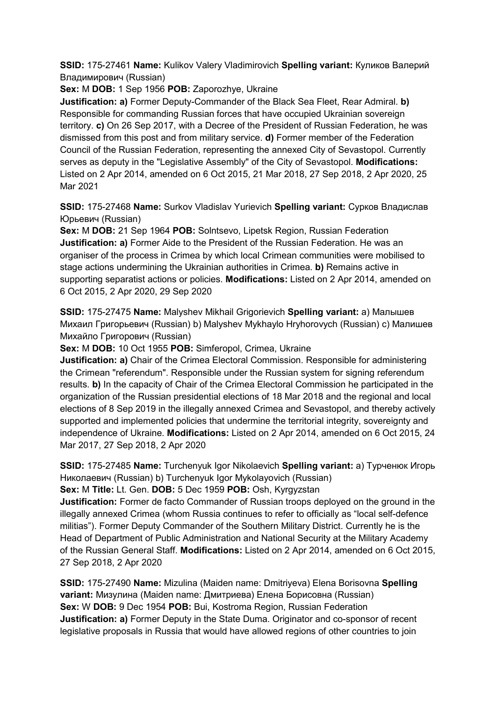**SSID:** 175-27461 **Name:** Kulikov Valery Vladimirovich **Spelling variant:** Куликов Валерий Владимирович (Russian)

**Sex:** M **DOB:** 1 Sep 1956 **POB:** Zaporozhye, Ukraine

**Justification: a)** Former Deputy-Commander of the Black Sea Fleet, Rear Admiral. **b)**  Responsible for commanding Russian forces that have occupied Ukrainian sovereign territory. **c)** On 26 Sep 2017, with a Decree of the President of Russian Federation, he was dismissed from this post and from military service. **d)** Former member of the Federation Council of the Russian Federation, representing the annexed City of Sevastopol. Currently serves as deputy in the "Legislative Assembly" of the City of Sevastopol. **Modifications:**  Listed on 2 Apr 2014, amended on 6 Oct 2015, 21 Mar 2018, 27 Sep 2018, 2 Apr 2020, 25 Mar 2021

**SSID:** 175-27468 **Name:** Surkov Vladislav Yurievich **Spelling variant:** Сурков Владислав Юрьевич (Russian)

**Sex:** M **DOB:** 21 Sep 1964 **POB:** Solntsevo, Lipetsk Region, Russian Federation **Justification: a)** Former Aide to the President of the Russian Federation. He was an organiser of the process in Crimea by which local Crimean communities were mobilised to stage actions undermining the Ukrainian authorities in Crimea. **b)** Remains active in supporting separatist actions or policies. **Modifications:** Listed on 2 Apr 2014, amended on 6 Oct 2015, 2 Apr 2020, 29 Sep 2020

**SSID:** 175-27475 **Name:** Malyshev Mikhail Grigorievich **Spelling variant:** a) Малышев Михаил Григорьевич (Russian) b) Malyshev Mykhaylo Hryhorovych (Russian) c) Малишев Михайло Григорович (Russian)

**Sex:** M **DOB:** 10 Oct 1955 **POB:** Simferopol, Crimea, Ukraine

**Justification: a)** Chair of the Crimea Electoral Commission. Responsible for administering the Crimean "referendum". Responsible under the Russian system for signing referendum results. **b)** In the capacity of Chair of the Crimea Electoral Commission he participated in the organization of the Russian presidential elections of 18 Mar 2018 and the regional and local elections of 8 Sep 2019 in the illegally annexed Crimea and Sevastopol, and thereby actively supported and implemented policies that undermine the territorial integrity, sovereignty and independence of Ukraine. **Modifications:** Listed on 2 Apr 2014, amended on 6 Oct 2015, 24 Mar 2017, 27 Sep 2018, 2 Apr 2020

**SSID:** 175-27485 **Name:** Turchenyuk Igor Nikolaevich **Spelling variant:** a) Турченюк Игорь Николаевич (Russian) b) Turchenyuk Igor Mykolayovich (Russian)

**Sex:** M **Title:** Lt. Gen. **DOB:** 5 Dec 1959 **POB:** Osh, Kyrgyzstan

**Justification:** Former de facto Commander of Russian troops deployed on the ground in the illegally annexed Crimea (whom Russia continues to refer to officially as "local self-defence militias"). Former Deputy Commander of the Southern Military District. Currently he is the Head of Department of Public Administration and National Security at the Military Academy of the Russian General Staff. **Modifications:** Listed on 2 Apr 2014, amended on 6 Oct 2015, 27 Sep 2018, 2 Apr 2020

**SSID:** 175-27490 **Name:** Mizulina (Maiden name: Dmitriyeva) Elena Borisovna **Spelling variant:** Мизулина (Maiden name: Дмитриева) Елена Борисовна (Russian) **Sex:** W **DOB:** 9 Dec 1954 **POB:** Bui, Kostroma Region, Russian Federation **Justification: a)** Former Deputy in the State Duma. Originator and co-sponsor of recent legislative proposals in Russia that would have allowed regions of other countries to join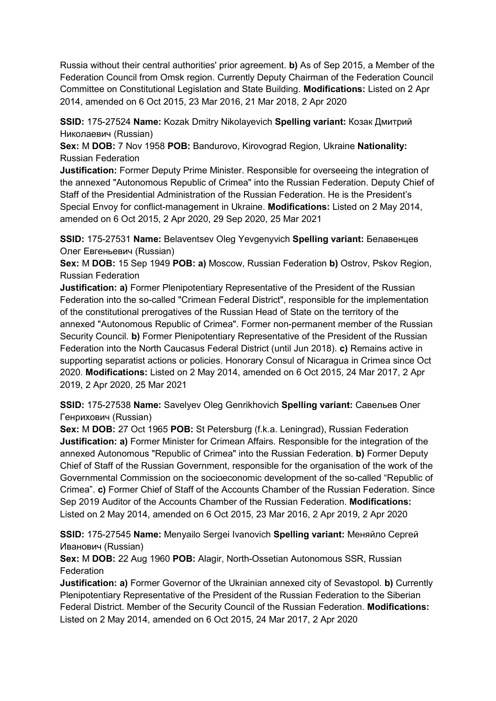Russia without their central authorities' prior agreement. **b)** As of Sep 2015, a Member of the Federation Council from Omsk region. Currently Deputy Chairman of the Federation Council Committee on Constitutional Legislation and State Building. **Modifications:** Listed on 2 Apr 2014, amended on 6 Oct 2015, 23 Mar 2016, 21 Mar 2018, 2 Apr 2020

**SSID:** 175-27524 **Name:** Kozak Dmitry Nikolayevich **Spelling variant:** Козак Дмитрий Николаевич (Russian)

**Sex:** M **DOB:** 7 Nov 1958 **POB:** Bandurovo, Kirovograd Region, Ukraine **Nationality:** Russian Federation

**Justification:** Former Deputy Prime Minister. Responsible for overseeing the integration of the annexed "Autonomous Republic of Crimea" into the Russian Federation. Deputy Chief of Staff of the Presidential Administration of the Russian Federation. He is the President's Special Envoy for conflict-management in Ukraine. **Modifications:** Listed on 2 May 2014, amended on 6 Oct 2015, 2 Apr 2020, 29 Sep 2020, 25 Mar 2021

**SSID:** 175-27531 **Name:** Belaventsev Oleg Yevgenyvich **Spelling variant:** Белавенцев Олег Евгеньевич (Russian)

**Sex:** M **DOB:** 15 Sep 1949 **POB: a)** Moscow, Russian Federation **b)** Ostrov, Pskov Region, Russian Federation

**Justification: a)** Former Plenipotentiary Representative of the President of the Russian Federation into the so-called "Crimean Federal District", responsible for the implementation of the constitutional prerogatives of the Russian Head of State on the territory of the annexed "Autonomous Republic of Crimea". Former non-permanent member of the Russian Security Council. **b)** Former Plenipotentiary Representative of the President of the Russian Federation into the North Caucasus Federal District (until Jun 2018). **c)** Remains active in supporting separatist actions or policies. Honorary Consul of Nicaragua in Crimea since Oct 2020. **Modifications:** Listed on 2 May 2014, amended on 6 Oct 2015, 24 Mar 2017, 2 Apr 2019, 2 Apr 2020, 25 Mar 2021

**SSID:** 175-27538 **Name:** Savelyev Oleg Genrikhovich **Spelling variant:** Савельев Олег Генрихович (Russian)

**Sex:** M **DOB:** 27 Oct 1965 **POB:** St Petersburg (f.k.a. Leningrad), Russian Federation **Justification: a)** Former Minister for Crimean Affairs. Responsible for the integration of the annexed Autonomous "Republic of Crimea" into the Russian Federation. **b)** Former Deputy Chief of Staff of the Russian Government, responsible for the organisation of the work of the Governmental Commission on the socioeconomic development of the so-called "Republic of Crimea". **c)** Former Chief of Staff of the Accounts Chamber of the Russian Federation. Since Sep 2019 Auditor of the Accounts Chamber of the Russian Federation. **Modifications:**  Listed on 2 May 2014, amended on 6 Oct 2015, 23 Mar 2016, 2 Apr 2019, 2 Apr 2020

**SSID:** 175-27545 **Name:** Menyailo Sergei Ivanovich **Spelling variant:** Меняйло Сергей Иванович (Russian)

**Sex:** M **DOB:** 22 Aug 1960 **POB:** Alagir, North-Ossetian Autonomous SSR, Russian Federation

**Justification: a)** Former Governor of the Ukrainian annexed city of Sevastopol. **b)** Currently Plenipotentiary Representative of the President of the Russian Federation to the Siberian Federal District. Member of the Security Council of the Russian Federation. **Modifications:**  Listed on 2 May 2014, amended on 6 Oct 2015, 24 Mar 2017, 2 Apr 2020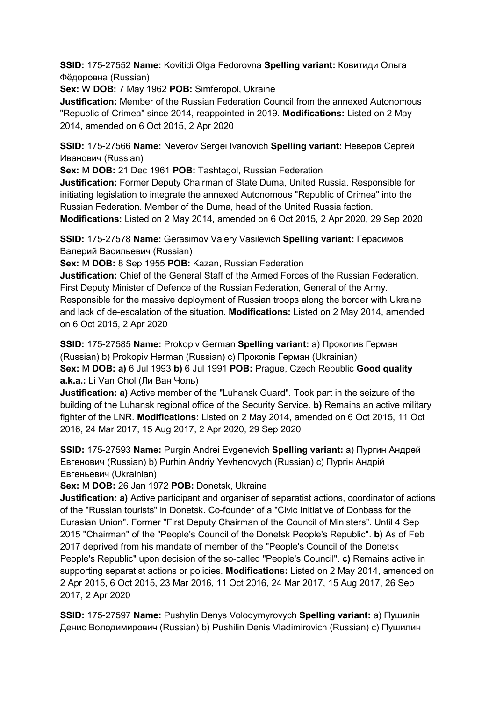**SSID:** 175-27552 **Name:** Kovitidi Olga Fedorovna **Spelling variant:** Ковитиди Ольга Фёдоровна (Russian)

**Sex:** W **DOB:** 7 May 1962 **POB:** Simferopol, Ukraine

**Justification:** Member of the Russian Federation Council from the annexed Autonomous "Republic of Crimea" since 2014, reappointed in 2019. **Modifications:** Listed on 2 May 2014, amended on 6 Oct 2015, 2 Apr 2020

**SSID:** 175-27566 **Name:** Neverov Sergei Ivanovich **Spelling variant:** Неверов Сергей Иванович (Russian)

**Sex:** M **DOB:** 21 Dec 1961 **POB:** Tashtagol, Russian Federation

**Justification:** Former Deputy Chairman of State Duma, United Russia. Responsible for initiating legislation to integrate the annexed Autonomous "Republic of Crimea" into the Russian Federation. Member of the Duma, head of the United Russia faction.

**Modifications:** Listed on 2 May 2014, amended on 6 Oct 2015, 2 Apr 2020, 29 Sep 2020

**SSID:** 175-27578 **Name:** Gerasimov Valery Vasilevich **Spelling variant:** Герасимов Валерий Васильевич (Russian)

**Sex:** M **DOB:** 8 Sep 1955 **POB:** Kazan, Russian Federation

**Justification:** Chief of the General Staff of the Armed Forces of the Russian Federation, First Deputy Minister of Defence of the Russian Federation, General of the Army. Responsible for the massive deployment of Russian troops along the border with Ukraine and lack of de-escalation of the situation. **Modifications:** Listed on 2 May 2014, amended on 6 Oct 2015, 2 Apr 2020

**SSID:** 175-27585 **Name:** Prokopiv German **Spelling variant:** a) Прокопив Герман (Russian) b) Prokopiv Herman (Russian) c) Прокопiв Герман (Ukrainian) **Sex:** M **DOB: a)** 6 Jul 1993 **b)** 6 Jul 1991 **POB:** Prague, Czech Republic **Good quality a.k.a.:** Li Van Chol (Ли Ван Чоль)

**Justification: a)** Active member of the "Luhansk Guard". Took part in the seizure of the building of the Luhansk regional office of the Security Service. **b)** Remains an active military fighter of the LNR. **Modifications:** Listed on 2 May 2014, amended on 6 Oct 2015, 11 Oct 2016, 24 Mar 2017, 15 Aug 2017, 2 Apr 2020, 29 Sep 2020

**SSID:** 175-27593 **Name:** Purgin Andrei Evgenevich **Spelling variant:** a) Пургин Андрей Eвгенович (Russian) b) Purhin Andriy Yevhenovych (Russian) c) Пургін Андрій Евгеньевич (Ukrainian)

**Sex:** M **DOB:** 26 Jan 1972 **POB:** Donetsk, Ukraine

**Justification: a)** Active participant and organiser of separatist actions, coordinator of actions of the "Russian tourists" in Donetsk. Co-founder of a "Civic Initiative of Donbass for the Eurasian Union". Former "First Deputy Chairman of the Council of Ministers". Until 4 Sep 2015 "Chairman" of the "People's Council of the Donetsk People's Republic". **b)** As of Feb 2017 deprived from his mandate of member of the "People's Council of the Donetsk People's Republic" upon decision of the so-called "People's Council". **c)** Remains active in supporting separatist actions or policies. **Modifications:** Listed on 2 May 2014, amended on 2 Apr 2015, 6 Oct 2015, 23 Mar 2016, 11 Oct 2016, 24 Mar 2017, 15 Aug 2017, 26 Sep 2017, 2 Apr 2020

**SSID:** 175-27597 **Name:** Pushylin Denys Volodymyrovych **Spelling variant:** a) Пушилін Денис Володимирович (Russian) b) Pushilin Denis Vladimirovich (Russian) c) Пушилин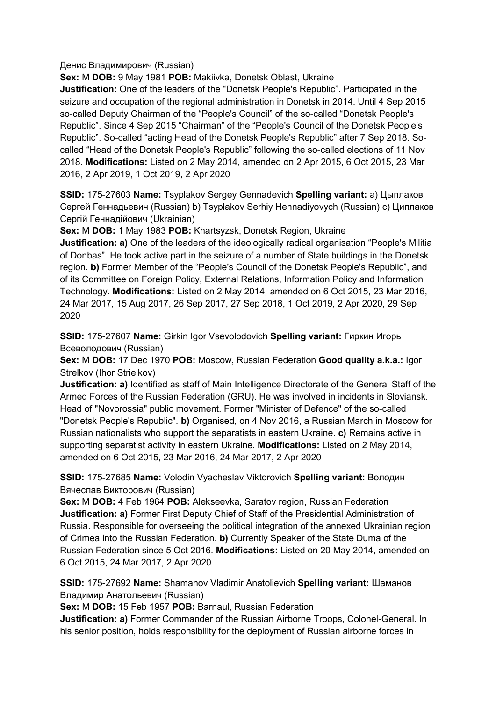### Денис Владимирович (Russian)

**Sex:** M **DOB:** 9 May 1981 **POB:** Makiivka, Donetsk Oblast, Ukraine

**Justification:** One of the leaders of the "Donetsk People's Republic". Participated in the seizure and occupation of the regional administration in Donetsk in 2014. Until 4 Sep 2015 so-called Deputy Chairman of the "People's Council" of the so-called "Donetsk People's Republic". Since 4 Sep 2015 "Chairman" of the "People's Council of the Donetsk People's Republic". So-called "acting Head of the Donetsk People's Republic" after 7 Sep 2018. Socalled "Head of the Donetsk People's Republic" following the so-called elections of 11 Nov 2018. **Modifications:** Listed on 2 May 2014, amended on 2 Apr 2015, 6 Oct 2015, 23 Mar 2016, 2 Apr 2019, 1 Oct 2019, 2 Apr 2020

**SSID:** 175-27603 **Name:** Tsyplakov Sergey Gennadevich **Spelling variant:** a) Цыплаков Сергей Геннадьевич (Russian) b) Tsyplakov Serhiy Hennadiyovych (Russian) c) Циплаков Сергій Геннадійович (Ukrainian)

**Sex:** M **DOB:** 1 May 1983 **POB:** Khartsyzsk, Donetsk Region, Ukraine

**Justification: a)** One of the leaders of the ideologically radical organisation "People's Militia of Donbas". He took active part in the seizure of a number of State buildings in the Donetsk region. **b)** Former Member of the "People's Council of the Donetsk People's Republic", and of its Committee on Foreign Policy, External Relations, Information Policy and Information Technology. **Modifications:** Listed on 2 May 2014, amended on 6 Oct 2015, 23 Mar 2016, 24 Mar 2017, 15 Aug 2017, 26 Sep 2017, 27 Sep 2018, 1 Oct 2019, 2 Apr 2020, 29 Sep 2020

**SSID:** 175-27607 **Name:** Girkin Igor Vsevolodovich **Spelling variant:** Гиркин Игорь Всеволодович (Russian)

**Sex:** M **DOB:** 17 Dec 1970 **POB:** Moscow, Russian Federation **Good quality a.k.a.:** Igor Strelkov (Ihor Strielkov)

**Justification: a)** Identified as staff of Main Intelligence Directorate of the General Staff of the Armed Forces of the Russian Federation (GRU). He was involved in incidents in Sloviansk. Head of "Novorossia" public movement. Former "Minister of Defence" of the so-called "Donetsk People's Republic". **b)** Organised, on 4 Nov 2016, a Russian March in Moscow for Russian nationalists who support the separatists in eastern Ukraine. **c)** Remains active in supporting separatist activity in eastern Ukraine. **Modifications:** Listed on 2 May 2014, amended on 6 Oct 2015, 23 Mar 2016, 24 Mar 2017, 2 Apr 2020

**SSID:** 175-27685 **Name:** Volodin Vyacheslav Viktorovich **Spelling variant:** Володин Вячеслав Викторович (Russian)

**Sex:** M **DOB:** 4 Feb 1964 **POB:** Alekseevka, Saratov region, Russian Federation **Justification: a)** Former First Deputy Chief of Staff of the Presidential Administration of Russia. Responsible for overseeing the political integration of the annexed Ukrainian region of Crimea into the Russian Federation. **b)** Currently Speaker of the State Duma of the Russian Federation since 5 Oct 2016. **Modifications:** Listed on 20 May 2014, amended on 6 Oct 2015, 24 Mar 2017, 2 Apr 2020

**SSID:** 175-27692 **Name:** Shamanov Vladimir Anatolievich **Spelling variant:** Шаманов Владимир Анатольевич (Russian)

**Sex:** M **DOB:** 15 Feb 1957 **POB:** Barnaul, Russian Federation

**Justification: a)** Former Commander of the Russian Airborne Troops, Colonel-General. In his senior position, holds responsibility for the deployment of Russian airborne forces in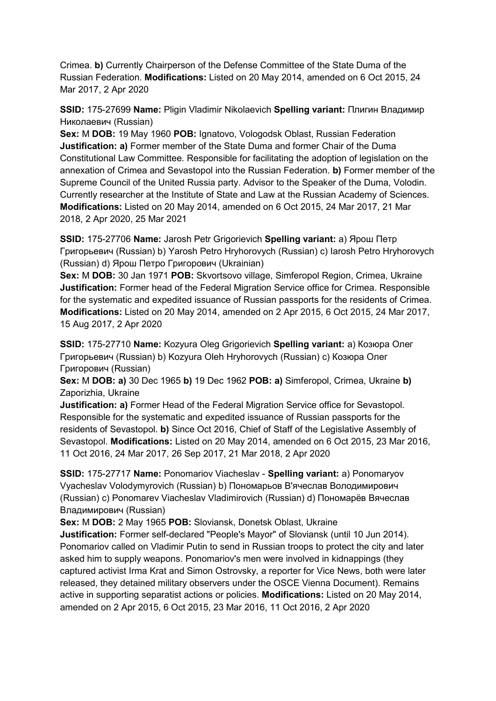Crimea. **b)** Currently Chairperson of the Defense Committee of the State Duma of the Russian Federation. **Modifications:** Listed on 20 May 2014, amended on 6 Oct 2015, 24 Mar 2017, 2 Apr 2020

**SSID:** 175-27699 **Name:** Pligin Vladimir Nikolaevich **Spelling variant:** Плигин Владимир Николаевич (Russian)

**Sex:** M **DOB:** 19 May 1960 **POB:** Ignatovo, Vologodsk Oblast, Russian Federation **Justification: a)** Former member of the State Duma and former Chair of the Duma Constitutional Law Committee. Responsible for facilitating the adoption of legislation on the annexation of Crimea and Sevastopol into the Russian Federation. **b)** Former member of the Supreme Council of the United Russia party. Advisor to the Speaker of the Duma, Volodin. Currently researcher at the Institute of State and Law at the Russian Academy of Sciences. **Modifications:** Listed on 20 May 2014, amended on 6 Oct 2015, 24 Mar 2017, 21 Mar 2018, 2 Apr 2020, 25 Mar 2021

**SSID:** 175-27706 **Name:** Jarosh Petr Grigorievich **Spelling variant:** a) Ярош Петр Григорьевич (Russian) b) Yarosh Petro Hryhorovych (Russian) c) Iarosh Petro Hryhorovych (Russian) d) Ярош Петро Григорович (Ukrainian)

**Sex:** M **DOB:** 30 Jan 1971 **POB:** Skvortsovo village, Simferopol Region, Crimea, Ukraine **Justification:** Former head of the Federal Migration Service office for Crimea. Responsible for the systematic and expedited issuance of Russian passports for the residents of Crimea. **Modifications:** Listed on 20 May 2014, amended on 2 Apr 2015, 6 Oct 2015, 24 Mar 2017, 15 Aug 2017, 2 Apr 2020

**SSID:** 175-27710 **Name:** Kozyura Oleg Grigorievich **Spelling variant:** a) Козюра Олег Григорьевич (Russian) b) Kozyura Oleh Hryhorovych (Russian) c) Козюра Олег Григорович (Russian)

**Sex:** M **DOB: a)** 30 Dec 1965 **b)** 19 Dec 1962 **POB: a)** Simferopol, Crimea, Ukraine **b)**  Zaporizhia, Ukraine

**Justification: a)** Former Head of the Federal Migration Service office for Sevastopol. Responsible for the systematic and expedited issuance of Russian passports for the residents of Sevastopol. **b)** Since Oct 2016, Chief of Staff of the Legislative Assembly of Sevastopol. **Modifications:** Listed on 20 May 2014, amended on 6 Oct 2015, 23 Mar 2016, 11 Oct 2016, 24 Mar 2017, 26 Sep 2017, 21 Mar 2018, 2 Apr 2020

**SSID:** 175-27717 **Name:** Ponomariov Viacheslav - **Spelling variant:** a) Ponomaryov Vyacheslav Volodymyrovich (Russian) b) Пономарьов В'ячеслав Володимирович (Russian) c) Ponomarev Viacheslav Vladimirovich (Russian) d) Пономарёв Вячеслав Владимирович (Russian)

**Sex:** M **DOB:** 2 May 1965 **POB:** Sloviansk, Donetsk Oblast, Ukraine

**Justification:** Former self-declared "People's Mayor" of Sloviansk (until 10 Jun 2014). Ponomariov called on Vladimir Putin to send in Russian troops to protect the city and later asked him to supply weapons. Ponomariov's men were involved in kidnappings (they captured activist Irma Krat and Simon Ostrovsky, a reporter for Vice News, both were later released, they detained military observers under the OSCE Vienna Document). Remains active in supporting separatist actions or policies. **Modifications:** Listed on 20 May 2014, amended on 2 Apr 2015, 6 Oct 2015, 23 Mar 2016, 11 Oct 2016, 2 Apr 2020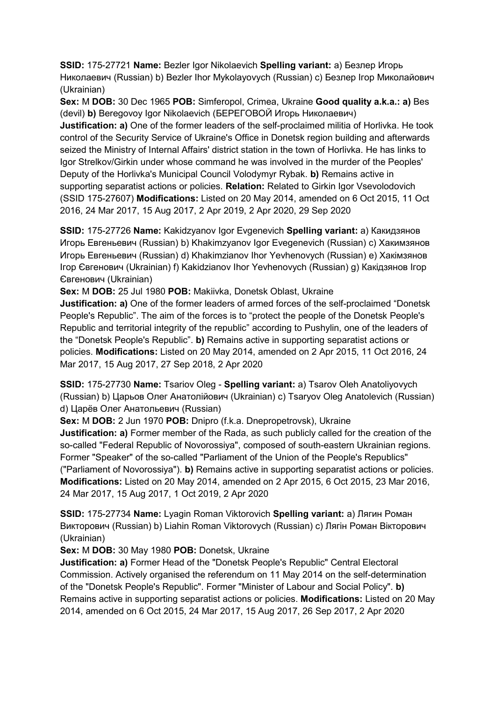**SSID:** 175-27721 **Name:** Bezler Igor Nikolaevich **Spelling variant:** a) Безлер Игорь Николаевич (Russian) b) Bezler Ihor Mykolayovych (Russian) c) Безлер Iгор Миколайович (Ukrainian)

**Sex:** M **DOB:** 30 Dec 1965 **POB:** Simferopol, Crimea, Ukraine **Good quality a.k.a.: a)** Bes (devil) **b)** Beregovoy Igor Nikolaevich (БЕРЕГОВОЙ Игорь Николаевич)

**Justification: a)** One of the former leaders of the self-proclaimed militia of Horlivka. He took control of the Security Service of Ukraine's Office in Donetsk region building and afterwards seized the Ministry of Internal Affairs' district station in the town of Horlivka. He has links to Igor Strelkov/Girkin under whose command he was involved in the murder of the Peoples' Deputy of the Horlivka's Municipal Council Volodymyr Rybak. **b)** Remains active in supporting separatist actions or policies. **Relation:** Related to Girkin Igor Vsevolodovich (SSID 175-27607) **Modifications:** Listed on 20 May 2014, amended on 6 Oct 2015, 11 Oct 2016, 24 Mar 2017, 15 Aug 2017, 2 Apr 2019, 2 Apr 2020, 29 Sep 2020

**SSID:** 175-27726 **Name:** Kakidzyanov Igor Evgenevich **Spelling variant:** a) Какидзянов Игорь Евгеньевич (Russian) b) Khakimzyanov Igor Evegenevich (Russian) c) Хакимзянов Игорь Евгеньевич (Russian) d) Khakimzianov Ihor Yevhenovych (Russian) e) Хакiмзянов Iгор Євгенович (Ukrainian) f) Kakidzianov Ihor Yevhenovych (Russian) g) Какiдзянов Iгор Євгенович (Ukrainian)

**Sex:** M **DOB:** 25 Jul 1980 **POB:** Makiivka, Donetsk Oblast, Ukraine

**Justification: a)** One of the former leaders of armed forces of the self-proclaimed "Donetsk People's Republic". The aim of the forces is to "protect the people of the Donetsk People's Republic and territorial integrity of the republic" according to Pushylin, one of the leaders of the "Donetsk People's Republic". **b)** Remains active in supporting separatist actions or policies. **Modifications:** Listed on 20 May 2014, amended on 2 Apr 2015, 11 Oct 2016, 24 Mar 2017, 15 Aug 2017, 27 Sep 2018, 2 Apr 2020

**SSID:** 175-27730 **Name:** Tsariov Oleg - **Spelling variant:** a) Tsarov Oleh Anatoliyovych (Russian) b) Царьов Олег Анатолiйович (Ukrainian) c) Tsaryov Oleg Anatolevich (Russian) d) Царёв Олег Анатольевич (Russian)

**Sex:** M **DOB:** 2 Jun 1970 **POB:** Dnipro (f.k.a. Dnepropetrovsk), Ukraine

**Justification: a)** Former member of the Rada, as such publicly called for the creation of the so-called "Federal Republic of Novorossiya", composed of south-eastern Ukrainian regions. Former "Speaker" of the so-called "Parliament of the Union of the People's Republics" ("Parliament of Novorossiya"). **b)** Remains active in supporting separatist actions or policies. **Modifications:** Listed on 20 May 2014, amended on 2 Apr 2015, 6 Oct 2015, 23 Mar 2016, 24 Mar 2017, 15 Aug 2017, 1 Oct 2019, 2 Apr 2020

**SSID:** 175-27734 **Name:** Lyagin Roman Viktorovich **Spelling variant:** a) Лягин Роман Викторович (Russian) b) Liahin Roman Viktorovych (Russian) c) Лягiн Роман Вікторович (Ukrainian)

**Sex:** M **DOB:** 30 May 1980 **POB:** Donetsk, Ukraine

**Justification: a)** Former Head of the "Donetsk People's Republic" Central Electoral Commission. Actively organised the referendum on 11 May 2014 on the self-determination of the "Donetsk People's Republic". Former "Minister of Labour and Social Policy". **b)**  Remains active in supporting separatist actions or policies. **Modifications:** Listed on 20 May 2014, amended on 6 Oct 2015, 24 Mar 2017, 15 Aug 2017, 26 Sep 2017, 2 Apr 2020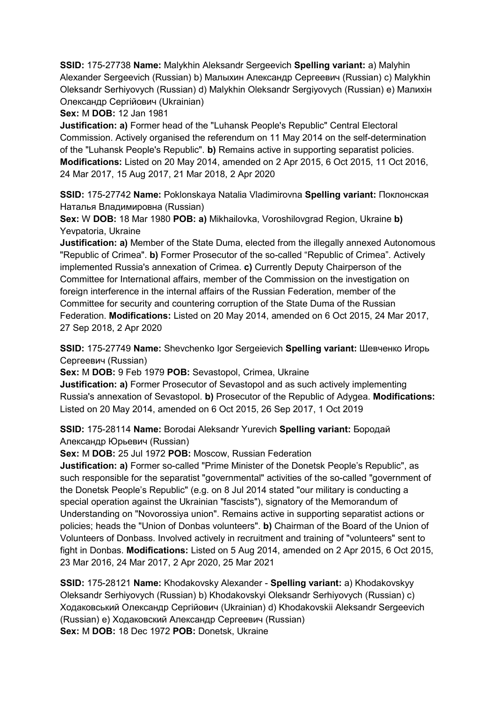**SSID:** 175-27738 **Name:** Malykhin Aleksandr Sergeevich **Spelling variant:** a) Malyhin Alexander Sergeevich (Russian) b) Малыхин Александр Сергеевич (Russian) c) Malykhin Oleksandr Serhiyovych (Russian) d) Malykhin Oleksandr Sergiyovych (Russian) e) Малихін Олександр Сергійович (Ukrainian)

**Sex:** M **DOB:** 12 Jan 1981

**Justification: a)** Former head of the "Luhansk People's Republic" Central Electoral Commission. Actively organised the referendum on 11 May 2014 on the self-determination of the "Luhansk People's Republic". **b)** Remains active in supporting separatist policies. **Modifications:** Listed on 20 May 2014, amended on 2 Apr 2015, 6 Oct 2015, 11 Oct 2016, 24 Mar 2017, 15 Aug 2017, 21 Mar 2018, 2 Apr 2020

**SSID:** 175-27742 **Name:** Poklonskaya Natalia Vladimirovna **Spelling variant:** Поклонская Наталья Владимировна (Russian)

**Sex:** W **DOB:** 18 Mar 1980 **POB: a)** Mikhailovka, Voroshilovgrad Region, Ukraine **b)**  Yevpatoria, Ukraine

**Justification: a)** Member of the State Duma, elected from the illegally annexed Autonomous "Republic of Crimea". **b)** Former Prosecutor of the so-called "Republic of Crimea". Actively implemented Russia's annexation of Crimea. **c)** Currently Deputy Chairperson of the Committee for International affairs, member of the Commission on the investigation on foreign interference in the internal affairs of the Russian Federation, member of the Committee for security and countering corruption of the State Duma of the Russian Federation. **Modifications:** Listed on 20 May 2014, amended on 6 Oct 2015, 24 Mar 2017, 27 Sep 2018, 2 Apr 2020

**SSID:** 175-27749 **Name:** Shevchenko Igor Sergeievich **Spelling variant:** Шевченко Игорь Сергеевич (Russian)

**Sex:** M **DOB:** 9 Feb 1979 **POB:** Sevastopol, Crimea, Ukraine

**Justification: a)** Former Prosecutor of Sevastopol and as such actively implementing Russia's annexation of Sevastopol. **b)** Prosecutor of the Republic of Adygea. **Modifications:**  Listed on 20 May 2014, amended on 6 Oct 2015, 26 Sep 2017, 1 Oct 2019

**SSID:** 175-28114 **Name:** Borodai Aleksandr Yurevich **Spelling variant:** Бородай Александр Юрьевич (Russian)

**Sex:** M **DOB:** 25 Jul 1972 **POB:** Moscow, Russian Federation

**Justification: a)** Former so-called "Prime Minister of the Donetsk People's Republic", as such responsible for the separatist "governmental" activities of the so-called "government of the Donetsk People's Republic" (e.g. on 8 Jul 2014 stated "our military is conducting a special operation against the Ukrainian "fascists"), signatory of the Memorandum of Understanding on "Novorossiya union". Remains active in supporting separatist actions or policies; heads the "Union of Donbas volunteers". **b)** Chairman of the Board of the Union of Volunteers of Donbass. Involved actively in recruitment and training of "volunteers" sent to fight in Donbas. **Modifications:** Listed on 5 Aug 2014, amended on 2 Apr 2015, 6 Oct 2015, 23 Mar 2016, 24 Mar 2017, 2 Apr 2020, 25 Mar 2021

**SSID:** 175-28121 **Name:** Khodakovsky Alexander - **Spelling variant:** a) Khodakovskyy Oleksandr Serhiyovych (Russian) b) Khodakovskyi Oleksandr Serhiyovych (Russian) c) Ходаковський Олександр Сергійович (Ukrainian) d) Khodakovskii Aleksandr Sergeevich (Russian) e) Ходаковский Александр Сергеевич (Russian) **Sex:** M **DOB:** 18 Dec 1972 **POB:** Donetsk, Ukraine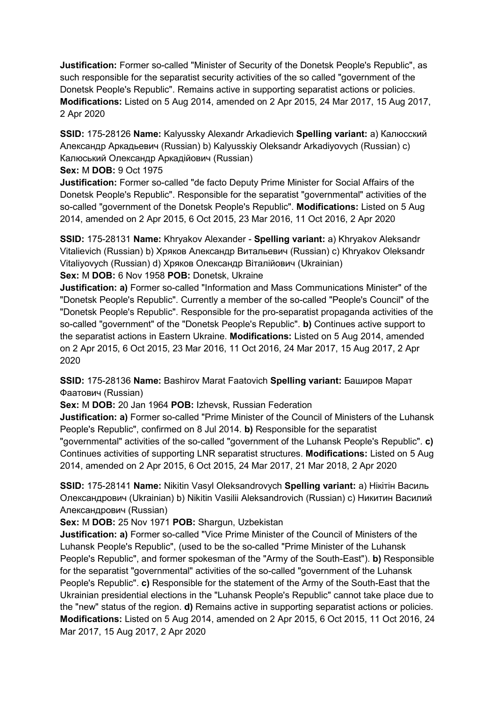**Justification:** Former so-called "Minister of Security of the Donetsk People's Republic", as such responsible for the separatist security activities of the so called "government of the Donetsk People's Republic". Remains active in supporting separatist actions or policies. **Modifications:** Listed on 5 Aug 2014, amended on 2 Apr 2015, 24 Mar 2017, 15 Aug 2017, 2 Apr 2020

**SSID:** 175-28126 **Name:** Kalyussky Alexandr Arkadievich **Spelling variant:** a) Калюсский Александр Аркадьевич (Russian) b) Kalyusskiy Oleksandr Arkadiyovych (Russian) c) Калюський Олександр Аркадійович (Russian)

**Sex:** M **DOB:** 9 Oct 1975

**Justification:** Former so-called "de facto Deputy Prime Minister for Social Affairs of the Donetsk People's Republic". Responsible for the separatist "governmental" activities of the so-called "government of the Donetsk People's Republic". **Modifications:** Listed on 5 Aug 2014, amended on 2 Apr 2015, 6 Oct 2015, 23 Mar 2016, 11 Oct 2016, 2 Apr 2020

**SSID:** 175-28131 **Name:** Khryakov Alexander - **Spelling variant:** a) Khryakov Aleksandr Vitalievich (Russian) b) Хряков Александр Витальевич (Russian) c) Khryakov Oleksandr Vitaliyovych (Russian) d) Хряков Олександр Віталійович (Ukrainian)

**Sex:** M **DOB:** 6 Nov 1958 **POB:** Donetsk, Ukraine

**Justification: a)** Former so-called "Information and Mass Communications Minister" of the "Donetsk People's Republic". Currently a member of the so-called "People's Council" of the "Donetsk People's Republic". Responsible for the pro-separatist propaganda activities of the so-called "government" of the "Donetsk People's Republic". **b)** Continues active support to the separatist actions in Eastern Ukraine. **Modifications:** Listed on 5 Aug 2014, amended on 2 Apr 2015, 6 Oct 2015, 23 Mar 2016, 11 Oct 2016, 24 Mar 2017, 15 Aug 2017, 2 Apr 2020

**SSID:** 175-28136 **Name:** Bashirov Marat Faatovich **Spelling variant:** Баширов Марат Фаатович (Russian)

**Sex:** M **DOB:** 20 Jan 1964 **POB:** Izhevsk, Russian Federation

**Justification: a)** Former so-called "Prime Minister of the Council of Ministers of the Luhansk People's Republic", confirmed on 8 Jul 2014. **b)** Responsible for the separatist "governmental" activities of the so-called "government of the Luhansk People's Republic". **c)**  Continues activities of supporting LNR separatist structures. **Modifications:** Listed on 5 Aug

2014, amended on 2 Apr 2015, 6 Oct 2015, 24 Mar 2017, 21 Mar 2018, 2 Apr 2020

**SSID:** 175-28141 **Name:** Nikitin Vasyl Oleksandrovych **Spelling variant:** a) Нікітін Василь Олександрович (Ukrainian) b) Nikitin Vasilii Aleksandrovich (Russian) c) Никитин Василий Александрович (Russian)

**Sex:** M **DOB:** 25 Nov 1971 **POB:** Shargun, Uzbekistan

**Justification: a)** Former so-called "Vice Prime Minister of the Council of Ministers of the Luhansk People's Republic", (used to be the so-called "Prime Minister of the Luhansk People's Republic", and former spokesman of the "Army of the South-East"). **b)** Responsible for the separatist "governmental" activities of the so-called "government of the Luhansk People's Republic". **c)** Responsible for the statement of the Army of the South-East that the Ukrainian presidential elections in the "Luhansk People's Republic" cannot take place due to the "new" status of the region. **d)** Remains active in supporting separatist actions or policies. **Modifications:** Listed on 5 Aug 2014, amended on 2 Apr 2015, 6 Oct 2015, 11 Oct 2016, 24 Mar 2017, 15 Aug 2017, 2 Apr 2020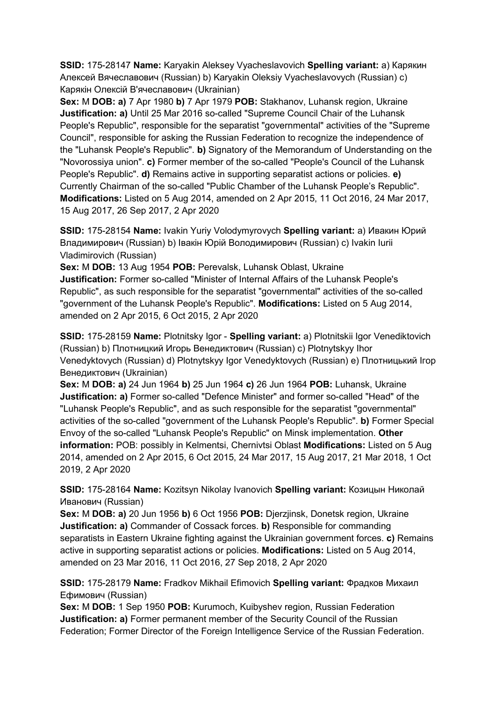**SSID:** 175-28147 **Name:** Karyakin Aleksey Vyacheslavovich **Spelling variant:** a) Карякин Алексей Вячеславович (Russian) b) Karyakin Oleksiy Vyacheslavovych (Russian) c) Карякiн Олексій В'ячеславович (Ukrainian)

**Sex:** M **DOB: a)** 7 Apr 1980 **b)** 7 Apr 1979 **POB:** Stakhanov, Luhansk region, Ukraine **Justification: a)** Until 25 Mar 2016 so-called "Supreme Council Chair of the Luhansk People's Republic", responsible for the separatist "governmental" activities of the "Supreme Council", responsible for asking the Russian Federation to recognize the independence of the "Luhansk People's Republic". **b)** Signatory of the Memorandum of Understanding on the "Novorossiya union". **c)** Former member of the so-called "People's Council of the Luhansk People's Republic". **d)** Remains active in supporting separatist actions or policies. **e)**  Currently Chairman of the so-called "Public Chamber of the Luhansk People's Republic". **Modifications:** Listed on 5 Aug 2014, amended on 2 Apr 2015, 11 Oct 2016, 24 Mar 2017, 15 Aug 2017, 26 Sep 2017, 2 Apr 2020

**SSID:** 175-28154 **Name:** Ivakin Yuriy Volodymyrovych **Spelling variant:** a) Ивакин Юрий Владимирович (Russian) b) Івакін Юрій Володимирович (Russian) c) Ivakin Iurii Vladimirovich (Russian)

**Sex:** M **DOB:** 13 Aug 1954 **POB:** Perevalsk, Luhansk Oblast, Ukraine

**Justification:** Former so-called "Minister of Internal Affairs of the Luhansk People's Republic", as such responsible for the separatist "governmental" activities of the so-called "government of the Luhansk People's Republic". **Modifications:** Listed on 5 Aug 2014, amended on 2 Apr 2015, 6 Oct 2015, 2 Apr 2020

**SSID:** 175-28159 **Name:** Plotnitsky Igor - **Spelling variant:** a) Plotnitskii Igor Venediktovich (Russian) b) Плотницкий Игорь Венедиктович (Russian) c) Plotnytskyy Ihor Venedyktovych (Russian) d) Plotnytskyy Igor Venedyktovych (Russian) e) Плотницький Iгор Венедиктович (Ukrainian)

**Sex:** M **DOB: a)** 24 Jun 1964 **b)** 25 Jun 1964 **c)** 26 Jun 1964 **POB:** Luhansk, Ukraine **Justification: a)** Former so-called "Defence Minister" and former so-called "Head" of the "Luhansk People's Republic", and as such responsible for the separatist "governmental" activities of the so-called "government of the Luhansk People's Republic". **b)** Former Special Envoy of the so-called "Luhansk People's Republic" on Minsk implementation. **Other information:** POB: possibly in Kelmentsi, Chernivtsi Oblast **Modifications:** Listed on 5 Aug 2014, amended on 2 Apr 2015, 6 Oct 2015, 24 Mar 2017, 15 Aug 2017, 21 Mar 2018, 1 Oct 2019, 2 Apr 2020

**SSID:** 175-28164 **Name:** Kozitsyn Nikolay Ivanovich **Spelling variant:** Козицын Николай Иванович (Russian)

**Sex:** M **DOB: a)** 20 Jun 1956 **b)** 6 Oct 1956 **POB:** Djerzjinsk, Donetsk region, Ukraine **Justification: a)** Commander of Cossack forces. **b)** Responsible for commanding separatists in Eastern Ukraine fighting against the Ukrainian government forces. **c)** Remains active in supporting separatist actions or policies. **Modifications:** Listed on 5 Aug 2014, amended on 23 Mar 2016, 11 Oct 2016, 27 Sep 2018, 2 Apr 2020

**SSID:** 175-28179 **Name:** Fradkov Mikhail Efimovich **Spelling variant:** Фрадков Михаил Ефимович (Russian)

**Sex:** M **DOB:** 1 Sep 1950 **POB:** Kurumoch, Kuibyshev region, Russian Federation **Justification: a)** Former permanent member of the Security Council of the Russian Federation; Former Director of the Foreign Intelligence Service of the Russian Federation.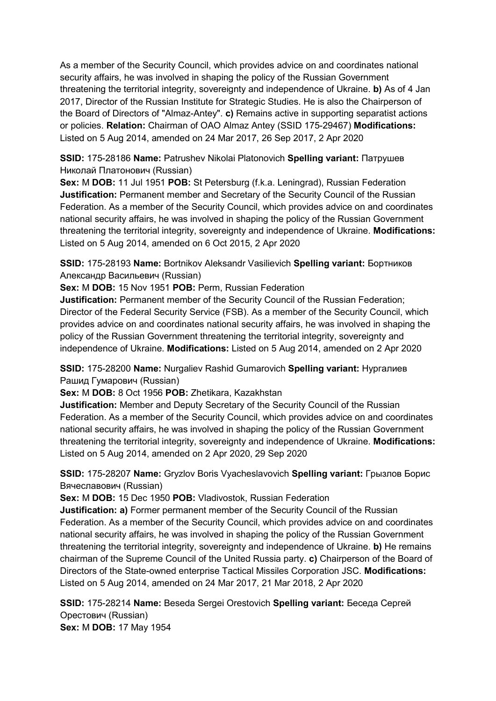As a member of the Security Council, which provides advice on and coordinates national security affairs, he was involved in shaping the policy of the Russian Government threatening the territorial integrity, sovereignty and independence of Ukraine. **b)** As of 4 Jan 2017, Director of the Russian Institute for Strategic Studies. He is also the Chairperson of the Board of Directors of "Almaz-Antey". **c)** Remains active in supporting separatist actions or policies. **Relation:** Chairman of OAO Almaz Antey (SSID 175-29467) **Modifications:**  Listed on 5 Aug 2014, amended on 24 Mar 2017, 26 Sep 2017, 2 Apr 2020

**SSID:** 175-28186 **Name:** Patrushev Nikolai Platonovich **Spelling variant:** Патрушев Николай Платонович (Russian)

**Sex:** M **DOB:** 11 Jul 1951 **POB:** St Petersburg (f.k.a. Leningrad), Russian Federation **Justification:** Permanent member and Secretary of the Security Council of the Russian Federation. As a member of the Security Council, which provides advice on and coordinates national security affairs, he was involved in shaping the policy of the Russian Government threatening the territorial integrity, sovereignty and independence of Ukraine. **Modifications:**  Listed on 5 Aug 2014, amended on 6 Oct 2015, 2 Apr 2020

**SSID:** 175-28193 **Name:** Bortnikov Aleksandr Vasilievich **Spelling variant:** Бортников Александр Васильевич (Russian)

**Sex:** M **DOB:** 15 Nov 1951 **POB:** Perm, Russian Federation

**Justification:** Permanent member of the Security Council of the Russian Federation; Director of the Federal Security Service (FSB). As a member of the Security Council, which provides advice on and coordinates national security affairs, he was involved in shaping the policy of the Russian Government threatening the territorial integrity, sovereignty and independence of Ukraine. **Modifications:** Listed on 5 Aug 2014, amended on 2 Apr 2020

**SSID:** 175-28200 **Name:** Nurgaliev Rashid Gumarovich **Spelling variant:** Нургалиев Рашид Гумарович (Russian)

**Sex:** M **DOB:** 8 Oct 1956 **POB:** Zhetikara, Kazakhstan

**Justification:** Member and Deputy Secretary of the Security Council of the Russian Federation. As a member of the Security Council, which provides advice on and coordinates national security affairs, he was involved in shaping the policy of the Russian Government threatening the territorial integrity, sovereignty and independence of Ukraine. **Modifications:**  Listed on 5 Aug 2014, amended on 2 Apr 2020, 29 Sep 2020

**SSID:** 175-28207 **Name:** Gryzlov Boris Vyacheslavovich **Spelling variant:** Грызлов Борис Вячеславович (Russian)

**Sex:** M **DOB:** 15 Dec 1950 **POB:** Vladivostok, Russian Federation

**Justification: a)** Former permanent member of the Security Council of the Russian Federation. As a member of the Security Council, which provides advice on and coordinates national security affairs, he was involved in shaping the policy of the Russian Government threatening the territorial integrity, sovereignty and independence of Ukraine. **b)** He remains chairman of the Supreme Council of the United Russia party. **c)** Chairperson of the Board of Directors of the State-owned enterprise Tactical Missiles Corporation JSC. **Modifications:**  Listed on 5 Aug 2014, amended on 24 Mar 2017, 21 Mar 2018, 2 Apr 2020

**SSID:** 175-28214 **Name:** Beseda Sergei Orestovich **Spelling variant:** Беседа Сергей Орестович (Russian) **Sex:** M **DOB:** 17 May 1954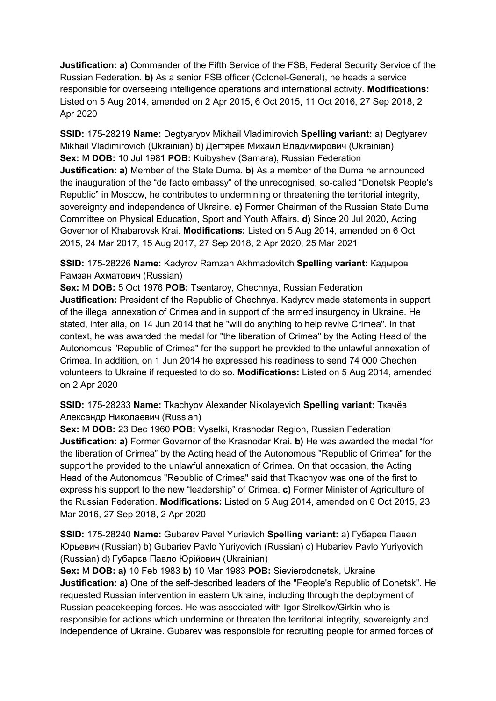**Justification: a)** Commander of the Fifth Service of the FSB, Federal Security Service of the Russian Federation. **b)** As a senior FSB officer (Colonel-General), he heads a service responsible for overseeing intelligence operations and international activity. **Modifications:**  Listed on 5 Aug 2014, amended on 2 Apr 2015, 6 Oct 2015, 11 Oct 2016, 27 Sep 2018, 2 Apr 2020

**SSID:** 175-28219 **Name:** Degtyaryov Mikhail Vladimirovich **Spelling variant:** a) Degtyarev Mikhail Vladimirovich (Ukrainian) b) Дегтярёв Михаил Владимирович (Ukrainian) **Sex:** M **DOB:** 10 Jul 1981 **POB:** Kuibyshev (Samara), Russian Federation **Justification: a)** Member of the State Duma. **b)** As a member of the Duma he announced the inauguration of the "de facto embassy" of the unrecognised, so-called "Donetsk People's Republic" in Moscow, he contributes to undermining or threatening the territorial integrity, sovereignty and independence of Ukraine. **c)** Former Chairman of the Russian State Duma Committee on Physical Education, Sport and Youth Affairs. **d)** Since 20 Jul 2020, Acting Governor of Khabarovsk Krai. **Modifications:** Listed on 5 Aug 2014, amended on 6 Oct 2015, 24 Mar 2017, 15 Aug 2017, 27 Sep 2018, 2 Apr 2020, 25 Mar 2021

**SSID:** 175-28226 **Name:** Kadyrov Ramzan Akhmadovitch **Spelling variant:** Кадыров Рамзан Ахматович (Russian)

**Sex:** M **DOB:** 5 Oct 1976 **POB:** Tsentaroy, Chechnya, Russian Federation **Justification:** President of the Republic of Chechnya. Kadyrov made statements in support of the illegal annexation of Crimea and in support of the armed insurgency in Ukraine. He stated, inter alia, on 14 Jun 2014 that he "will do anything to help revive Crimea". In that context, he was awarded the medal for "the liberation of Crimea" by the Acting Head of the Autonomous "Republic of Crimea" for the support he provided to the unlawful annexation of Crimea. In addition, on 1 Jun 2014 he expressed his readiness to send 74 000 Chechen volunteers to Ukraine if requested to do so. **Modifications:** Listed on 5 Aug 2014, amended on 2 Apr 2020

**SSID:** 175-28233 **Name:** Tkachyov Alexander Nikolayevich **Spelling variant:** Ткачёв Александр Николаевич (Russian)

**Sex:** M **DOB:** 23 Dec 1960 **POB:** Vyselki, Krasnodar Region, Russian Federation **Justification: a)** Former Governor of the Krasnodar Krai. **b)** He was awarded the medal "for the liberation of Crimea" by the Acting head of the Autonomous "Republic of Crimea" for the support he provided to the unlawful annexation of Crimea. On that occasion, the Acting Head of the Autonomous "Republic of Crimea" said that Tkachyov was one of the first to express his support to the new "leadership" of Crimea. **c)** Former Minister of Agriculture of the Russian Federation. **Modifications:** Listed on 5 Aug 2014, amended on 6 Oct 2015, 23 Mar 2016, 27 Sep 2018, 2 Apr 2020

**SSID:** 175-28240 **Name:** Gubarev Pavel Yurievich **Spelling variant:** a) Губарев Павел Юрьевич (Russian) b) Gubariev Pavlo Yuriyovich (Russian) c) Hubariev Pavlo Yuriyovich (Russian) d) Губарєв Павло Юрійович (Ukrainian)

**Sex:** M **DOB: a)** 10 Feb 1983 **b)** 10 Mar 1983 **POB:** Sievierodonetsk, Ukraine **Justification: a)** One of the self-described leaders of the "People's Republic of Donetsk". He requested Russian intervention in eastern Ukraine, including through the deployment of Russian peacekeeping forces. He was associated with Igor Strelkov/Girkin who is responsible for actions which undermine or threaten the territorial integrity, sovereignty and independence of Ukraine. Gubarev was responsible for recruiting people for armed forces of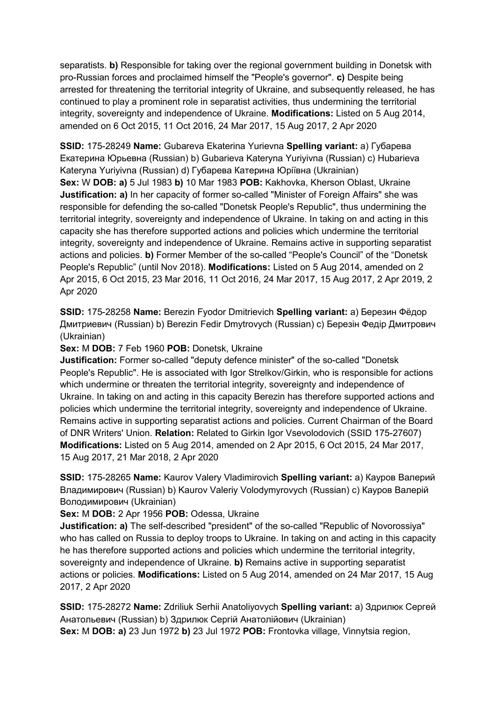separatists. **b)** Responsible for taking over the regional government building in Donetsk with pro-Russian forces and proclaimed himself the "People's governor". **c)** Despite being arrested for threatening the territorial integrity of Ukraine, and subsequently released, he has continued to play a prominent role in separatist activities, thus undermining the territorial integrity, sovereignty and independence of Ukraine. **Modifications:** Listed on 5 Aug 2014, amended on 6 Oct 2015, 11 Oct 2016, 24 Mar 2017, 15 Aug 2017, 2 Apr 2020

**SSID:** 175-28249 **Name:** Gubareva Ekaterina Yurievna **Spelling variant:** a) Губарева Екатерина Юрьевна (Russian) b) Gubarieva Kateryna Yuriyivna (Russian) c) Hubarieva Kateryna Yuriyivna (Russian) d) Губарева Катерина Юріївна (Ukrainian) **Sex:** W **DOB: a)** 5 Jul 1983 **b)** 10 Mar 1983 **POB:** Kakhovka, Kherson Oblast, Ukraine **Justification: a)** In her capacity of former so-called "Minister of Foreign Affairs" she was responsible for defending the so-called "Donetsk People's Republic", thus undermining the territorial integrity, sovereignty and independence of Ukraine. In taking on and acting in this capacity she has therefore supported actions and policies which undermine the territorial integrity, sovereignty and independence of Ukraine. Remains active in supporting separatist actions and policies. **b)** Former Member of the so-called "People's Council" of the "Donetsk People's Republic" (until Nov 2018). **Modifications:** Listed on 5 Aug 2014, amended on 2 Apr 2015, 6 Oct 2015, 23 Mar 2016, 11 Oct 2016, 24 Mar 2017, 15 Aug 2017, 2 Apr 2019, 2 Apr 2020

**SSID:** 175-28258 **Name:** Berezin Fyodor Dmitrievich **Spelling variant:** a) Березин Фёдор Дмитриевич (Russian) b) Berezin Fedir Dmytrovych (Russian) c) Березін Федір Дмитрович (Ukrainian)

**Sex:** M **DOB:** 7 Feb 1960 **POB:** Donetsk, Ukraine

**Justification:** Former so-called "deputy defence minister" of the so-called "Donetsk People's Republic". He is associated with Igor Strelkov/Girkin, who is responsible for actions which undermine or threaten the territorial integrity, sovereignty and independence of Ukraine. In taking on and acting in this capacity Berezin has therefore supported actions and policies which undermine the territorial integrity, sovereignty and independence of Ukraine. Remains active in supporting separatist actions and policies. Current Chairman of the Board of DNR Writers' Union. **Relation:** Related to Girkin Igor Vsevolodovich (SSID 175-27607) **Modifications:** Listed on 5 Aug 2014, amended on 2 Apr 2015, 6 Oct 2015, 24 Mar 2017, 15 Aug 2017, 21 Mar 2018, 2 Apr 2020

**SSID:** 175-28265 **Name:** Kaurov Valery Vladimirovich **Spelling variant:** a) Кауров Валерий Владимирович (Russian) b) Kaurov Valeriy Volodymyrovych (Russian) c) Кауров Валерій Володимирович (Ukrainian)

**Sex:** M **DOB:** 2 Apr 1956 **POB:** Odessa, Ukraine

**Justification: a)** The self-described "president" of the so-called "Republic of Novorossiya" who has called on Russia to deploy troops to Ukraine. In taking on and acting in this capacity he has therefore supported actions and policies which undermine the territorial integrity, sovereignty and independence of Ukraine. **b)** Remains active in supporting separatist actions or policies. **Modifications:** Listed on 5 Aug 2014, amended on 24 Mar 2017, 15 Aug 2017, 2 Apr 2020

**SSID:** 175-28272 **Name:** Zdriliuk Serhii Anatoliyovych **Spelling variant:** a) Здрилюк Сергей Анатольевич (Russian) b) Здрилюк Сергій Анатолійович (Ukrainian) **Sex:** M **DOB: a)** 23 Jun 1972 **b)** 23 Jul 1972 **POB:** Frontovka village, Vinnytsia region,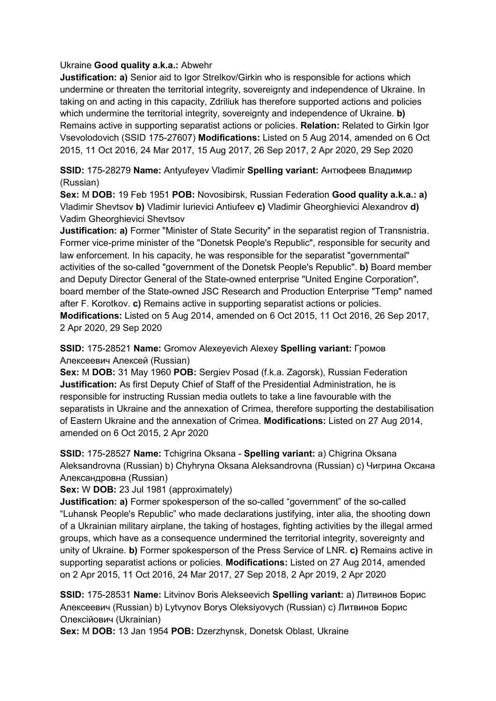### Ukraine **Good quality a.k.a.:** Abwehr

**Justification: a)** Senior aid to Igor Strelkov/Girkin who is responsible for actions which undermine or threaten the territorial integrity, sovereignty and independence of Ukraine. In taking on and acting in this capacity, Zdriliuk has therefore supported actions and policies which undermine the territorial integrity, sovereignty and independence of Ukraine. **b)**  Remains active in supporting separatist actions or policies. **Relation:** Related to Girkin Igor Vsevolodovich (SSID 175-27607) **Modifications:** Listed on 5 Aug 2014, amended on 6 Oct 2015, 11 Oct 2016, 24 Mar 2017, 15 Aug 2017, 26 Sep 2017, 2 Apr 2020, 29 Sep 2020

**SSID:** 175-28279 **Name:** Antyufeyev Vladimir **Spelling variant:** Антюфеев Владимир (Russian)

**Sex:** M **DOB:** 19 Feb 1951 **POB:** Novosibirsk, Russian Federation **Good quality a.k.a.: a)**  Vladimir Shevtsov **b)** Vladimir Iurievici Antiufeev **c)** Vladimir Gheorghievici Alexandrov **d)**  Vadim Gheorghievici Shevtsov

**Justification: a)** Former "Minister of State Security" in the separatist region of Transnistria. Former vice-prime minister of the "Donetsk People's Republic", responsible for security and law enforcement. In his capacity, he was responsible for the separatist "governmental" activities of the so-called "government of the Donetsk People's Republic". **b)** Board member and Deputy Director General of the State-owned enterprise "United Engine Corporation", board member of the State-owned JSC Research and Production Enterprise "Temp" named after F. Korotkov. **c)** Remains active in supporting separatist actions or policies. **Modifications:** Listed on 5 Aug 2014, amended on 6 Oct 2015, 11 Oct 2016, 26 Sep 2017, 2 Apr 2020, 29 Sep 2020

**SSID:** 175-28521 **Name:** Gromov Alexeyevich Alexey **Spelling variant:** Громов Алексеевич Алексей (Russian)

**Sex:** M **DOB:** 31 May 1960 **POB:** Sergiev Posad (f.k.a. Zagorsk), Russian Federation **Justification:** As first Deputy Chief of Staff of the Presidential Administration, he is responsible for instructing Russian media outlets to take a line favourable with the separatists in Ukraine and the annexation of Crimea, therefore supporting the destabilisation of Eastern Ukraine and the annexation of Crimea. **Modifications:** Listed on 27 Aug 2014, amended on 6 Oct 2015, 2 Apr 2020

**SSID:** 175-28527 **Name:** Tchigrina Oksana - **Spelling variant:** a) Chigrina Oksana Aleksandrovna (Russian) b) Chyhryna Oksana Aleksandrovna (Russian) c) Чигрина Оксана Александровна (Russian)

**Sex:** W **DOB:** 23 Jul 1981 (approximately)

**Justification: a)** Former spokesperson of the so-called "government" of the so-called "Luhansk People's Republic" who made declarations justifying, inter alia, the shooting down of a Ukrainian military airplane, the taking of hostages, fighting activities by the illegal armed groups, which have as a consequence undermined the territorial integrity, sovereignty and unity of Ukraine. **b)** Former spokesperson of the Press Service of LNR. **c)** Remains active in supporting separatist actions or policies. **Modifications:** Listed on 27 Aug 2014, amended on 2 Apr 2015, 11 Oct 2016, 24 Mar 2017, 27 Sep 2018, 2 Apr 2019, 2 Apr 2020

**SSID:** 175-28531 **Name:** Litvinov Boris Alekseevich **Spelling variant:** a) Литвинов Борис Алексеевич (Russian) b) Lytvynov Borys Oleksiyovych (Russian) c) Литвинов Борис Олексійович (Ukrainian)

**Sex:** M **DOB:** 13 Jan 1954 **POB:** Dzerzhynsk, Donetsk Oblast, Ukraine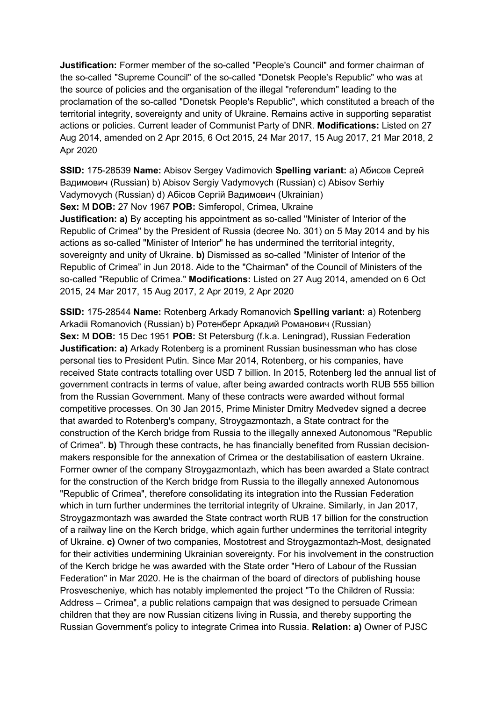**Justification:** Former member of the so-called "People's Council" and former chairman of the so-called "Supreme Council" of the so-called "Donetsk People's Republic" who was at the source of policies and the organisation of the illegal "referendum" leading to the proclamation of the so-called "Donetsk People's Republic", which constituted a breach of the territorial integrity, sovereignty and unity of Ukraine. Remains active in supporting separatist actions or policies. Current leader of Communist Party of DNR. **Modifications:** Listed on 27 Aug 2014, amended on 2 Apr 2015, 6 Oct 2015, 24 Mar 2017, 15 Aug 2017, 21 Mar 2018, 2 Apr 2020

**SSID:** 175-28539 **Name:** Abisov Sergey Vadimovich **Spelling variant:** a) Абисов Сергей Вадимович (Russian) b) Abisov Sergiy Vadymovych (Russian) c) Abisov Serhiy Vadymovych (Russian) d) Абiсов Сергій Вадимович (Ukrainian)

**Sex:** M **DOB:** 27 Nov 1967 **POB:** Simferopol, Crimea, Ukraine

**Justification: a)** By accepting his appointment as so-called "Minister of Interior of the Republic of Crimea" by the President of Russia (decree No. 301) on 5 May 2014 and by his actions as so-called "Minister of Interior" he has undermined the territorial integrity, sovereignty and unity of Ukraine. **b)** Dismissed as so-called "Minister of Interior of the Republic of Crimea" in Jun 2018. Aide to the "Chairman" of the Council of Ministers of the so-called "Republic of Crimea." **Modifications:** Listed on 27 Aug 2014, amended on 6 Oct 2015, 24 Mar 2017, 15 Aug 2017, 2 Apr 2019, 2 Apr 2020

**SSID:** 175-28544 **Name:** Rotenberg Arkady Romanovich **Spelling variant:** a) Rotenberg Arkadii Romanovich (Russian) b) Ротенберг Аркадий Романович (Russian) **Sex:** M **DOB:** 15 Dec 1951 **POB:** St Petersburg (f.k.a. Leningrad), Russian Federation **Justification: a)** Arkady Rotenberg is a prominent Russian businessman who has close personal ties to President Putin. Since Mar 2014, Rotenberg, or his companies, have received State contracts totalling over USD 7 billion. In 2015, Rotenberg led the annual list of government contracts in terms of value, after being awarded contracts worth RUB 555 billion from the Russian Government. Many of these contracts were awarded without formal competitive processes. On 30 Jan 2015, Prime Minister Dmitry Medvedev signed a decree that awarded to Rotenberg's company, Stroygazmontazh, a State contract for the construction of the Kerch bridge from Russia to the illegally annexed Autonomous "Republic of Crimea". **b)** Through these contracts, he has financially benefited from Russian decisionmakers responsible for the annexation of Crimea or the destabilisation of eastern Ukraine. Former owner of the company Stroygazmontazh, which has been awarded a State contract for the construction of the Kerch bridge from Russia to the illegally annexed Autonomous "Republic of Crimea", therefore consolidating its integration into the Russian Federation which in turn further undermines the territorial integrity of Ukraine. Similarly, in Jan 2017, Stroygazmontazh was awarded the State contract worth RUB 17 billion for the construction of a railway line on the Kerch bridge, which again further undermines the territorial integrity of Ukraine. **c)** Owner of two companies, Mostotrest and Stroygazmontazh-Most, designated for their activities undermining Ukrainian sovereignty. For his involvement in the construction of the Kerch bridge he was awarded with the State order "Hero of Labour of the Russian Federation" in Mar 2020. He is the chairman of the board of directors of publishing house Prosvescheniye, which has notably implemented the project "To the Children of Russia: Address – Crimea", a public relations campaign that was designed to persuade Crimean children that they are now Russian citizens living in Russia, and thereby supporting the Russian Government's policy to integrate Crimea into Russia. **Relation: a)** Owner of PJSC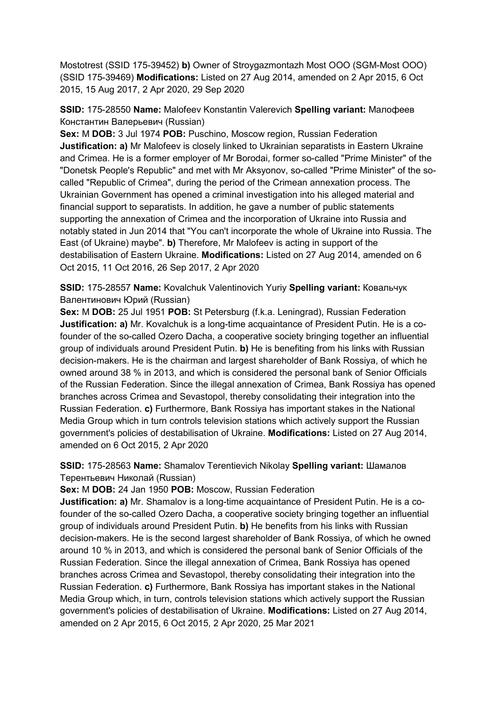Mostotrest (SSID 175-39452) **b)** Owner of Stroygazmontazh Most OOO (SGM-Most OOO) (SSID 175-39469) **Modifications:** Listed on 27 Aug 2014, amended on 2 Apr 2015, 6 Oct 2015, 15 Aug 2017, 2 Apr 2020, 29 Sep 2020

**SSID:** 175-28550 **Name:** Malofeev Konstantin Valerevich **Spelling variant:** Малофеев Константин Валерьевич (Russian)

**Sex:** M **DOB:** 3 Jul 1974 **POB:** Puschino, Moscow region, Russian Federation **Justification: a)** Mr Malofeev is closely linked to Ukrainian separatists in Eastern Ukraine and Crimea. He is a former employer of Mr Borodai, former so-called "Prime Minister" of the "Donetsk People's Republic" and met with Mr Aksyonov, so-called "Prime Minister" of the socalled "Republic of Crimea", during the period of the Crimean annexation process. The Ukrainian Government has opened a criminal investigation into his alleged material and financial support to separatists. In addition, he gave a number of public statements supporting the annexation of Crimea and the incorporation of Ukraine into Russia and notably stated in Jun 2014 that "You can't incorporate the whole of Ukraine into Russia. The East (of Ukraine) maybe". **b)** Therefore, Mr Malofeev is acting in support of the destabilisation of Eastern Ukraine. **Modifications:** Listed on 27 Aug 2014, amended on 6 Oct 2015, 11 Oct 2016, 26 Sep 2017, 2 Apr 2020

**SSID:** 175-28557 **Name:** Kovalchuk Valentinovich Yuriy **Spelling variant:** Ковальчук Валентинович Юрий (Russian)

**Sex:** M **DOB:** 25 Jul 1951 **POB:** St Petersburg (f.k.a. Leningrad), Russian Federation **Justification: a)** Mr. Kovalchuk is a long-time acquaintance of President Putin. He is a cofounder of the so-called Ozero Dacha, a cooperative society bringing together an influential group of individuals around President Putin. **b)** He is benefiting from his links with Russian decision-makers. He is the chairman and largest shareholder of Bank Rossiya, of which he owned around 38 % in 2013, and which is considered the personal bank of Senior Officials of the Russian Federation. Since the illegal annexation of Crimea, Bank Rossiya has opened branches across Crimea and Sevastopol, thereby consolidating their integration into the Russian Federation. **c)** Furthermore, Bank Rossiya has important stakes in the National Media Group which in turn controls television stations which actively support the Russian government's policies of destabilisation of Ukraine. **Modifications:** Listed on 27 Aug 2014, amended on 6 Oct 2015, 2 Apr 2020

**SSID:** 175-28563 **Name:** Shamalov Terentievich Nikolay **Spelling variant:** Шамалов Терентьевич Николай (Russian)

**Sex:** M **DOB:** 24 Jan 1950 **POB:** Moscow, Russian Federation

**Justification: a)** Mr. Shamalov is a long-time acquaintance of President Putin. He is a cofounder of the so-called Ozero Dacha, a cooperative society bringing together an influential group of individuals around President Putin. **b)** He benefits from his links with Russian decision-makers. He is the second largest shareholder of Bank Rossiya, of which he owned around 10 % in 2013, and which is considered the personal bank of Senior Officials of the Russian Federation. Since the illegal annexation of Crimea, Bank Rossiya has opened branches across Crimea and Sevastopol, thereby consolidating their integration into the Russian Federation. **c)** Furthermore, Bank Rossiya has important stakes in the National Media Group which, in turn, controls television stations which actively support the Russian government's policies of destabilisation of Ukraine. **Modifications:** Listed on 27 Aug 2014, amended on 2 Apr 2015, 6 Oct 2015, 2 Apr 2020, 25 Mar 2021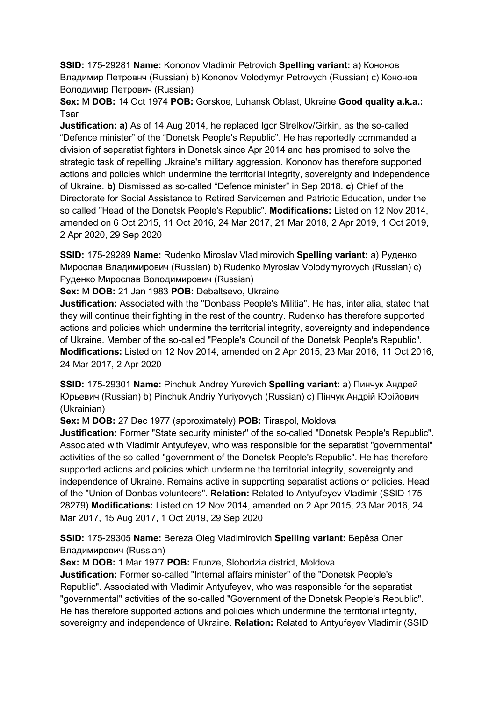**SSID:** 175-29281 **Name:** Kononov Vladimir Petrovich **Spelling variant:** a) Кононов Владимир Петровнч (Russian) b) Kononov Volodymyr Petrovych (Russian) c) Кононов Володимир Петрович (Russian)

**Sex:** M **DOB:** 14 Oct 1974 **POB:** Gorskoe, Luhansk Oblast, Ukraine **Good quality a.k.a.:**  Tsar

**Justification: a)** As of 14 Aug 2014, he replaced Igor Strelkov/Girkin, as the so-called "Defence minister" of the "Donetsk People's Republic". He has reportedly commanded a division of separatist fighters in Donetsk since Apr 2014 and has promised to solve the strategic task of repelling Ukraine's military aggression. Kononov has therefore supported actions and policies which undermine the territorial integrity, sovereignty and independence of Ukraine. **b)** Dismissed as so-called "Defence minister" in Sep 2018. **c)** Chief of the Directorate for Social Assistance to Retired Servicemen and Patriotic Education, under the so called "Head of the Donetsk People's Republic". **Modifications:** Listed on 12 Nov 2014, amended on 6 Oct 2015, 11 Oct 2016, 24 Mar 2017, 21 Mar 2018, 2 Apr 2019, 1 Oct 2019, 2 Apr 2020, 29 Sep 2020

**SSID:** 175-29289 **Name:** Rudenko Miroslav Vladimirovich **Spelling variant:** a) Руденко Мирослав Владимирович (Russian) b) Rudenko Myroslav Volodymyrovych (Russian) c) Руденко Мирослав Володимирович (Russian)

**Sex:** M **DOB:** 21 Jan 1983 **POB:** Debaltsevo, Ukraine

**Justification:** Associated with the "Donbass People's Militia". He has, inter alia, stated that they will continue their fighting in the rest of the country. Rudenko has therefore supported actions and policies which undermine the territorial integrity, sovereignty and independence of Ukraine. Member of the so-called "People's Council of the Donetsk People's Republic". **Modifications:** Listed on 12 Nov 2014, amended on 2 Apr 2015, 23 Mar 2016, 11 Oct 2016, 24 Mar 2017, 2 Apr 2020

**SSID:** 175-29301 **Name:** Pinchuk Andrey Yurevich **Spelling variant:** a) Пинчук Андрей Юрьевич (Russian) b) Pinchuk Andriy Yuriyovych (Russian) c) Пiнчук Андрій Юрійович (Ukrainian)

**Sex:** M **DOB:** 27 Dec 1977 (approximately) **POB:** Tiraspol, Moldova

**Justification:** Former "State security minister" of the so-called "Donetsk People's Republic". Associated with Vladimir Antyufeyev, who was responsible for the separatist "governmental" activities of the so-called "government of the Donetsk People's Republic". He has therefore supported actions and policies which undermine the territorial integrity, sovereignty and independence of Ukraine. Remains active in supporting separatist actions or policies. Head of the "Union of Donbas volunteers". **Relation:** Related to Antyufeyev Vladimir (SSID 175- 28279) **Modifications:** Listed on 12 Nov 2014, amended on 2 Apr 2015, 23 Mar 2016, 24 Mar 2017, 15 Aug 2017, 1 Oct 2019, 29 Sep 2020

**SSID:** 175-29305 **Name:** Bereza Oleg Vladimirovich **Spelling variant:** Берëза Олег Владимирович (Russian)

**Sex:** M **DOB:** 1 Mar 1977 **POB:** Frunze, Slobodzia district, Moldova

**Justification:** Former so-called "Internal affairs minister" of the "Donetsk People's Republic". Associated with Vladimir Antyufeyev, who was responsible for the separatist "governmental" activities of the so-called "Government of the Donetsk People's Republic". He has therefore supported actions and policies which undermine the territorial integrity, sovereignty and independence of Ukraine. **Relation:** Related to Antyufeyev Vladimir (SSID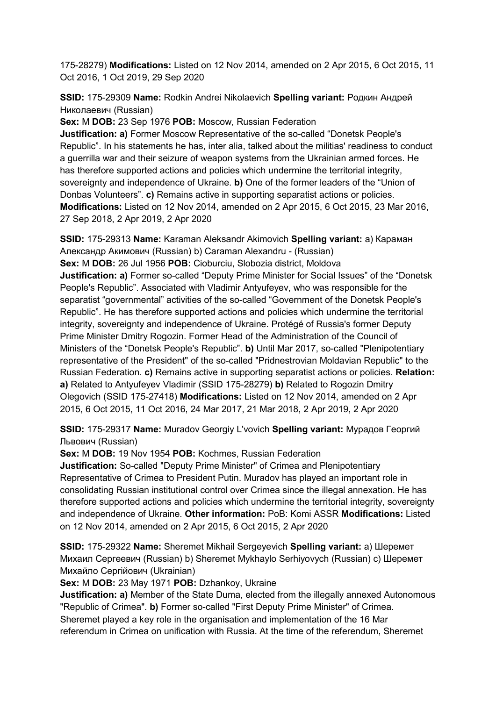175-28279) **Modifications:** Listed on 12 Nov 2014, amended on 2 Apr 2015, 6 Oct 2015, 11 Oct 2016, 1 Oct 2019, 29 Sep 2020

**SSID:** 175-29309 **Name:** Rodkin Andrei Nikolaevich **Spelling variant:** Родкин Андрей Николаевич (Russian)

**Sex:** M **DOB:** 23 Sep 1976 **POB:** Moscow, Russian Federation

**Justification: a)** Former Moscow Representative of the so-called "Donetsk People's Republic". In his statements he has, inter alia, talked about the militias' readiness to conduct a guerrilla war and their seizure of weapon systems from the Ukrainian armed forces. He has therefore supported actions and policies which undermine the territorial integrity, sovereignty and independence of Ukraine. **b)** One of the former leaders of the "Union of Donbas Volunteers". **c)** Remains active in supporting separatist actions or policies. **Modifications:** Listed on 12 Nov 2014, amended on 2 Apr 2015, 6 Oct 2015, 23 Mar 2016, 27 Sep 2018, 2 Apr 2019, 2 Apr 2020

**SSID:** 175-29313 **Name:** Karaman Aleksandr Akimovich **Spelling variant:** a) Караман Александр Акимович (Russian) b) Caraman Alexandru - (Russian) **Sex:** M **DOB:** 26 Jul 1956 **POB:** Cioburciu, Slobozia district, Moldova **Justification: a)** Former so-called "Deputy Prime Minister for Social Issues" of the "Donetsk People's Republic". Associated with Vladimir Antyufeyev, who was responsible for the separatist "governmental" activities of the so-called "Government of the Donetsk People's Republic". He has therefore supported actions and policies which undermine the territorial integrity, sovereignty and independence of Ukraine. Protégé of Russia's former Deputy Prime Minister Dmitry Rogozin. Former Head of the Administration of the Council of Ministers of the "Donetsk People's Republic". **b)** Until Mar 2017, so-called "Plenipotentiary representative of the President" of the so-called "Pridnestrovian Moldavian Republic" to the Russian Federation. **c)** Remains active in supporting separatist actions or policies. **Relation: a)** Related to Antyufeyev Vladimir (SSID 175-28279) **b)** Related to Rogozin Dmitry Olegovich (SSID 175-27418) **Modifications:** Listed on 12 Nov 2014, amended on 2 Apr 2015, 6 Oct 2015, 11 Oct 2016, 24 Mar 2017, 21 Mar 2018, 2 Apr 2019, 2 Apr 2020

**SSID:** 175-29317 **Name:** Muradov Georgiy L'vovich **Spelling variant:** Мурадов Георгий Львович (Russian)

**Sex:** M **DOB:** 19 Nov 1954 **POB:** Kochmes, Russian Federation

**Justification:** So-called "Deputy Prime Minister" of Crimea and Plenipotentiary Representative of Crimea to President Putin. Muradov has played an important role in consolidating Russian institutional control over Crimea since the illegal annexation. He has therefore supported actions and policies which undermine the territorial integrity, sovereignty and independence of Ukraine. **Other information:** PoB: Komi ASSR **Modifications:** Listed on 12 Nov 2014, amended on 2 Apr 2015, 6 Oct 2015, 2 Apr 2020

**SSID:** 175-29322 **Name:** Sheremet Mikhail Sergeyevich **Spelling variant:** a) Шеремет Михаил Сергеевич (Russian) b) Sheremet Mykhaylo Serhiyovych (Russian) c) Шеремет Михайло Сергійович (Ukrainian)

**Sex:** M **DOB:** 23 May 1971 **POB:** Dzhankoy, Ukraine

**Justification: a)** Member of the State Duma, elected from the illegally annexed Autonomous "Republic of Crimea". **b)** Former so-called "First Deputy Prime Minister" of Crimea. Sheremet played a key role in the organisation and implementation of the 16 Mar referendum in Crimea on unification with Russia. At the time of the referendum, Sheremet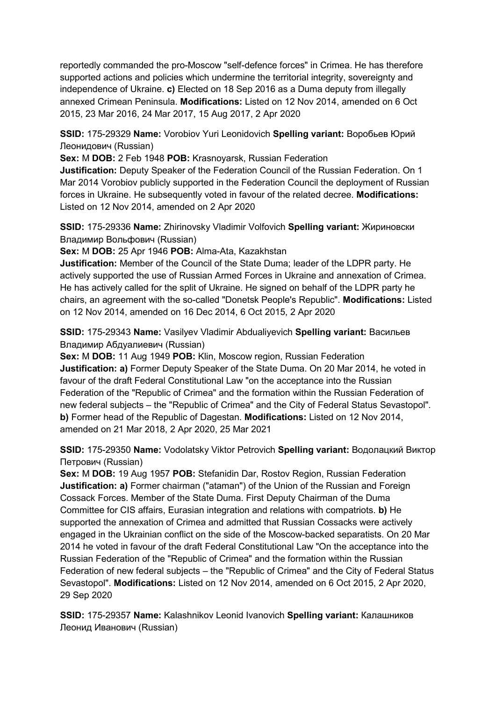reportedly commanded the pro-Moscow "self-defence forces" in Crimea. He has therefore supported actions and policies which undermine the territorial integrity, sovereignty and independence of Ukraine. **c)** Elected on 18 Sep 2016 as a Duma deputy from illegally annexed Crimean Peninsula. **Modifications:** Listed on 12 Nov 2014, amended on 6 Oct 2015, 23 Mar 2016, 24 Mar 2017, 15 Aug 2017, 2 Apr 2020

**SSID:** 175-29329 **Name:** Vorobiov Yuri Leonidovich **Spelling variant:** Воробьев Юрий Леонидович (Russian)

**Sex:** M **DOB:** 2 Feb 1948 **POB:** Krasnoyarsk, Russian Federation

**Justification:** Deputy Speaker of the Federation Council of the Russian Federation. On 1 Mar 2014 Vorobiov publicly supported in the Federation Council the deployment of Russian forces in Ukraine. He subsequently voted in favour of the related decree. **Modifications:**  Listed on 12 Nov 2014, amended on 2 Apr 2020

**SSID:** 175-29336 **Name:** Zhirinovsky Vladimir Volfovich **Spelling variant:** Жириновски Владимир Вольфович (Russian)

**Sex:** M **DOB:** 25 Apr 1946 **POB:** Alma-Ata, Kazakhstan

**Justification:** Member of the Council of the State Duma; leader of the LDPR party. He actively supported the use of Russian Armed Forces in Ukraine and annexation of Crimea. He has actively called for the split of Ukraine. He signed on behalf of the LDPR party he chairs, an agreement with the so-called "Donetsk People's Republic". **Modifications:** Listed on 12 Nov 2014, amended on 16 Dec 2014, 6 Oct 2015, 2 Apr 2020

**SSID:** 175-29343 **Name:** Vasilyev Vladimir Abdualiyevich **Spelling variant:** Васильев Владимир Абдуалиевич (Russian)

**Sex:** M **DOB:** 11 Aug 1949 **POB:** Klin, Moscow region, Russian Federation **Justification: a)** Former Deputy Speaker of the State Duma. On 20 Mar 2014, he voted in favour of the draft Federal Constitutional Law "on the acceptance into the Russian Federation of the "Republic of Crimea" and the formation within the Russian Federation of new federal subjects – the "Republic of Crimea" and the City of Federal Status Sevastopol". **b)** Former head of the Republic of Dagestan. **Modifications:** Listed on 12 Nov 2014, amended on 21 Mar 2018, 2 Apr 2020, 25 Mar 2021

**SSID:** 175-29350 **Name:** Vodolatsky Viktor Petrovich **Spelling variant:** Водолацкий Виктор Петрович (Russian)

**Sex:** M **DOB:** 19 Aug 1957 **POB:** Stefanidin Dar, Rostov Region, Russian Federation **Justification: a)** Former chairman ("ataman") of the Union of the Russian and Foreign Cossack Forces. Member of the State Duma. First Deputy Chairman of the Duma Committee for CIS affairs, Eurasian integration and relations with compatriots. **b)** He supported the annexation of Crimea and admitted that Russian Cossacks were actively engaged in the Ukrainian conflict on the side of the Moscow-backed separatists. On 20 Mar 2014 he voted in favour of the draft Federal Constitutional Law "On the acceptance into the Russian Federation of the "Republic of Crimea" and the formation within the Russian Federation of new federal subjects – the "Republic of Crimea" and the City of Federal Status Sevastopol". **Modifications:** Listed on 12 Nov 2014, amended on 6 Oct 2015, 2 Apr 2020, 29 Sep 2020

**SSID:** 175-29357 **Name:** Kalashnikov Leonid Ivanovich **Spelling variant:** Калашников Леонид Иванович (Russian)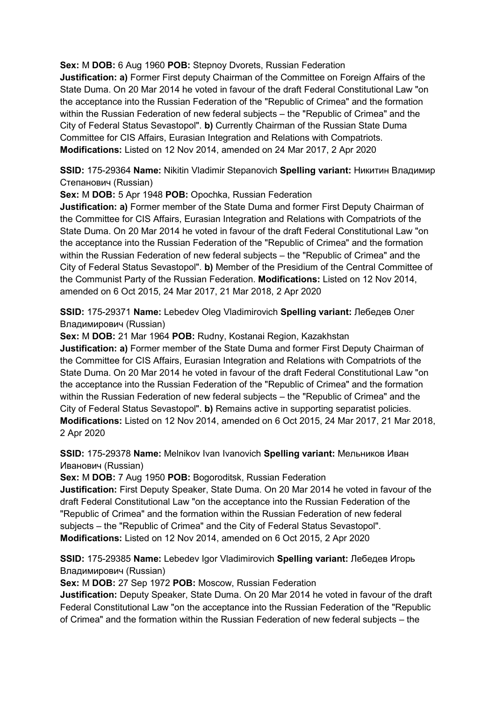**Sex:** M **DOB:** 6 Aug 1960 **POB:** Stepnoy Dvorets, Russian Federation

**Justification: a)** Former First deputy Chairman of the Committee on Foreign Affairs of the State Duma. On 20 Mar 2014 he voted in favour of the draft Federal Constitutional Law "on the acceptance into the Russian Federation of the "Republic of Crimea" and the formation within the Russian Federation of new federal subjects – the "Republic of Crimea" and the City of Federal Status Sevastopol". **b)** Currently Chairman of the Russian State Duma Committee for CIS Affairs, Eurasian Integration and Relations with Compatriots. **Modifications:** Listed on 12 Nov 2014, amended on 24 Mar 2017, 2 Apr 2020

**SSID:** 175-29364 **Name:** Nikitin Vladimir Stepanovich **Spelling variant:** Никитин Владимир Степанович (Russian)

**Sex:** M **DOB:** 5 Apr 1948 **POB:** Opochka, Russian Federation

**Justification: a)** Former member of the State Duma and former First Deputy Chairman of the Committee for CIS Affairs, Eurasian Integration and Relations with Compatriots of the State Duma. On 20 Mar 2014 he voted in favour of the draft Federal Constitutional Law "on the acceptance into the Russian Federation of the "Republic of Crimea" and the formation within the Russian Federation of new federal subjects – the "Republic of Crimea" and the City of Federal Status Sevastopol". **b)** Member of the Presidium of the Central Committee of the Communist Party of the Russian Federation. **Modifications:** Listed on 12 Nov 2014, amended on 6 Oct 2015, 24 Mar 2017, 21 Mar 2018, 2 Apr 2020

**SSID:** 175-29371 **Name:** Lebedev Oleg Vladimirovich **Spelling variant:** Лебедев Олег Владимирович (Russian)

**Sex:** M **DOB:** 21 Mar 1964 **POB:** Rudny, Kostanai Region, Kazakhstan

**Justification: a)** Former member of the State Duma and former First Deputy Chairman of the Committee for CIS Affairs, Eurasian Integration and Relations with Compatriots of the State Duma. On 20 Mar 2014 he voted in favour of the draft Federal Constitutional Law "on the acceptance into the Russian Federation of the "Republic of Crimea" and the formation within the Russian Federation of new federal subjects – the "Republic of Crimea" and the City of Federal Status Sevastopol". **b)** Remains active in supporting separatist policies. **Modifications:** Listed on 12 Nov 2014, amended on 6 Oct 2015, 24 Mar 2017, 21 Mar 2018, 2 Apr 2020

**SSID:** 175-29378 **Name:** Melnikov Ivan Ivanovich **Spelling variant:** Мельников Иван Иванович (Russian)

**Sex:** M **DOB:** 7 Aug 1950 **POB:** Bogoroditsk, Russian Federation

**Justification:** First Deputy Speaker, State Duma. On 20 Mar 2014 he voted in favour of the draft Federal Constitutional Law "on the acceptance into the Russian Federation of the "Republic of Crimea" and the formation within the Russian Federation of new federal subjects – the "Republic of Crimea" and the City of Federal Status Sevastopol". **Modifications:** Listed on 12 Nov 2014, amended on 6 Oct 2015, 2 Apr 2020

**SSID:** 175-29385 **Name:** Lebedev Igor Vladimirovich **Spelling variant:** Лебедев Игорь Владимирович (Russian)

**Sex:** M **DOB:** 27 Sep 1972 **POB:** Moscow, Russian Federation

**Justification:** Deputy Speaker, State Duma. On 20 Mar 2014 he voted in favour of the draft Federal Constitutional Law "on the acceptance into the Russian Federation of the "Republic of Crimea" and the formation within the Russian Federation of new federal subjects – the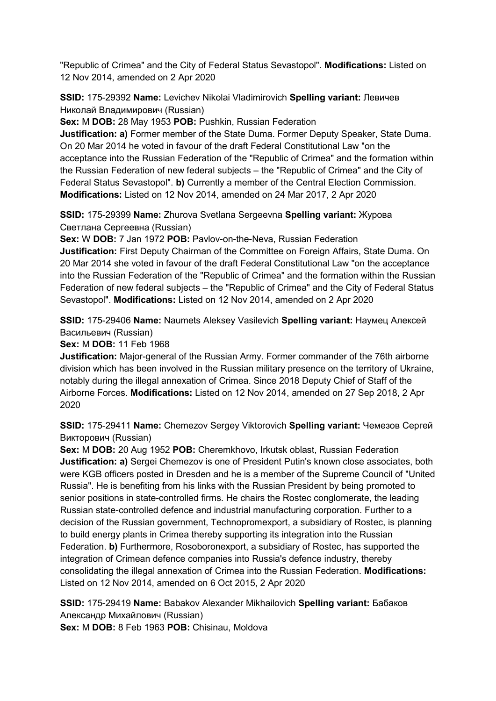"Republic of Crimea" and the City of Federal Status Sevastopol". **Modifications:** Listed on 12 Nov 2014, amended on 2 Apr 2020

**SSID:** 175-29392 **Name:** Levichev Nikolai Vladimirovich **Spelling variant:** Левичев Николай Владимирович (Russian)

**Sex:** M **DOB:** 28 May 1953 **POB:** Pushkin, Russian Federation

**Justification: a)** Former member of the State Duma. Former Deputy Speaker, State Duma. On 20 Mar 2014 he voted in favour of the draft Federal Constitutional Law "on the acceptance into the Russian Federation of the "Republic of Crimea" and the formation within the Russian Federation of new federal subjects – the "Republic of Crimea" and the City of Federal Status Sevastopol". **b)** Currently a member of the Central Election Commission. **Modifications:** Listed on 12 Nov 2014, amended on 24 Mar 2017, 2 Apr 2020

**SSID:** 175-29399 **Name:** Zhurova Svetlana Sergeevna **Spelling variant:** Журова Светлана Сергеевна (Russian)

**Sex:** W **DOB:** 7 Jan 1972 **POB:** Pavlov-on-the-Neva, Russian Federation **Justification:** First Deputy Chairman of the Committee on Foreign Affairs, State Duma. On 20 Mar 2014 she voted in favour of the draft Federal Constitutional Law "on the acceptance into the Russian Federation of the "Republic of Crimea" and the formation within the Russian Federation of new federal subjects – the "Republic of Crimea" and the City of Federal Status Sevastopol". **Modifications:** Listed on 12 Nov 2014, amended on 2 Apr 2020

**SSID:** 175-29406 **Name:** Naumets Aleksey Vasilevich **Spelling variant:** Hаумец Алексей Васильевич (Russian)

**Sex:** M **DOB:** 11 Feb 1968

**Justification:** Major-general of the Russian Army. Former commander of the 76th airborne division which has been involved in the Russian military presence on the territory of Ukraine, notably during the illegal annexation of Crimea. Since 2018 Deputy Chief of Staff of the Airborne Forces. **Modifications:** Listed on 12 Nov 2014, amended on 27 Sep 2018, 2 Apr 2020

**SSID:** 175-29411 **Name:** Chemezov Sergey Viktorovich **Spelling variant:** Чемезов Сергей Викторович (Russian)

**Sex:** M **DOB:** 20 Aug 1952 **POB:** Cheremkhovo, Irkutsk oblast, Russian Federation **Justification: a)** Sergei Chemezov is one of President Putin's known close associates, both were KGB officers posted in Dresden and he is a member of the Supreme Council of "United Russia". He is benefiting from his links with the Russian President by being promoted to senior positions in state-controlled firms. He chairs the Rostec conglomerate, the leading Russian state-controlled defence and industrial manufacturing corporation. Further to a decision of the Russian government, Technopromexport, a subsidiary of Rostec, is planning to build energy plants in Crimea thereby supporting its integration into the Russian Federation. **b)** Furthermore, Rosoboronexport, a subsidiary of Rostec, has supported the integration of Crimean defence companies into Russia's defence industry, thereby consolidating the illegal annexation of Crimea into the Russian Federation. **Modifications:**  Listed on 12 Nov 2014, amended on 6 Oct 2015, 2 Apr 2020

**SSID:** 175-29419 **Name:** Babakov Alexander Mikhailovich **Spelling variant:** Бабаков Aлександр Михайлович (Russian)

**Sex:** M **DOB:** 8 Feb 1963 **POB:** Chisinau, Moldova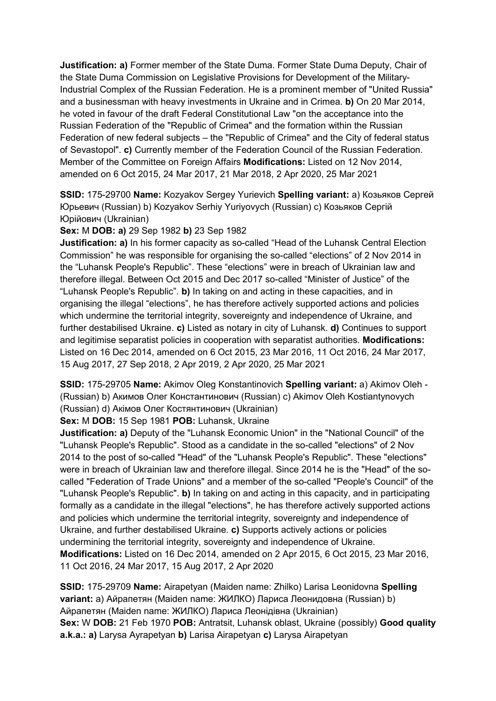**Justification: a)** Former member of the State Duma. Former State Duma Deputy, Chair of the State Duma Commission on Legislative Provisions for Development of the Military-Industrial Complex of the Russian Federation. He is a prominent member of "United Russia" and a businessman with heavy investments in Ukraine and in Crimea. **b)** On 20 Mar 2014, he voted in favour of the draft Federal Constitutional Law "on the acceptance into the Russian Federation of the "Republic of Crimea" and the formation within the Russian Federation of new federal subjects – the "Republic of Crimea" and the City of federal status of Sevastopol". **c)** Currently member of the Federation Council of the Russian Federation. Member of the Committee on Foreign Affairs **Modifications:** Listed on 12 Nov 2014, amended on 6 Oct 2015, 24 Mar 2017, 21 Mar 2018, 2 Apr 2020, 25 Mar 2021

**SSID:** 175-29700 **Name:** Kozyakov Sergey Yurievich **Spelling variant:** a) Козьяков Сергей Юрьевич (Russian) b) Kozyakov Serhiy Yuriyovych (Russian) c) Козьяков Сергій Юрійович (Ukrainian)

**Sex:** M **DOB: a)** 29 Sep 1982 **b)** 23 Sep 1982

**Justification: a)** In his former capacity as so-called "Head of the Luhansk Central Election Commission" he was responsible for organising the so-called "elections" of 2 Nov 2014 in the "Luhansk People's Republic". These "elections" were in breach of Ukrainian law and therefore illegal. Between Oct 2015 and Dec 2017 so-called "Minister of Justice" of the "Luhansk People's Republic". **b)** In taking on and acting in these capacities, and in organising the illegal "elections", he has therefore actively supported actions and policies which undermine the territorial integrity, sovereignty and independence of Ukraine, and further destabilised Ukraine. **c)** Listed as notary in city of Luhansk. **d)** Continues to support and legitimise separatist policies in cooperation with separatist authorities. **Modifications:**  Listed on 16 Dec 2014, amended on 6 Oct 2015, 23 Mar 2016, 11 Oct 2016, 24 Mar 2017, 15 Aug 2017, 27 Sep 2018, 2 Apr 2019, 2 Apr 2020, 25 Mar 2021

**SSID:** 175-29705 **Name:** Akimov Oleg Konstantinovich **Spelling variant:** a) Akimov Oleh - (Russian) b) Акимов Олег Константинович (Russian) c) Akimov Oleh Kostiantynovych (Russian) d) Акiмов Олег Костянтинович (Ukrainian)

**Sex:** M **DOB:** 15 Sep 1981 **POB:** Luhansk, Ukraine

**Justification: a)** Deputy of the "Luhansk Economic Union" in the "National Council" of the "Luhansk People's Republic". Stood as a candidate in the so-called "elections" of 2 Nov 2014 to the post of so-called "Head" of the "Luhansk People's Republic". These "elections" were in breach of Ukrainian law and therefore illegal. Since 2014 he is the "Head" of the socalled "Federation of Trade Unions" and a member of the so-called "People's Council" of the "Luhansk People's Republic". **b)** In taking on and acting in this capacity, and in participating formally as a candidate in the illegal "elections", he has therefore actively supported actions and policies which undermine the territorial integrity, sovereignty and independence of Ukraine, and further destabilised Ukraine. **c)** Supports actively actions or policies undermining the territorial integrity, sovereignty and independence of Ukraine. **Modifications:** Listed on 16 Dec 2014, amended on 2 Apr 2015, 6 Oct 2015, 23 Mar 2016, 11 Oct 2016, 24 Mar 2017, 15 Aug 2017, 2 Apr 2020

**SSID:** 175-29709 **Name:** Airapetyan (Maiden name: Zhilko) Larisa Leonidovna **Spelling variant:** a) Айрапетян (Maiden name: ЖИЛКО) Лариса Леонидовна (Russian) b) Айрапетян (Maiden name: ЖИЛКО) Лариса Леонідівна (Ukrainian) **Sex:** W **DOB:** 21 Feb 1970 **POB:** Antratsit, Luhansk oblast, Ukraine (possibly) **Good quality a.k.a.: a)** Larysa Ayrapetyan **b)** Larisa Airapetyan **c)** Larysa Airapetyan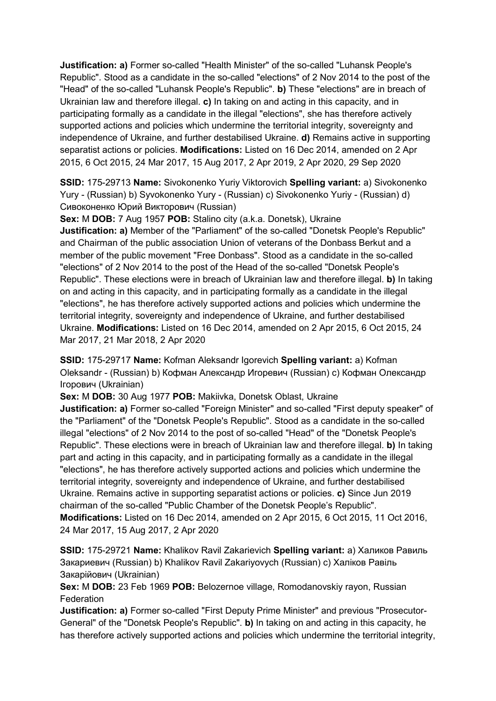**Justification: a)** Former so-called "Health Minister" of the so-called "Luhansk People's Republic". Stood as a candidate in the so-called "elections" of 2 Nov 2014 to the post of the "Head" of the so-called "Luhansk People's Republic". **b)** These "elections" are in breach of Ukrainian law and therefore illegal. **c)** In taking on and acting in this capacity, and in participating formally as a candidate in the illegal "elections", she has therefore actively supported actions and policies which undermine the territorial integrity, sovereignty and independence of Ukraine, and further destabilised Ukraine. **d)** Remains active in supporting separatist actions or policies. **Modifications:** Listed on 16 Dec 2014, amended on 2 Apr 2015, 6 Oct 2015, 24 Mar 2017, 15 Aug 2017, 2 Apr 2019, 2 Apr 2020, 29 Sep 2020

**SSID:** 175-29713 **Name:** Sivokonenko Yuriy Viktorovich **Spelling variant:** a) Sivokonenko Yury - (Russian) b) Syvokonenko Yury - (Russian) c) Sivokonenko Yuriy - (Russian) d) Сивоконенко Юрий Викторович (Russian)

**Sex:** M **DOB:** 7 Aug 1957 **POB:** Stalino city (a.k.a. Donetsk), Ukraine **Justification: a)** Member of the "Parliament" of the so-called "Donetsk People's Republic" and Chairman of the public association Union of veterans of the Donbass Berkut and a member of the public movement "Free Donbass". Stood as a candidate in the so-called "elections" of 2 Nov 2014 to the post of the Head of the so-called "Donetsk People's Republic". These elections were in breach of Ukrainian law and therefore illegal. **b)** In taking on and acting in this capacity, and in participating formally as a candidate in the illegal "elections", he has therefore actively supported actions and policies which undermine the territorial integrity, sovereignty and independence of Ukraine, and further destabilised Ukraine. **Modifications:** Listed on 16 Dec 2014, amended on 2 Apr 2015, 6 Oct 2015, 24 Mar 2017, 21 Mar 2018, 2 Apr 2020

**SSID:** 175-29717 **Name:** Kofman Aleksandr Igorevich **Spelling variant:** a) Kofman Oleksandr - (Russian) b) Кофман Александр Игоревич (Russian) c) Кофман Олександр Iгорович (Ukrainian)

**Sex:** M **DOB:** 30 Aug 1977 **POB:** Makiivka, Donetsk Oblast, Ukraine

**Justification: a)** Former so-called "Foreign Minister" and so-called "First deputy speaker" of the "Parliament" of the "Donetsk People's Republic". Stood as a candidate in the so-called illegal "elections" of 2 Nov 2014 to the post of so-called "Head" of the "Donetsk People's Republic". These elections were in breach of Ukrainian law and therefore illegal. **b)** In taking part and acting in this capacity, and in participating formally as a candidate in the illegal "elections", he has therefore actively supported actions and policies which undermine the territorial integrity, sovereignty and independence of Ukraine, and further destabilised Ukraine. Remains active in supporting separatist actions or policies. **c)** Since Jun 2019 chairman of the so-called "Public Chamber of the Donetsk People's Republic". **Modifications:** Listed on 16 Dec 2014, amended on 2 Apr 2015, 6 Oct 2015, 11 Oct 2016, 24 Mar 2017, 15 Aug 2017, 2 Apr 2020

**SSID:** 175-29721 **Name:** Khalikov Ravil Zakarievich **Spelling variant:** a) Халиков Равиль Закариевич (Russian) b) Khalikov Ravil Zakariyovych (Russian) c) Халiков Равіль Закарійович (Ukrainian)

**Sex:** M **DOB:** 23 Feb 1969 **POB:** Belozernoe village, Romodanovskiy rayon, Russian **Federation** 

**Justification: a)** Former so-called "First Deputy Prime Minister" and previous "Prosecutor-General" of the "Donetsk People's Republic". **b)** In taking on and acting in this capacity, he has therefore actively supported actions and policies which undermine the territorial integrity,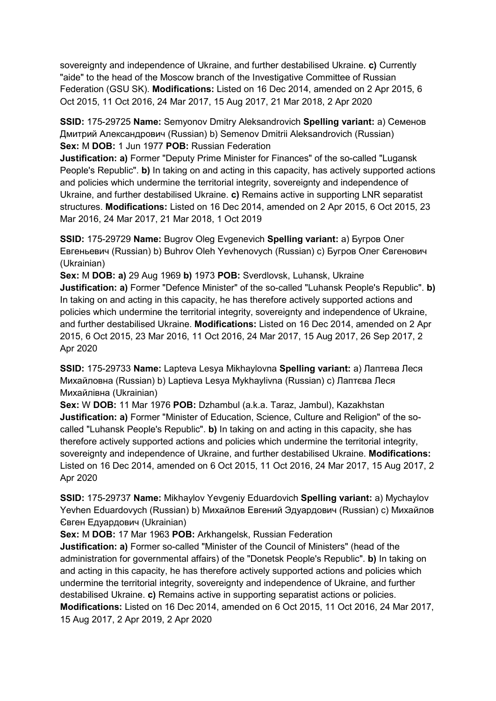sovereignty and independence of Ukraine, and further destabilised Ukraine. **c)** Currently "aide" to the head of the Moscow branch of the Investigative Committee of Russian Federation (GSU SK). **Modifications:** Listed on 16 Dec 2014, amended on 2 Apr 2015, 6 Oct 2015, 11 Oct 2016, 24 Mar 2017, 15 Aug 2017, 21 Mar 2018, 2 Apr 2020

**SSID:** 175-29725 **Name:** Semyonov Dmitry Aleksandrovich **Spelling variant:** a) Семенов Дмитрий Александрович (Russian) b) Semenov Dmitrii Aleksandrovich (Russian) **Sex:** M **DOB:** 1 Jun 1977 **POB:** Russian Federation

**Justification: a)** Former "Deputy Prime Minister for Finances" of the so-called "Lugansk People's Republic". **b)** In taking on and acting in this capacity, has actively supported actions and policies which undermine the territorial integrity, sovereignty and independence of Ukraine, and further destabilised Ukraine. **c)** Remains active in supporting LNR separatist structures. **Modifications:** Listed on 16 Dec 2014, amended on 2 Apr 2015, 6 Oct 2015, 23 Mar 2016, 24 Mar 2017, 21 Mar 2018, 1 Oct 2019

**SSID:** 175-29729 **Name:** Bugrov Oleg Evgenevich **Spelling variant:** a) Бугров Олег Евгеньевич (Russian) b) Buhrov Oleh Yevhenovych (Russian) c) Бугров Олег Євгенович (Ukrainian)

**Sex:** M **DOB: a)** 29 Aug 1969 **b)** 1973 **POB:** Sverdlovsk, Luhansk, Ukraine **Justification: a)** Former "Defence Minister" of the so-called "Luhansk People's Republic". **b)**  In taking on and acting in this capacity, he has therefore actively supported actions and policies which undermine the territorial integrity, sovereignty and independence of Ukraine, and further destabilised Ukraine. **Modifications:** Listed on 16 Dec 2014, amended on 2 Apr 2015, 6 Oct 2015, 23 Mar 2016, 11 Oct 2016, 24 Mar 2017, 15 Aug 2017, 26 Sep 2017, 2 Apr 2020

**SSID:** 175-29733 **Name:** Lapteva Lesya Mikhaylovna **Spelling variant:** a) Лаптева Леся Михайловна (Russian) b) Laptieva Lesya Mykhaylivna (Russian) c) Лаптєва Леся Михайлівна (Ukrainian)

**Sex:** W **DOB:** 11 Mar 1976 **POB:** Dzhambul (a.k.a. Taraz, Jambul), Kazakhstan **Justification: a)** Former "Minister of Education, Science, Culture and Religion" of the socalled "Luhansk People's Republic". **b)** In taking on and acting in this capacity, she has therefore actively supported actions and policies which undermine the territorial integrity, sovereignty and independence of Ukraine, and further destabilised Ukraine. **Modifications:**  Listed on 16 Dec 2014, amended on 6 Oct 2015, 11 Oct 2016, 24 Mar 2017, 15 Aug 2017, 2 Apr 2020

**SSID:** 175-29737 **Name:** Mikhaylov Yevgeniy Eduardovich **Spelling variant:** a) Mychaylov Yevhen Eduardovych (Russian) b) Михайлов Евгений Эдуардович (Russian) c) Михайлов Євген Едуардович (Ukrainian)

**Sex:** M **DOB:** 17 Mar 1963 **POB:** Arkhangelsk, Russian Federation

**Justification: a)** Former so-called "Minister of the Council of Ministers" (head of the administration for governmental affairs) of the "Donetsk People's Republic". **b)** In taking on and acting in this capacity, he has therefore actively supported actions and policies which undermine the territorial integrity, sovereignty and independence of Ukraine, and further destabilised Ukraine. **c)** Remains active in supporting separatist actions or policies. **Modifications:** Listed on 16 Dec 2014, amended on 6 Oct 2015, 11 Oct 2016, 24 Mar 2017, 15 Aug 2017, 2 Apr 2019, 2 Apr 2020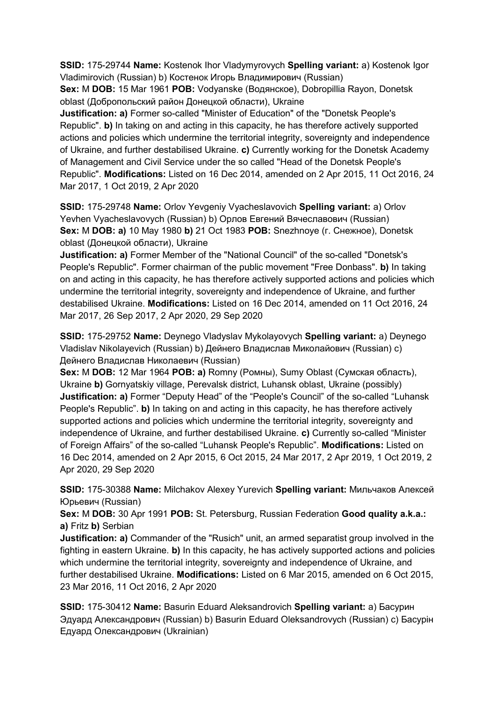**SSID:** 175-29744 **Name:** Kostenok Ihor Vladymyrovych **Spelling variant:** a) Kostenok Igor Vladimirovich (Russian) b) Костенок Игорь Владимирович (Russian)

**Sex:** M **DOB:** 15 Mar 1961 **POB:** Vodyanske (Водянское), Dobropillia Rayon, Donetsk oblast (Добропольский район Донецкой области), Ukraine

**Justification: a)** Former so-called "Minister of Education" of the "Donetsk People's Republic". **b)** In taking on and acting in this capacity, he has therefore actively supported actions and policies which undermine the territorial integrity, sovereignty and independence of Ukraine, and further destabilised Ukraine. **c)** Currently working for the Donetsk Academy of Management and Civil Service under the so called "Head of the Donetsk People's Republic". **Modifications:** Listed on 16 Dec 2014, amended on 2 Apr 2015, 11 Oct 2016, 24 Mar 2017, 1 Oct 2019, 2 Apr 2020

**SSID:** 175-29748 **Name:** Orlov Yevgeniy Vyacheslavovich **Spelling variant:** a) Orlov Yevhen Vyacheslavovych (Russian) b) Орлов Евгений Вячеславович (Russian) **Sex:** M **DOB: a)** 10 May 1980 **b)** 21 Oct 1983 **POB:** Snezhnoye (г. Снежное), Donetsk oblast (Донецкой области), Ukraine

**Justification: a)** Former Member of the "National Council" of the so-called "Donetsk's People's Republic". Former chairman of the public movement "Free Donbass". **b)** In taking on and acting in this capacity, he has therefore actively supported actions and policies which undermine the territorial integrity, sovereignty and independence of Ukraine, and further destabilised Ukraine. **Modifications:** Listed on 16 Dec 2014, amended on 11 Oct 2016, 24 Mar 2017, 26 Sep 2017, 2 Apr 2020, 29 Sep 2020

**SSID:** 175-29752 **Name:** Deynego Vladyslav Mykolayovych **Spelling variant:** a) Deynego Vladislav Nikolayevich (Russian) b) Дейнего Владислав Миколайович (Russian) c) Дейнего Владислав Николаевич (Russian)

**Sex:** M **DOB:** 12 Mar 1964 **POB: a)** Romny (Ромны), Sumy Oblast (Сумская область), Ukraine **b)** Gornyatskiy village, Perevalsk district, Luhansk oblast, Ukraine (possibly) **Justification: a)** Former "Deputy Head" of the "People's Council" of the so-called "Luhansk People's Republic". **b)** In taking on and acting in this capacity, he has therefore actively supported actions and policies which undermine the territorial integrity, sovereignty and independence of Ukraine, and further destabilised Ukraine. **c)** Currently so-called "Minister of Foreign Affairs" of the so-called "Luhansk People's Republic". **Modifications:** Listed on 16 Dec 2014, amended on 2 Apr 2015, 6 Oct 2015, 24 Mar 2017, 2 Apr 2019, 1 Oct 2019, 2 Apr 2020, 29 Sep 2020

**SSID:** 175-30388 **Name:** Milchakov Alexey Yurevich **Spelling variant:** Мильчаков Алексей Юрьевич (Russian)

**Sex:** M **DOB:** 30 Apr 1991 **POB:** St. Petersburg, Russian Federation **Good quality a.k.a.: a)** Fritz **b)** Serbian

**Justification: a)** Commander of the "Rusich" unit, an armed separatist group involved in the fighting in eastern Ukraine. **b)** In this capacity, he has actively supported actions and policies which undermine the territorial integrity, sovereignty and independence of Ukraine, and further destabilised Ukraine. **Modifications:** Listed on 6 Mar 2015, amended on 6 Oct 2015, 23 Mar 2016, 11 Oct 2016, 2 Apr 2020

**SSID:** 175-30412 **Name:** Basurin Eduard Aleksandrovich **Spelling variant:** a) Басурин Эдуард Александрович (Russian) b) Basurin Eduard Oleksandrovych (Russian) c) Басурiн Едуард Олександрович (Ukrainian)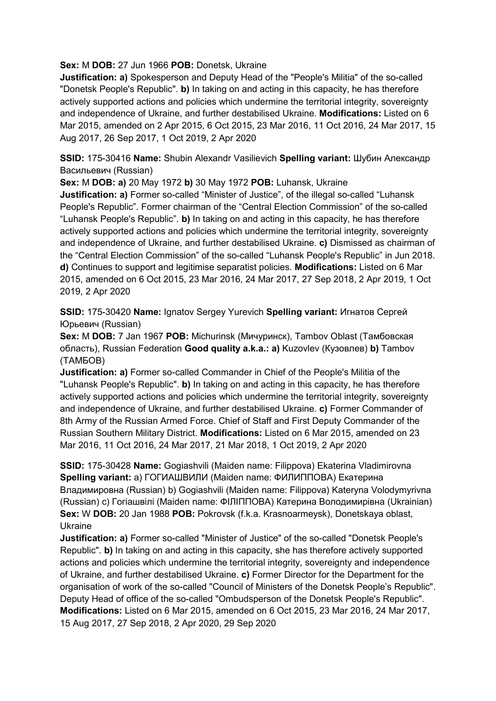**Sex:** M **DOB:** 27 Jun 1966 **POB:** Donetsk, Ukraine

**Justification: a)** Spokesperson and Deputy Head of the "People's Militia" of the so-called "Donetsk People's Republic". **b)** In taking on and acting in this capacity, he has therefore actively supported actions and policies which undermine the territorial integrity, sovereignty and independence of Ukraine, and further destabilised Ukraine. **Modifications:** Listed on 6 Mar 2015, amended on 2 Apr 2015, 6 Oct 2015, 23 Mar 2016, 11 Oct 2016, 24 Mar 2017, 15 Aug 2017, 26 Sep 2017, 1 Oct 2019, 2 Apr 2020

**SSID:** 175-30416 **Name:** Shubin Alexandr Vasilievich **Spelling variant:** Шубин Александр Васильевич (Russian)

**Sex:** M **DOB: a)** 20 May 1972 **b)** 30 May 1972 **POB:** Luhansk, Ukraine

**Justification: a)** Former so-called "Minister of Justice", of the illegal so-called "Luhansk People's Republic". Former chairman of the "Central Election Commission" of the so-called "Luhansk People's Republic". **b)** In taking on and acting in this capacity, he has therefore actively supported actions and policies which undermine the territorial integrity, sovereignty and independence of Ukraine, and further destabilised Ukraine. **c)** Dismissed as chairman of the "Central Election Commission" of the so-called "Luhansk People's Republic" in Jun 2018. **d)** Continues to support and legitimise separatist policies. **Modifications:** Listed on 6 Mar 2015, amended on 6 Oct 2015, 23 Mar 2016, 24 Mar 2017, 27 Sep 2018, 2 Apr 2019, 1 Oct 2019, 2 Apr 2020

**SSID:** 175-30420 **Name:** Ignatov Sergey Yurevich **Spelling variant:** Игнатов Сергей Юрьевич (Russian)

**Sex:** M **DOB:** 7 Jan 1967 **POB:** Michurinsk (Мичуринск), Tambov Oblast (Тамбовская область), Russian Federation **Good quality a.k.a.: a)** Kuzovlev (Кузовлев) **b)** Tambov (ТAMБOB)

**Justification: a)** Former so-called Commander in Chief of the People's Militia of the "Luhansk People's Republic". **b)** In taking on and acting in this capacity, he has therefore actively supported actions and policies which undermine the territorial integrity, sovereignty and independence of Ukraine, and further destabilised Ukraine. **c)** Former Commander of 8th Army of the Russian Armed Force. Chief of Staff and First Deputy Commander of the Russian Southern Military District. **Modifications:** Listed on 6 Mar 2015, amended on 23 Mar 2016, 11 Oct 2016, 24 Mar 2017, 21 Mar 2018, 1 Oct 2019, 2 Apr 2020

**SSID:** 175-30428 **Name:** Gogiashvili (Maiden name: Filippova) Ekaterina Vladimirovna **Spelling variant:** a) ГОГИАШВИЛИ (Maiden name: ФИЛИППОВА) Екатерина Владимировна (Russian) b) Gogiashvili (Maiden name: Filippova) Kateryna Volodymyrivna (Russian) c) Гогiашвiлi (Maiden name: ФIЛIППОВА) Катерина Володимирівна (Ukrainian) **Sex:** W **DOB:** 20 Jan 1988 **POB:** Pokrovsk (f.k.a. Krasnoarmeysk), Donetskaya oblast, Ukraine

**Justification: a)** Former so-called "Minister of Justice" of the so-called "Donetsk People's Republic". **b)** In taking on and acting in this capacity, she has therefore actively supported actions and policies which undermine the territorial integrity, sovereignty and independence of Ukraine, and further destabilised Ukraine. **c)** Former Director for the Department for the organisation of work of the so-called "Council of Ministers of the Donetsk People's Republic". Deputy Head of office of the so-called "Ombudsperson of the Donetsk People's Republic". **Modifications:** Listed on 6 Mar 2015, amended on 6 Oct 2015, 23 Mar 2016, 24 Mar 2017, 15 Aug 2017, 27 Sep 2018, 2 Apr 2020, 29 Sep 2020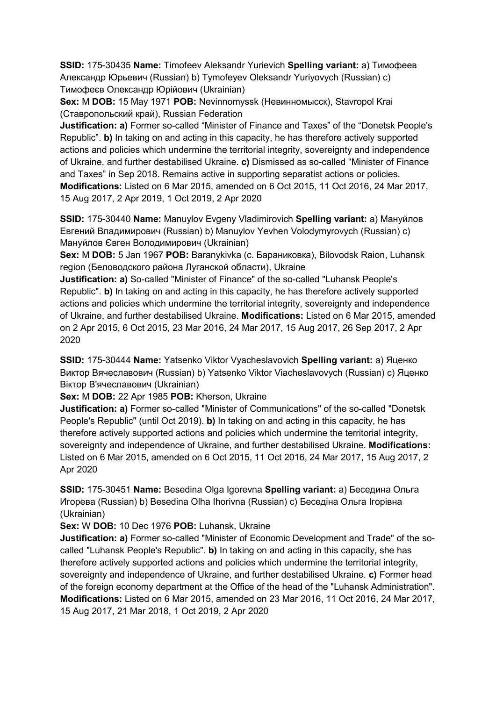**SSID:** 175-30435 **Name:** Timofeev Aleksandr Yurievich **Spelling variant:** a) Тимофеев Александр Юрьевич (Russian) b) Tymofeyev Oleksandr Yuriyovych (Russian) c) Тимофеєв Олександр Юрійович (Ukrainian)

**Sex:** M **DOB:** 15 May 1971 **POB:** Nevinnomyssk (Невинномысск), Stavropol Krai (Ставропольский край), Russian Federation

**Justification: a)** Former so-called "Minister of Finance and Taxes" of the "Donetsk People's Republic". **b)** In taking on and acting in this capacity, he has therefore actively supported actions and policies which undermine the territorial integrity, sovereignty and independence of Ukraine, and further destabilised Ukraine. **c)** Dismissed as so-called "Minister of Finance and Taxes" in Sep 2018. Remains active in supporting separatist actions or policies. **Modifications:** Listed on 6 Mar 2015, amended on 6 Oct 2015, 11 Oct 2016, 24 Mar 2017, 15 Aug 2017, 2 Apr 2019, 1 Oct 2019, 2 Apr 2020

**SSID:** 175-30440 **Name:** Manuylov Evgeny Vladimirovich **Spelling variant:** a) Мануйлов Евгений Владимирович (Russian) b) Manuylov Yevhen Volodymyrovych (Russian) c) Мануйлов Євген Володимирович (Ukrainian)

**Sex:** M **DOB:** 5 Jan 1967 **POB:** Baranykivka (с. Бараниковка), Bilovodsk Raion, Luhansk region (Беловодского района Луганской области), Ukraine

**Justification: a)** So-called "Minister of Finance" of the so-called "Luhansk People's Republic". **b)** In taking on and acting in this capacity, he has therefore actively supported actions and policies which undermine the territorial integrity, sovereignty and independence of Ukraine, and further destabilised Ukraine. **Modifications:** Listed on 6 Mar 2015, amended on 2 Apr 2015, 6 Oct 2015, 23 Mar 2016, 24 Mar 2017, 15 Aug 2017, 26 Sep 2017, 2 Apr 2020

**SSID:** 175-30444 **Name:** Yatsenko Viktor Vyacheslavovich **Spelling variant:** a) Яценко Виктор Вячеславович (Russian) b) Yatsenko Viktor Viacheslavovych (Russian) c) Яценко Віктор В'ячеславович (Ukrainian)

**Sex:** M **DOB:** 22 Apr 1985 **POB:** Kherson, Ukraine

**Justification: a)** Former so-called "Minister of Communications" of the so-called "Donetsk People's Republic" (until Oct 2019). **b)** In taking on and acting in this capacity, he has therefore actively supported actions and policies which undermine the territorial integrity, sovereignty and independence of Ukraine, and further destabilised Ukraine. **Modifications:**  Listed on 6 Mar 2015, amended on 6 Oct 2015, 11 Oct 2016, 24 Mar 2017, 15 Aug 2017, 2 Apr 2020

**SSID:** 175-30451 **Name:** Besedina Olga Igorevna **Spelling variant:** a) Беседина Ольга Игорева (Russian) b) Besedina Olha Ihorivna (Russian) c) Беседiна Ольга Iгорівна (Ukrainian)

**Sex:** W **DOB:** 10 Dec 1976 **POB:** Luhansk, Ukraine

**Justification: a)** Former so-called "Minister of Economic Development and Trade" of the socalled "Luhansk People's Republic". **b)** In taking on and acting in this capacity, she has therefore actively supported actions and policies which undermine the territorial integrity, sovereignty and independence of Ukraine, and further destabilised Ukraine. **c)** Former head of the foreign economy department at the Office of the head of the "Luhansk Administration". **Modifications:** Listed on 6 Mar 2015, amended on 23 Mar 2016, 11 Oct 2016, 24 Mar 2017, 15 Aug 2017, 21 Mar 2018, 1 Oct 2019, 2 Apr 2020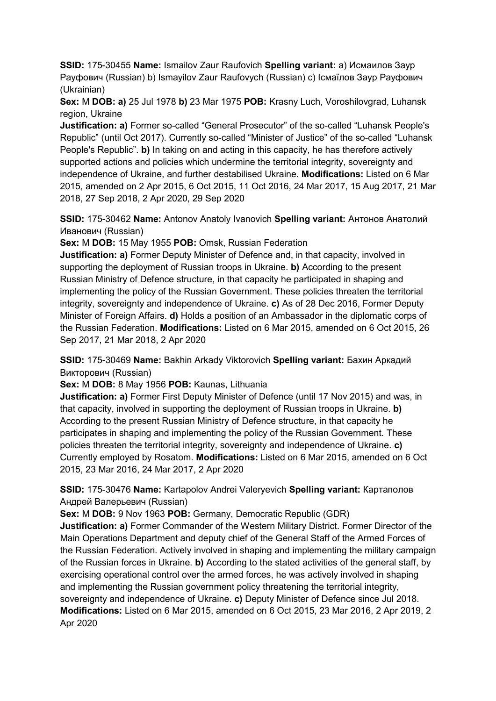**SSID:** 175-30455 **Name:** Ismailov Zaur Raufovich **Spelling variant:** a) Исмаилов Заур Рауфович (Russian) b) Ismayilov Zaur Raufovych (Russian) c) Iсмаїлов Заур Рауфович (Ukrainian)

**Sex:** M **DOB: a)** 25 Jul 1978 **b)** 23 Mar 1975 **POB:** Krasny Luch, Voroshilovgrad, Luhansk region, Ukraine

**Justification: a)** Former so-called "General Prosecutor" of the so-called "Luhansk People's Republic" (until Oct 2017). Currently so-called "Minister of Justice" of the so-called "Luhansk People's Republic". **b)** In taking on and acting in this capacity, he has therefore actively supported actions and policies which undermine the territorial integrity, sovereignty and independence of Ukraine, and further destabilised Ukraine. **Modifications:** Listed on 6 Mar 2015, amended on 2 Apr 2015, 6 Oct 2015, 11 Oct 2016, 24 Mar 2017, 15 Aug 2017, 21 Mar 2018, 27 Sep 2018, 2 Apr 2020, 29 Sep 2020

**SSID:** 175-30462 **Name:** Antonov Anatoly Ivanovich **Spelling variant:** Антонов Анатолий Иванович (Russian)

**Sex:** M **DOB:** 15 May 1955 **POB:** Omsk, Russian Federation

**Justification: a)** Former Deputy Minister of Defence and, in that capacity, involved in supporting the deployment of Russian troops in Ukraine. **b)** According to the present Russian Ministry of Defence structure, in that capacity he participated in shaping and implementing the policy of the Russian Government. These policies threaten the territorial integrity, sovereignty and independence of Ukraine. **c)** As of 28 Dec 2016, Former Deputy Minister of Foreign Affairs. **d)** Holds a position of an Ambassador in the diplomatic corps of the Russian Federation. **Modifications:** Listed on 6 Mar 2015, amended on 6 Oct 2015, 26 Sep 2017, 21 Mar 2018, 2 Apr 2020

**SSID:** 175-30469 **Name:** Bakhin Arkady Viktorovich **Spelling variant:** Бахин Аркадий Викторович (Russian)

**Sex:** M **DOB:** 8 May 1956 **POB:** Kaunas, Lithuania

**Justification: a)** Former First Deputy Minister of Defence (until 17 Nov 2015) and was, in that capacity, involved in supporting the deployment of Russian troops in Ukraine. **b)**  According to the present Russian Ministry of Defence structure, in that capacity he participates in shaping and implementing the policy of the Russian Government. These policies threaten the territorial integrity, sovereignty and independence of Ukraine. **c)**  Currently employed by Rosatom. **Modifications:** Listed on 6 Mar 2015, amended on 6 Oct 2015, 23 Mar 2016, 24 Mar 2017, 2 Apr 2020

**SSID:** 175-30476 **Name:** Kartapolov Andrei Valeryevich **Spelling variant:** Картaполов Андрей Валерьевич (Russian)

**Sex:** M **DOB:** 9 Nov 1963 **POB:** Germany, Democratic Republic (GDR)

**Justification: a)** Former Commander of the Western Military District. Former Director of the Main Operations Department and deputy chief of the General Staff of the Armed Forces of the Russian Federation. Actively involved in shaping and implementing the military campaign of the Russian forces in Ukraine. **b)** According to the stated activities of the general staff, by exercising operational control over the armed forces, he was actively involved in shaping and implementing the Russian government policy threatening the territorial integrity, sovereignty and independence of Ukraine. **c)** Deputy Minister of Defence since Jul 2018. **Modifications:** Listed on 6 Mar 2015, amended on 6 Oct 2015, 23 Mar 2016, 2 Apr 2019, 2 Apr 2020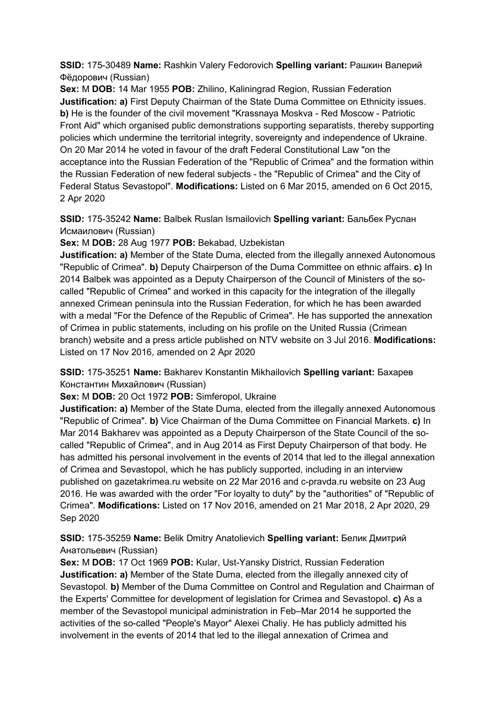**SSID:** 175-30489 **Name:** Rashkin Valery Fedorovich **Spelling variant:** Рашкин Валерий Фёдорович (Russian)

**Sex:** M **DOB:** 14 Mar 1955 **POB:** Zhilino, Kaliningrad Region, Russian Federation **Justification: a)** First Deputy Chairman of the State Duma Committee on Ethnicity issues. **b)** He is the founder of the civil movement "Krassnaya Moskva - Red Moscow - Patriotic Front Aid" which organised public demonstrations supporting separatists, thereby supporting policies which undermine the territorial integrity, sovereignty and independence of Ukraine. On 20 Mar 2014 he voted in favour of the draft Federal Constitutional Law "on the acceptance into the Russian Federation of the "Republic of Crimea" and the formation within the Russian Federation of new federal subjects - the "Republic of Crimea" and the City of Federal Status Sevastopol". **Modifications:** Listed on 6 Mar 2015, amended on 6 Oct 2015, 2 Apr 2020

**SSID:** 175-35242 **Name:** Balbek Ruslan Ismailovich **Spelling variant:** Бальбек Руслан Исмаилович (Russian)

**Sex:** M **DOB:** 28 Aug 1977 **POB:** Bekabad, Uzbekistan

**Justification: a)** Member of the State Duma, elected from the illegally annexed Autonomous "Republic of Crimea". **b)** Deputy Chairperson of the Duma Committee on ethnic affairs. **c)** In 2014 Balbek was appointed as a Deputy Chairperson of the Council of Ministers of the socalled "Republic of Crimea" and worked in this capacity for the integration of the illegally annexed Crimean peninsula into the Russian Federation, for which he has been awarded with a medal "For the Defence of the Republic of Crimea". He has supported the annexation of Crimea in public statements, including on his profile on the United Russia (Crimean branch) website and a press article published on NTV website on 3 Jul 2016. **Modifications:**  Listed on 17 Nov 2016, amended on 2 Apr 2020

**SSID:** 175-35251 **Name:** Bakharev Konstantin Mikhailovich **Spelling variant:** Бахарев Константин Михайлович (Russian)

**Sex:** M **DOB:** 20 Oct 1972 **POB:** Simferopol, Ukraine

**Justification: a)** Member of the State Duma, elected from the illegally annexed Autonomous "Republic of Crimea". **b)** Vice Chairman of the Duma Committee on Financial Markets. **c)** In Mar 2014 Bakharev was appointed as a Deputy Chairperson of the State Council of the socalled "Republic of Crimea", and in Aug 2014 as First Deputy Chairperson of that body. He has admitted his personal involvement in the events of 2014 that led to the illegal annexation of Crimea and Sevastopol, which he has publicly supported, including in an interview published on gazetakrimea.ru website on 22 Mar 2016 and c-pravda.ru website on 23 Aug 2016. He was awarded with the order "For loyalty to duty" by the "authorities" of "Republic of Crimea". **Modifications:** Listed on 17 Nov 2016, amended on 21 Mar 2018, 2 Apr 2020, 29 Sep 2020

**SSID:** 175-35259 **Name:** Belik Dmitry Anatolievich **Spelling variant:** Белик Дмитрий Анатольевич (Russian)

**Sex:** M **DOB:** 17 Oct 1969 **POB:** Kular, Ust-Yansky District, Russian Federation **Justification: a)** Member of the State Duma, elected from the illegally annexed city of Sevastopol. **b)** Member of the Duma Committee on Control and Regulation and Chairman of the Experts' Committee for development of legislation for Crimea and Sevastopol. **c)** As a member of the Sevastopol municipal administration in Feb–Mar 2014 he supported the activities of the so-called "People's Mayor" Alexei Chaliy. He has publicly admitted his involvement in the events of 2014 that led to the illegal annexation of Crimea and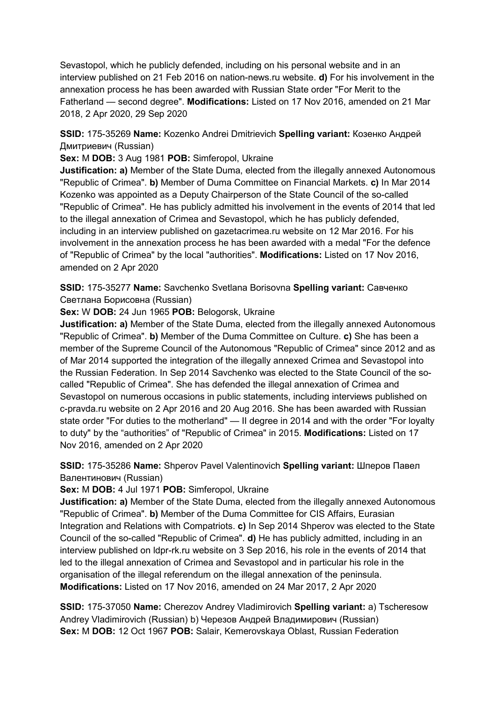Sevastopol, which he publicly defended, including on his personal website and in an interview published on 21 Feb 2016 on nation-news.ru website. **d)** For his involvement in the annexation process he has been awarded with Russian State order "For Merit to the Fatherland — second degree". **Modifications:** Listed on 17 Nov 2016, amended on 21 Mar 2018, 2 Apr 2020, 29 Sep 2020

**SSID:** 175-35269 **Name:** Kozenko Andrei Dmitrievich **Spelling variant:** Козенко Андрей Дмитриевич (Russian)

**Sex:** M **DOB:** 3 Aug 1981 **POB:** Simferopol, Ukraine

**Justification: a)** Member of the State Duma, elected from the illegally annexed Autonomous "Republic of Crimea". **b)** Member of Duma Committee on Financial Markets. **c)** In Mar 2014 Kozenko was appointed as a Deputy Chairperson of the State Council of the so-called "Republic of Crimea". He has publicly admitted his involvement in the events of 2014 that led to the illegal annexation of Crimea and Sevastopol, which he has publicly defended, including in an interview published on gazetacrimea.ru website on 12 Mar 2016. For his involvement in the annexation process he has been awarded with a medal "For the defence of "Republic of Crimea" by the local "authorities". **Modifications:** Listed on 17 Nov 2016, amended on 2 Apr 2020

**SSID:** 175-35277 **Name:** Savchenko Svetlana Borisovna **Spelling variant:** Савченко Светлана Борисовна (Russian)

**Sex:** W **DOB:** 24 Jun 1965 **POB:** Belogorsk, Ukraine

**Justification: a)** Member of the State Duma, elected from the illegally annexed Autonomous "Republic of Crimea". **b)** Member of the Duma Committee on Culture. **c)** She has been a member of the Supreme Council of the Autonomous "Republic of Crimea" since 2012 and as of Mar 2014 supported the integration of the illegally annexed Crimea and Sevastopol into the Russian Federation. In Sep 2014 Savchenko was elected to the State Council of the socalled "Republic of Crimea". She has defended the illegal annexation of Crimea and Sevastopol on numerous occasions in public statements, including interviews published on c-pravda.ru website on 2 Apr 2016 and 20 Aug 2016. She has been awarded with Russian state order "For duties to the motherland" — II degree in 2014 and with the order "For loyalty to duty" by the "authorities" of "Republic of Crimea" in 2015. **Modifications:** Listed on 17 Nov 2016, amended on 2 Apr 2020

**SSID:** 175-35286 **Name:** Shperov Pavel Valentinovich **Spelling variant:** Шперов Павел Валентинович (Russian)

**Sex:** M **DOB:** 4 Jul 1971 **POB:** Simferopol, Ukraine

**Justification: a)** Member of the State Duma, elected from the illegally annexed Autonomous "Republic of Crimea". **b)** Member of the Duma Committee for CIS Affairs, Eurasian Integration and Relations with Compatriots. **c)** In Sep 2014 Shperov was elected to the State Council of the so-called "Republic of Crimea". **d)** He has publicly admitted, including in an interview published on ldpr-rk.ru website on 3 Sep 2016, his role in the events of 2014 that led to the illegal annexation of Crimea and Sevastopol and in particular his role in the organisation of the illegal referendum on the illegal annexation of the peninsula. **Modifications:** Listed on 17 Nov 2016, amended on 24 Mar 2017, 2 Apr 2020

**SSID:** 175-37050 **Name:** Cherezov Andrey Vladimirovich **Spelling variant:** a) Tscheresow Andrey Vladimirovich (Russian) b) Черезов Андрей Владимирович (Russian) **Sex:** M **DOB:** 12 Oct 1967 **POB:** Salair, Kemerovskaya Oblast, Russian Federation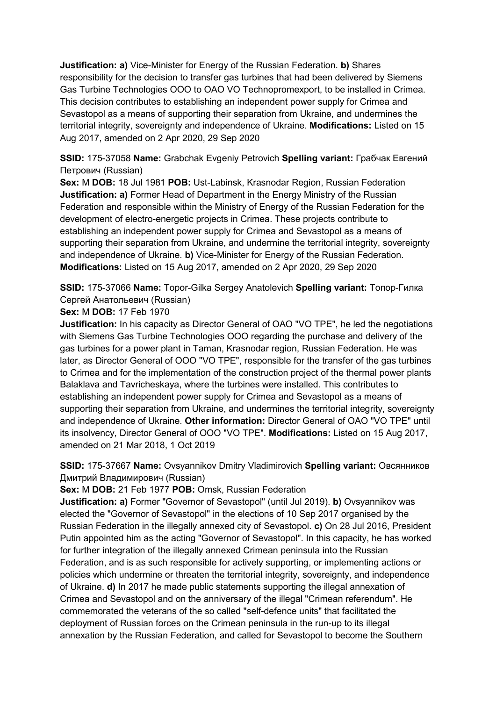**Justification: a)** Vice-Minister for Energy of the Russian Federation. **b)** Shares responsibility for the decision to transfer gas turbines that had been delivered by Siemens Gas Turbine Technologies OOO to OAO VO Technopromexport, to be installed in Crimea. This decision contributes to establishing an independent power supply for Crimea and Sevastopol as a means of supporting their separation from Ukraine, and undermines the territorial integrity, sovereignty and independence of Ukraine. **Modifications:** Listed on 15 Aug 2017, amended on 2 Apr 2020, 29 Sep 2020

**SSID:** 175-37058 **Name:** Grabchak Evgeniy Petrovich **Spelling variant:** Грабчак Евгений Петрович (Russian)

**Sex:** M **DOB:** 18 Jul 1981 **POB:** Ust-Labinsk, Krasnodar Region, Russian Federation **Justification: a)** Former Head of Department in the Energy Ministry of the Russian Federation and responsible within the Ministry of Energy of the Russian Federation for the development of electro-energetic projects in Crimea. These projects contribute to establishing an independent power supply for Crimea and Sevastopol as a means of supporting their separation from Ukraine, and undermine the territorial integrity, sovereignty and independence of Ukraine. **b)** Vice-Minister for Energy of the Russian Federation. **Modifications:** Listed on 15 Aug 2017, amended on 2 Apr 2020, 29 Sep 2020

**SSID:** 175-37066 **Name:** Topor-Gilka Sergey Anatolevich **Spelling variant:** Топор-Гилка Сергей Анатольевич (Russian)

**Sex:** M **DOB:** 17 Feb 1970

**Justification:** In his capacity as Director General of OAO "VO TPE", he led the negotiations with Siemens Gas Turbine Technologies OOO regarding the purchase and delivery of the gas turbines for a power plant in Taman, Krasnodar region, Russian Federation. He was later, as Director General of OOO "VO TPE", responsible for the transfer of the gas turbines to Crimea and for the implementation of the construction project of the thermal power plants Balaklava and Tavricheskaya, where the turbines were installed. This contributes to establishing an independent power supply for Crimea and Sevastopol as a means of supporting their separation from Ukraine, and undermines the territorial integrity, sovereignty and independence of Ukraine. **Other information:** Director General of OAO "VO TPE" until its insolvency, Director General of OOO "VO TPE". **Modifications:** Listed on 15 Aug 2017, amended on 21 Mar 2018, 1 Oct 2019

**SSID:** 175-37667 **Name:** Ovsyannikov Dmitry Vladimirovich **Spelling variant:** Овсянников Дмитрий Владимирович (Russian)

**Sex:** M **DOB:** 21 Feb 1977 **POB:** Omsk, Russian Federation

**Justification: a)** Former "Governor of Sevastopol" (until Jul 2019). **b)** Ovsyannikov was elected the "Governor of Sevastopol" in the elections of 10 Sep 2017 organised by the Russian Federation in the illegally annexed city of Sevastopol. **c)** On 28 Jul 2016, President Putin appointed him as the acting "Governor of Sevastopol". In this capacity, he has worked for further integration of the illegally annexed Crimean peninsula into the Russian Federation, and is as such responsible for actively supporting, or implementing actions or policies which undermine or threaten the territorial integrity, sovereignty, and independence of Ukraine. **d)** In 2017 he made public statements supporting the illegal annexation of Crimea and Sevastopol and on the anniversary of the illegal "Crimean referendum". He commemorated the veterans of the so called "self-defence units" that facilitated the deployment of Russian forces on the Crimean peninsula in the run-up to its illegal annexation by the Russian Federation, and called for Sevastopol to become the Southern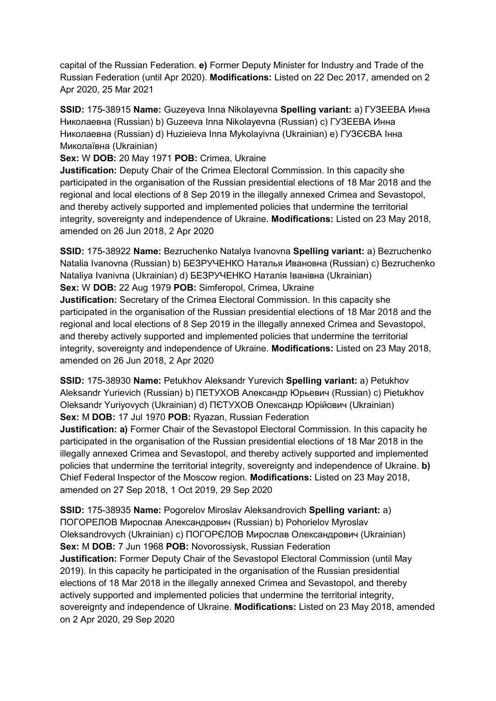capital of the Russian Federation. **e)** Former Deputy Minister for Industry and Trade of the Russian Federation (until Apr 2020). **Modifications:** Listed on 22 Dec 2017, amended on 2 Apr 2020, 25 Mar 2021

**SSID:** 175-38915 **Name:** Guzeyeva Inna Nikolayevna **Spelling variant:** a) ГУЗЕЕВА Инна Николаевна (Russian) b) Guzeeva Inna Nikolayevna (Russian) c) ГУЗЕЕВА Инна Николаевна (Russian) d) Huzieieva Inna Mykolayivna (Ukrainian) e) ГУЗЄЄВА Iнна Миколаївна (Ukrainian)

**Sex:** W **DOB:** 20 May 1971 **POB:** Crimea, Ukraine

**Justification:** Deputy Chair of the Crimea Electoral Commission. In this capacity she participated in the organisation of the Russian presidential elections of 18 Mar 2018 and the regional and local elections of 8 Sep 2019 in the illegally annexed Crimea and Sevastopol, and thereby actively supported and implemented policies that undermine the territorial integrity, sovereignty and independence of Ukraine. **Modifications:** Listed on 23 May 2018, amended on 26 Jun 2018, 2 Apr 2020

**SSID:** 175-38922 **Name:** Bezruchenko Natalya Ivanovna **Spelling variant:** a) Bezruchenko Natalia Ivanovna (Russian) b) БЕЗРУЧЕНКО Наталья Ивановна (Russian) c) Bezruchenko Nataliya Ivanivna (Ukrainian) d) БЕЗРУЧЕНКО Наталія Iванівна (Ukrainian) **Sex:** W **DOB:** 22 Aug 1979 **POB:** Simferopol, Crimea, Ukraine

**Justification:** Secretary of the Crimea Electoral Commission. In this capacity she participated in the organisation of the Russian presidential elections of 18 Mar 2018 and the regional and local elections of 8 Sep 2019 in the illegally annexed Crimea and Sevastopol, and thereby actively supported and implemented policies that undermine the territorial integrity, sovereignty and independence of Ukraine. **Modifications:** Listed on 23 May 2018, amended on 26 Jun 2018, 2 Apr 2020

**SSID:** 175-38930 **Name:** Petukhov Aleksandr Yurevich **Spelling variant:** a) Petukhov Aleksandr Yurievich (Russian) b) ПЕТУХОВ Александр Юрьевич (Russian) c) Pietukhov Oleksandr Yuriyovych (Ukrainian) d) ПЄТУХОВ Олександр Юрійович (Ukrainian) **Sex:** M **DOB:** 17 Jul 1970 **POB:** Ryazan, Russian Federation

**Justification: a)** Former Chair of the Sevastopol Electoral Commission. In this capacity he participated in the organisation of the Russian presidential elections of 18 Mar 2018 in the illegally annexed Crimea and Sevastopol, and thereby actively supported and implemented policies that undermine the territorial integrity, sovereignty and independence of Ukraine. **b)**  Chief Federal Inspector of the Moscow region. **Modifications:** Listed on 23 May 2018, amended on 27 Sep 2018, 1 Oct 2019, 29 Sep 2020

**SSID:** 175-38935 **Name:** Pogorelov Miroslav Aleksandrovich **Spelling variant:** a) ПОГОРЕЛОВ Мирослав Александрович (Russian) b) Pohorielov Myroslav Oleksandrovych (Ukrainian) c) ПОГОРЄЛОВ Мирослав Олександрович (Ukrainian) **Sex:** M **DOB:** 7 Jun 1968 **POB:** Novorossiysk, Russian Federation **Justification:** Former Deputy Chair of the Sevastopol Electoral Commission (until May 2019). In this capacity he participated in the organisation of the Russian presidential elections of 18 Mar 2018 in the illegally annexed Crimea and Sevastopol, and thereby actively supported and implemented policies that undermine the territorial integrity, sovereignty and independence of Ukraine. **Modifications:** Listed on 23 May 2018, amended on 2 Apr 2020, 29 Sep 2020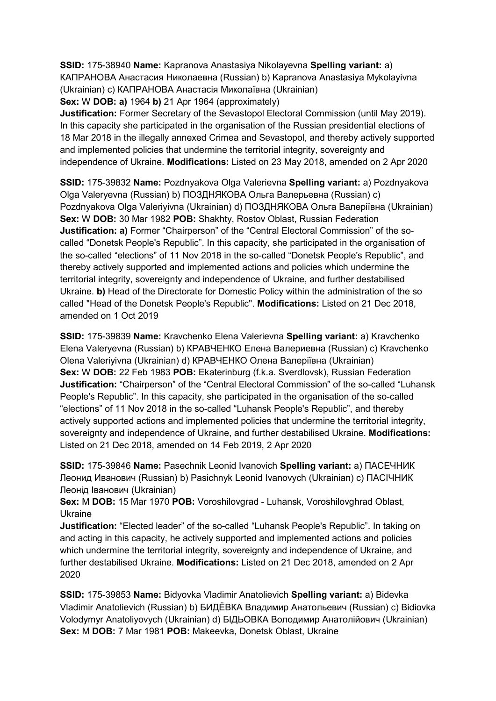**SSID:** 175-38940 **Name:** Kapranova Anastasiya Nikolayevna **Spelling variant:** a) КАПРАНОВА Анастасия Николаевна (Russian) b) Kapranova Anastasiya Mykolayivna (Ukrainian) c) КАПРАНОВА Анастасія Миколаївна (Ukrainian)

**Sex:** W **DOB: a)** 1964 **b)** 21 Apr 1964 (approximately)

**Justification:** Former Secretary of the Sevastopol Electoral Commission (until May 2019). In this capacity she participated in the organisation of the Russian presidential elections of 18 Mar 2018 in the illegally annexed Crimea and Sevastopol, and thereby actively supported and implemented policies that undermine the territorial integrity, sovereignty and independence of Ukraine. **Modifications:** Listed on 23 May 2018, amended on 2 Apr 2020

**SSID:** 175-39832 **Name:** Pozdnyakova Olga Valerievna **Spelling variant:** a) Pozdnyakova Olga Valeryevna (Russian) b) ПОЗДНЯКОВА Ольга Валерьевна (Russian) c) Pozdnyakova Olga Valeriyivna (Ukrainian) d) ПОЗДНЯКОВА Ольга Валеріївна (Ukrainian) **Sex:** W **DOB:** 30 Mar 1982 **POB:** Shakhty, Rostov Oblast, Russian Federation **Justification: a)** Former "Chairperson" of the "Central Electoral Commission" of the socalled "Donetsk People's Republic". In this capacity, she participated in the organisation of the so-called "elections" of 11 Nov 2018 in the so-called "Donetsk People's Republic", and thereby actively supported and implemented actions and policies which undermine the territorial integrity, sovereignty and independence of Ukraine, and further destabilised Ukraine. **b)** Head of the Directorate for Domestic Policy within the administration of the so called "Head of the Donetsk People's Republic". **Modifications:** Listed on 21 Dec 2018, amended on 1 Oct 2019

**SSID:** 175-39839 **Name:** Kravchenko Elena Valerievna **Spelling variant:** a) Kravchenko Elena Valeryevna (Russian) b) КРАВЧЕНКО Елена Валериевна (Russian) c) Kravchenko Olena Valeriyivna (Ukrainian) d) КРАВЧЕНКО Олена Валеріївна (Ukrainian) **Sex:** W **DOB:** 22 Feb 1983 **POB:** Ekaterinburg (f.k.a. Sverdlovsk), Russian Federation **Justification:** "Chairperson" of the "Central Electoral Commission" of the so-called "Luhansk People's Republic". In this capacity, she participated in the organisation of the so-called "elections" of 11 Nov 2018 in the so-called "Luhansk People's Republic", and thereby actively supported actions and implemented policies that undermine the territorial integrity, sovereignty and independence of Ukraine, and further destabilised Ukraine. **Modifications:**  Listed on 21 Dec 2018, amended on 14 Feb 2019, 2 Apr 2020

**SSID:** 175-39846 **Name:** Pasechnik Leonid Ivanovich **Spelling variant:** a) ПАСЕЧНИК Леонид Иванович (Russian) b) Pasichnyk Leonid Ivanovych (Ukrainian) c) ПАСІЧНИК Леонід Іванович (Ukrainian)

**Sex:** M **DOB:** 15 Mar 1970 **POB:** Voroshilovgrad - Luhansk, Voroshilovghrad Oblast, Ukraine

**Justification:** "Elected leader" of the so-called "Luhansk People's Republic". In taking on and acting in this capacity, he actively supported and implemented actions and policies which undermine the territorial integrity, sovereignty and independence of Ukraine, and further destabilised Ukraine. **Modifications:** Listed on 21 Dec 2018, amended on 2 Apr 2020

**SSID:** 175-39853 **Name:** Bidyovka Vladimir Anatolievich **Spelling variant:** a) Bidevka Vladimir Anatolievich (Russian) b) БИДЁВКА Владимир Анатольевич (Russian) c) Bidiovka Volodymyr Anatoliyovych (Ukrainian) d) БІДЬОВКА Володимир Анатолійович (Ukrainian) **Sex:** M **DOB:** 7 Mar 1981 **POB:** Makeevka, Donetsk Oblast, Ukraine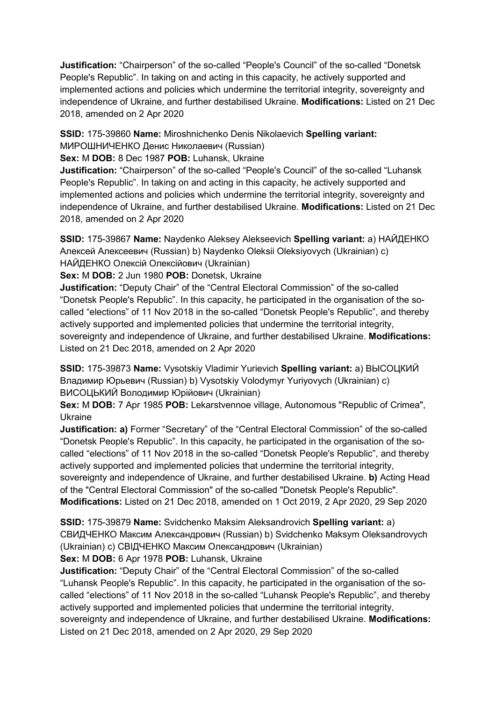**Justification:** "Chairperson" of the so-called "People's Council" of the so-called "Donetsk People's Republic". In taking on and acting in this capacity, he actively supported and implemented actions and policies which undermine the territorial integrity, sovereignty and independence of Ukraine, and further destabilised Ukraine. **Modifications:** Listed on 21 Dec 2018, amended on 2 Apr 2020

**SSID:** 175-39860 **Name:** Miroshnichenko Denis Nikolaevich **Spelling variant:** 

МИРОШНИЧЕНКО Денис Николаевич (Russian)

### **Sex:** M **DOB:** 8 Dec 1987 **POB:** Luhansk, Ukraine

**Justification:** "Chairperson" of the so-called "People's Council" of the so-called "Luhansk People's Republic". In taking on and acting in this capacity, he actively supported and implemented actions and policies which undermine the territorial integrity, sovereignty and independence of Ukraine, and further destabilised Ukraine. **Modifications:** Listed on 21 Dec 2018, amended on 2 Apr 2020

**SSID:** 175-39867 **Name:** Naydenko Aleksey Alekseevich **Spelling variant:** a) НАЙДЕНКО Алексей Алексеевич (Russian) b) Naydenko Oleksii Oleksiyovych (Ukrainian) c) НАЙДЕНКО Олексій Олексійович (Ukrainian)

**Sex:** M **DOB:** 2 Jun 1980 **POB:** Donetsk, Ukraine

**Justification:** "Deputy Chair" of the "Central Electoral Commission" of the so-called "Donetsk People's Republic". In this capacity, he participated in the organisation of the socalled "elections" of 11 Nov 2018 in the so-called "Donetsk People's Republic", and thereby actively supported and implemented policies that undermine the territorial integrity, sovereignty and independence of Ukraine, and further destabilised Ukraine. **Modifications:**  Listed on 21 Dec 2018, amended on 2 Apr 2020

**SSID:** 175-39873 **Name:** Vysotskiy Vladimir Yurievich **Spelling variant:** a) ВЫСОЦКИЙ Владимир Юрьевич (Russian) b) Vysotskiy Volodymyr Yuriyovych (Ukrainian) c) ВИСОЦЬКИЙ Володимир Юрійович (Ukrainian)

**Sex:** M **DOB:** 7 Apr 1985 **POB:** Lekarstvennoe village, Autonomous "Republic of Crimea", Ukraine

**Justification: a)** Former "Secretary" of the "Central Electoral Commission" of the so-called "Donetsk People's Republic". In this capacity, he participated in the organisation of the socalled "elections" of 11 Nov 2018 in the so-called "Donetsk People's Republic", and thereby actively supported and implemented policies that undermine the territorial integrity, sovereignty and independence of Ukraine, and further destabilised Ukraine. **b)** Acting Head of the "Central Electoral Commission" of the so-called "Donetsk People's Republic". **Modifications:** Listed on 21 Dec 2018, amended on 1 Oct 2019, 2 Apr 2020, 29 Sep 2020

**SSID:** 175-39879 **Name:** Svidchenko Maksim Aleksandrovich **Spelling variant:** a) СВИДЧЕНКО Максим Александрович (Russian) b) Svidchenko Maksym Oleksandrovych (Ukrainian) c) СВІДЧЕНКО Максим Олександрович (Ukrainian)

**Sex:** M **DOB:** 6 Apr 1978 **POB:** Luhansk, Ukraine

**Justification:** "Deputy Chair" of the "Central Electoral Commission" of the so-called "Luhansk People's Republic". In this capacity, he participated in the organisation of the socalled "elections" of 11 Nov 2018 in the so-called "Luhansk People's Republic", and thereby actively supported and implemented policies that undermine the territorial integrity, sovereignty and independence of Ukraine, and further destabilised Ukraine. **Modifications:**  Listed on 21 Dec 2018, amended on 2 Apr 2020, 29 Sep 2020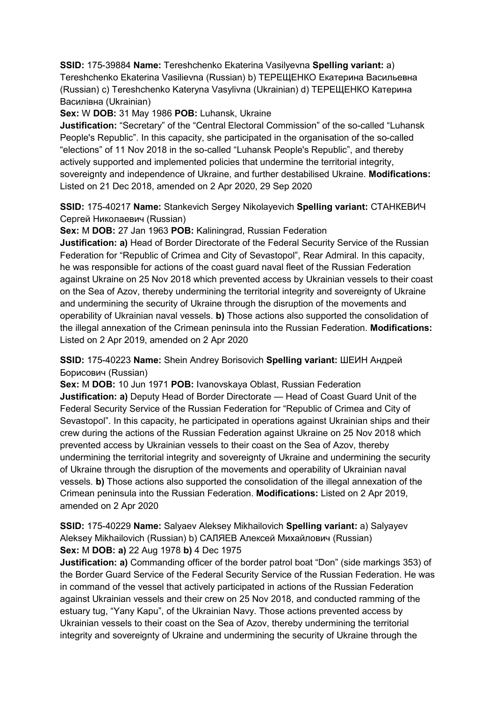# **SSID:** 175-39884 **Name:** Tereshchenko Ekaterina Vasilyevna **Spelling variant:** a)

Tereshchenko Ekaterina Vasilievna (Russian) b) ТЕРЕЩЕНКО Екатерина Васильевна (Russian) c) Tereshchenko Kateryna Vasylivna (Ukrainian) d) ТЕРЕЩЕНКО Катерина Василівна (Ukrainian)

**Sex:** W **DOB:** 31 May 1986 **POB:** Luhansk, Ukraine

**Justification:** "Secretary" of the "Central Electoral Commission" of the so-called "Luhansk People's Republic". In this capacity, she participated in the organisation of the so-called "elections" of 11 Nov 2018 in the so-called "Luhansk People's Republic", and thereby actively supported and implemented policies that undermine the territorial integrity, sovereignty and independence of Ukraine, and further destabilised Ukraine. **Modifications:**  Listed on 21 Dec 2018, amended on 2 Apr 2020, 29 Sep 2020

**SSID:** 175-40217 **Name:** Stankevich Sergey Nikolayevich **Spelling variant:** СТАНКЕВИЧ Сергей Николаевич (Russian)

**Sex:** M **DOB:** 27 Jan 1963 **POB:** Kaliningrad, Russian Federation

**Justification: a)** Head of Border Directorate of the Federal Security Service of the Russian Federation for "Republic of Crimea and City of Sevastopol", Rear Admiral. In this capacity, he was responsible for actions of the coast guard naval fleet of the Russian Federation against Ukraine on 25 Nov 2018 which prevented access by Ukrainian vessels to their coast on the Sea of Azov, thereby undermining the territorial integrity and sovereignty of Ukraine and undermining the security of Ukraine through the disruption of the movements and operability of Ukrainian naval vessels. **b)** Those actions also supported the consolidation of the illegal annexation of the Crimean peninsula into the Russian Federation. **Modifications:**  Listed on 2 Apr 2019, amended on 2 Apr 2020

**SSID:** 175-40223 **Name:** Shein Andrey Borisovich **Spelling variant:** ШЕИН Андрей Борисович (Russian)

**Sex:** M **DOB:** 10 Jun 1971 **POB:** Ivanovskaya Oblast, Russian Federation **Justification: a)** Deputy Head of Border Directorate — Head of Coast Guard Unit of the Federal Security Service of the Russian Federation for "Republic of Crimea and City of Sevastopol". In this capacity, he participated in operations against Ukrainian ships and their crew during the actions of the Russian Federation against Ukraine on 25 Nov 2018 which prevented access by Ukrainian vessels to their coast on the Sea of Azov, thereby undermining the territorial integrity and sovereignty of Ukraine and undermining the security of Ukraine through the disruption of the movements and operability of Ukrainian naval vessels. **b)** Those actions also supported the consolidation of the illegal annexation of the Crimean peninsula into the Russian Federation. **Modifications:** Listed on 2 Apr 2019, amended on 2 Apr 2020

**SSID:** 175-40229 **Name:** Salyaev Aleksey Mikhailovich **Spelling variant:** a) Salyayev Aleksey Mikhailovich (Russian) b) САЛЯЕВ Алексей Михайлович (Russian) **Sex:** M **DOB: a)** 22 Aug 1978 **b)** 4 Dec 1975

**Justification: a)** Commanding officer of the border patrol boat "Don" (side markings 353) of the Border Guard Service of the Federal Security Service of the Russian Federation. He was in command of the vessel that actively participated in actions of the Russian Federation against Ukrainian vessels and their crew on 25 Nov 2018, and conducted ramming of the estuary tug, "Yany Kapu", of the Ukrainian Navy. Those actions prevented access by Ukrainian vessels to their coast on the Sea of Azov, thereby undermining the territorial integrity and sovereignty of Ukraine and undermining the security of Ukraine through the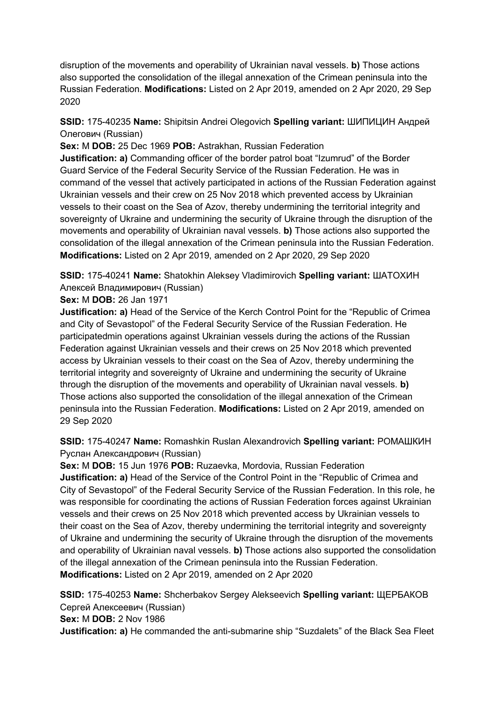disruption of the movements and operability of Ukrainian naval vessels. **b)** Those actions also supported the consolidation of the illegal annexation of the Crimean peninsula into the Russian Federation. **Modifications:** Listed on 2 Apr 2019, amended on 2 Apr 2020, 29 Sep 2020

# **SSID:** 175-40235 **Name:** Shipitsin Andrei Olegovich **Spelling variant:** ШИПИЦИН Андрей Олегович (Russian)

**Sex:** M **DOB:** 25 Dec 1969 **POB:** Astrakhan, Russian Federation

**Justification: a)** Commanding officer of the border patrol boat "Izumrud" of the Border Guard Service of the Federal Security Service of the Russian Federation. He was in command of the vessel that actively participated in actions of the Russian Federation against Ukrainian vessels and their crew on 25 Nov 2018 which prevented access by Ukrainian vessels to their coast on the Sea of Azov, thereby undermining the territorial integrity and sovereignty of Ukraine and undermining the security of Ukraine through the disruption of the movements and operability of Ukrainian naval vessels. **b)** Those actions also supported the consolidation of the illegal annexation of the Crimean peninsula into the Russian Federation. **Modifications:** Listed on 2 Apr 2019, amended on 2 Apr 2020, 29 Sep 2020

**SSID:** 175-40241 **Name:** Shatokhin Aleksey Vladimirovich **Spelling variant:** ШАТОХИН Алексей Владимирович (Russian)

### **Sex:** M **DOB:** 26 Jan 1971

**Justification: a)** Head of the Service of the Kerch Control Point for the "Republic of Crimea and City of Sevastopol" of the Federal Security Service of the Russian Federation. He participatedmin operations against Ukrainian vessels during the actions of the Russian Federation against Ukrainian vessels and their crews on 25 Nov 2018 which prevented access by Ukrainian vessels to their coast on the Sea of Azov, thereby undermining the territorial integrity and sovereignty of Ukraine and undermining the security of Ukraine through the disruption of the movements and operability of Ukrainian naval vessels. **b)** Those actions also supported the consolidation of the illegal annexation of the Crimean peninsula into the Russian Federation. **Modifications:** Listed on 2 Apr 2019, amended on 29 Sep 2020

# **SSID:** 175-40247 **Name:** Romashkin Ruslan Alexandrovich **Spelling variant:** РОМАШКИН Руслан Александрович (Russian)

**Sex:** M **DOB:** 15 Jun 1976 **POB:** Ruzaevka, Mordovia, Russian Federation **Justification: a)** Head of the Service of the Control Point in the "Republic of Crimea and City of Sevastopol" of the Federal Security Service of the Russian Federation. In this role, he was responsible for coordinating the actions of Russian Federation forces against Ukrainian vessels and their crews on 25 Nov 2018 which prevented access by Ukrainian vessels to their coast on the Sea of Azov, thereby undermining the territorial integrity and sovereignty of Ukraine and undermining the security of Ukraine through the disruption of the movements and operability of Ukrainian naval vessels. **b)** Those actions also supported the consolidation of the illegal annexation of the Crimean peninsula into the Russian Federation. **Modifications:** Listed on 2 Apr 2019, amended on 2 Apr 2020

**SSID:** 175-40253 **Name:** Shcherbakov Sergey Alekseevich **Spelling variant:** ЩЕРБАКОВ Сергей Алексеевич (Russian) **Sex:** M **DOB:** 2 Nov 1986

**Justification: a)** He commanded the anti-submarine ship "Suzdalets" of the Black Sea Fleet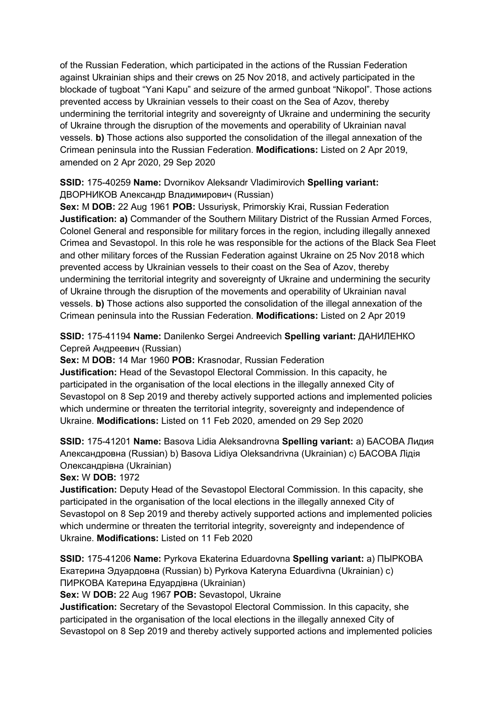of the Russian Federation, which participated in the actions of the Russian Federation against Ukrainian ships and their crews on 25 Nov 2018, and actively participated in the blockade of tugboat "Yani Kapu" and seizure of the armed gunboat "Nikopol". Those actions prevented access by Ukrainian vessels to their coast on the Sea of Azov, thereby undermining the territorial integrity and sovereignty of Ukraine and undermining the security of Ukraine through the disruption of the movements and operability of Ukrainian naval vessels. **b)** Those actions also supported the consolidation of the illegal annexation of the Crimean peninsula into the Russian Federation. **Modifications:** Listed on 2 Apr 2019, amended on 2 Apr 2020, 29 Sep 2020

# **SSID:** 175-40259 **Name:** Dvornikov Aleksandr Vladimirovich **Spelling variant:**  ДВОРНИКОВ Александр Владимирович (Russian)

**Sex:** M **DOB:** 22 Aug 1961 **POB:** Ussuriysk, Primorskiy Krai, Russian Federation **Justification: a)** Commander of the Southern Military District of the Russian Armed Forces, Colonel General and responsible for military forces in the region, including illegally annexed Crimea and Sevastopol. In this role he was responsible for the actions of the Black Sea Fleet and other military forces of the Russian Federation against Ukraine on 25 Nov 2018 which prevented access by Ukrainian vessels to their coast on the Sea of Azov, thereby undermining the territorial integrity and sovereignty of Ukraine and undermining the security of Ukraine through the disruption of the movements and operability of Ukrainian naval vessels. **b)** Those actions also supported the consolidation of the illegal annexation of the Crimean peninsula into the Russian Federation. **Modifications:** Listed on 2 Apr 2019

# **SSID:** 175-41194 **Name:** Danilenko Sergei Andreevich **Spelling variant:** ДАНИЛЕНКО Сергей Андреевич (Russian)

**Sex:** M **DOB:** 14 Mar 1960 **POB:** Krasnodar, Russian Federation

**Justification:** Head of the Sevastopol Electoral Commission. In this capacity, he participated in the organisation of the local elections in the illegally annexed City of Sevastopol on 8 Sep 2019 and thereby actively supported actions and implemented policies which undermine or threaten the territorial integrity, sovereignty and independence of Ukraine. **Modifications:** Listed on 11 Feb 2020, amended on 29 Sep 2020

**SSID:** 175-41201 **Name:** Basova Lidia Aleksandrovna **Spelling variant:** a) БАСОВА Лидия Александровна (Russian) b) Basova Lidiya Oleksandrivna (Ukrainian) c) БАСОВА Лiдiя Олександрiвна (Ukrainian)

**Sex:** W **DOB:** 1972

**Justification:** Deputy Head of the Sevastopol Electoral Commission. In this capacity, she participated in the organisation of the local elections in the illegally annexed City of Sevastopol on 8 Sep 2019 and thereby actively supported actions and implemented policies which undermine or threaten the territorial integrity, sovereignty and independence of Ukraine. **Modifications:** Listed on 11 Feb 2020

**SSID:** 175-41206 **Name:** Pyrkova Ekaterina Eduardovna **Spelling variant:** a) ПЫРКОВА Екатерина Эдуардовна (Russian) b) Pyrkova Kateryna Eduardivna (Ukrainian) c) ПИРКОВА Катерина Едуардiвна (Ukrainian)

**Sex:** W **DOB:** 22 Aug 1967 **POB:** Sevastopol, Ukraine

**Justification:** Secretary of the Sevastopol Electoral Commission. In this capacity, she participated in the organisation of the local elections in the illegally annexed City of Sevastopol on 8 Sep 2019 and thereby actively supported actions and implemented policies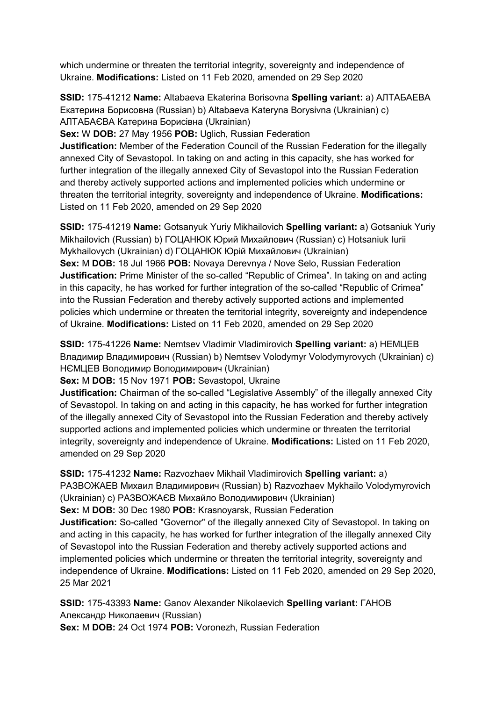which undermine or threaten the territorial integrity, sovereignty and independence of Ukraine. **Modifications:** Listed on 11 Feb 2020, amended on 29 Sep 2020

**SSID:** 175-41212 **Name:** Altabaeva Ekaterina Borisovna **Spelling variant:** a) АЛТАБАЕВА Екатерина Борисовна (Russian) b) Altabaeva Kateryna Borysivna (Ukrainian) c) АЛТАБАЄВА Катерина Борисiвна (Ukrainian)

**Sex:** W **DOB:** 27 May 1956 **POB:** Uglich, Russian Federation

**Justification:** Member of the Federation Council of the Russian Federation for the illegally annexed City of Sevastopol. In taking on and acting in this capacity, she has worked for further integration of the illegally annexed City of Sevastopol into the Russian Federation and thereby actively supported actions and implemented policies which undermine or threaten the territorial integrity, sovereignty and independence of Ukraine. **Modifications:**  Listed on 11 Feb 2020, amended on 29 Sep 2020

**SSID:** 175-41219 **Name:** Gotsanyuk Yuriy Mikhailovich **Spelling variant:** a) Gotsaniuk Yuriy Mikhailovich (Russian) b) ГОЦАНЮК Юрий Михайлович (Russian) c) Hotsaniuk Iurii Mykhailovych (Ukrainian) d) ГОЦАНЮК Юрiй Михайлович (Ukrainian) **Sex:** M **DOB:** 18 Jul 1966 **POB:** Novaya Derevnya / Nove Selo, Russian Federation **Justification:** Prime Minister of the so-called "Republic of Crimea". In taking on and acting in this capacity, he has worked for further integration of the so-called "Republic of Crimea" into the Russian Federation and thereby actively supported actions and implemented policies which undermine or threaten the territorial integrity, sovereignty and independence of Ukraine. **Modifications:** Listed on 11 Feb 2020, amended on 29 Sep 2020

**SSID:** 175-41226 **Name:** Nemtsev Vladimir Vladimirovich **Spelling variant:** a) НЕМЦЕВ Владимир Владимирович (Russian) b) Nemtsev Volodymyr Volodymyrovych (Ukrainian) c) НЄМЦЕВ Володимир Володимирович (Ukrainian)

**Sex:** M **DOB:** 15 Nov 1971 **POB:** Sevastopol, Ukraine

**Justification:** Chairman of the so-called "Legislative Assembly" of the illegally annexed City of Sevastopol. In taking on and acting in this capacity, he has worked for further integration of the illegally annexed City of Sevastopol into the Russian Federation and thereby actively supported actions and implemented policies which undermine or threaten the territorial integrity, sovereignty and independence of Ukraine. **Modifications:** Listed on 11 Feb 2020, amended on 29 Sep 2020

**SSID:** 175-41232 **Name:** Razvozhaev Mikhail Vladimirovich **Spelling variant:** a)

РАЗВОЖАЕВ Михаил Владимирович (Russian) b) Razvozhaev Mykhailo Volodymyrovich (Ukrainian) c) РАЗВОЖАЄВ Михайло Володимирович (Ukrainian)

**Sex:** M **DOB:** 30 Dec 1980 **POB:** Krasnoyarsk, Russian Federation

**Justification:** So-called "Governor" of the illegally annexed City of Sevastopol. In taking on and acting in this capacity, he has worked for further integration of the illegally annexed City of Sevastopol into the Russian Federation and thereby actively supported actions and implemented policies which undermine or threaten the territorial integrity, sovereignty and independence of Ukraine. **Modifications:** Listed on 11 Feb 2020, amended on 29 Sep 2020, 25 Mar 2021

**SSID:** 175-43393 **Name:** Ganov Alexander Nikolaevich **Spelling variant:** ГАНОВ Александр Николаевич (Russian) **Sex:** M **DOB:** 24 Oct 1974 **POB:** Voronezh, Russian Federation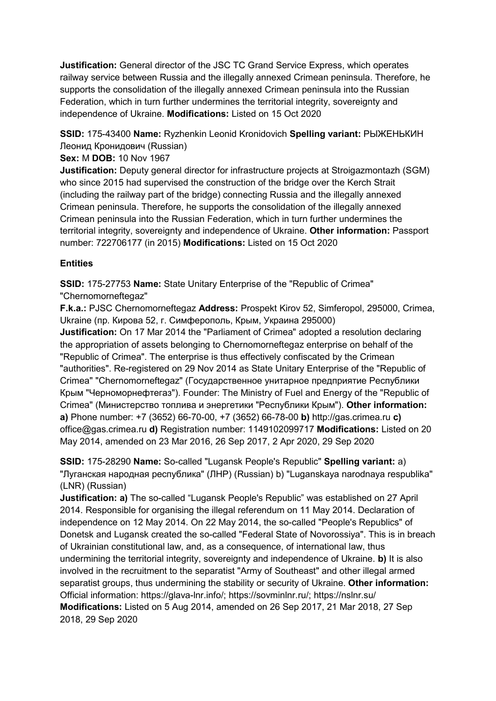**Justification:** General director of the JSC TC Grand Service Express, which operates railway service between Russia and the illegally annexed Crimean peninsula. Therefore, he supports the consolidation of the illegally annexed Crimean peninsula into the Russian Federation, which in turn further undermines the territorial integrity, sovereignty and independence of Ukraine. **Modifications:** Listed on 15 Oct 2020

**SSID:** 175-43400 **Name:** Ryzhenkin Leonid Kronidovich **Spelling variant:** РЫЖЕНЬКИН Леонид Кронидович (Russian)

### **Sex:** M **DOB:** 10 Nov 1967

**Justification:** Deputy general director for infrastructure projects at Stroigazmontazh (SGM) who since 2015 had supervised the construction of the bridge over the Kerch Strait (including the railway part of the bridge) connecting Russia and the illegally annexed Crimean peninsula. Therefore, he supports the consolidation of the illegally annexed Crimean peninsula into the Russian Federation, which in turn further undermines the territorial integrity, sovereignty and independence of Ukraine. **Other information:** Passport number: 722706177 (in 2015) **Modifications:** Listed on 15 Oct 2020

### **Entities**

**SSID:** 175-27753 **Name:** State Unitary Enterprise of the "Republic of Crimea" "Chernomorneftegaz"

**F.k.a.:** PJSC Chernomorneftegaz **Address:** Prospekt Kirov 52, Simferopol, 295000, Crimea, Ukraine (пр. Кирова 52, г. Симферополь, Крым, Украина 295000)

**Justification:** On 17 Mar 2014 the "Parliament of Crimea" adopted a resolution declaring the appropriation of assets belonging to Chernomorneftegaz enterprise on behalf of the "Republic of Crimea". The enterprise is thus effectively confiscated by the Crimean "authorities". Re-registered on 29 Nov 2014 as State Unitary Enterprise of the "Republic of Crimea" "Chernomorneftegaz" (Государственное унитарное предприятие Республики Крым "Черноморнефтегаз"). Founder: The Ministry of Fuel and Energy of the "Republic of Crimea" (Министерство топлива и энергетики "Республики Крым"). **Other information: a)** Phone number: +7 (3652) 66-70-00, +7 (3652) 66-78-00 **b)** http://gas.crimea.ru **c)**  office@gas.crimea.ru **d)** Registration number: 1149102099717 **Modifications:** Listed on 20 May 2014, amended on 23 Mar 2016, 26 Sep 2017, 2 Apr 2020, 29 Sep 2020

**SSID:** 175-28290 **Name:** So-called "Lugansk People's Republic" **Spelling variant:** a) "Луганская народная республика" (ЛНР) (Russian) b) "Luganskaya narodnaya respublika" (LNR) (Russian)

**Justification: a)** The so-called "Lugansk People's Republic" was established on 27 April 2014. Responsible for organising the illegal referendum on 11 May 2014. Declaration of independence on 12 May 2014. On 22 May 2014, the so-called "People's Republics" of Donetsk and Lugansk created the so-called "Federal State of Novorossiya". This is in breach of Ukrainian constitutional law, and, as a consequence, of international law, thus undermining the territorial integrity, sovereignty and independence of Ukraine. **b)** It is also involved in the recruitment to the separatist "Army of Southeast" and other illegal armed separatist groups, thus undermining the stability or security of Ukraine. **Other information:** Official information: https://glava-lnr.info/; https://sovminlnr.ru/; https://nslnr.su/ **Modifications:** Listed on 5 Aug 2014, amended on 26 Sep 2017, 21 Mar 2018, 27 Sep 2018, 29 Sep 2020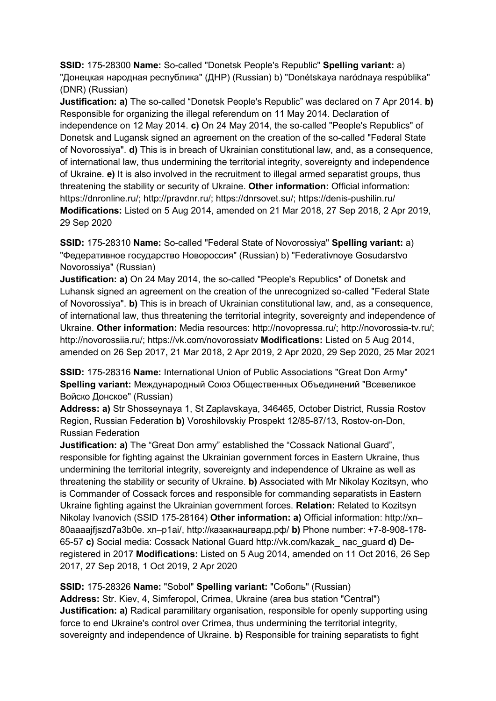**SSID:** 175-28300 **Name:** So-called "Donetsk People's Republic" **Spelling variant:** a) "Донецкая народная республика" (ДНР) (Russian) b) "Donétskaya naródnaya respúblika" (DNR) (Russian)

**Justification: a)** The so-called "Donetsk People's Republic" was declared on 7 Apr 2014. **b)**  Responsible for organizing the illegal referendum on 11 May 2014. Declaration of independence on 12 May 2014. **c)** On 24 May 2014, the so-called "People's Republics" of Donetsk and Lugansk signed an agreement on the creation of the so-called "Federal State of Novorossiya". **d)** This is in breach of Ukrainian constitutional law, and, as a consequence, of international law, thus undermining the territorial integrity, sovereignty and independence of Ukraine. **e)** It is also involved in the recruitment to illegal armed separatist groups, thus threatening the stability or security of Ukraine. **Other information:** Official information: https://dnronline.ru/; http://pravdnr.ru/; https://dnrsovet.su/; https://denis-pushilin.ru/ **Modifications:** Listed on 5 Aug 2014, amended on 21 Mar 2018, 27 Sep 2018, 2 Apr 2019, 29 Sep 2020

**SSID:** 175-28310 **Name:** So-called "Federal State of Novorossiya" **Spelling variant:** a) "Федеративное государство Новороссия" (Russian) b) "Federativnoye Gosudarstvo Novorossiya" (Russian)

**Justification: a)** On 24 May 2014, the so-called "People's Republics" of Donetsk and Luhansk signed an agreement on the creation of the unrecognized so-called "Federal State of Novorossiya". **b)** This is in breach of Ukrainian constitutional law, and, as a consequence, of international law, thus threatening the territorial integrity, sovereignty and independence of Ukraine. **Other information:** Media resources: http://novopressa.ru/; http://novorossia-tv.ru/; http://novorossiia.ru/; https://vk.com/novorossiatv **Modifications:** Listed on 5 Aug 2014, amended on 26 Sep 2017, 21 Mar 2018, 2 Apr 2019, 2 Apr 2020, 29 Sep 2020, 25 Mar 2021

**SSID:** 175-28316 **Name:** International Union of Public Associations "Great Don Army" **Spelling variant:** Международный Союз Общественных Объединений "Всевеликое Войско Донское" (Russian)

**Address: a)** Str Shosseynaya 1, St Zaplavskaya, 346465, October District, Russia Rostov Region, Russian Federation **b)** Voroshilovskiy Prospekt 12/85-87/13, Rostov-on-Don, Russian Federation

**Justification: a)** The "Great Don army" established the "Cossack National Guard", responsible for fighting against the Ukrainian government forces in Eastern Ukraine, thus undermining the territorial integrity, sovereignty and independence of Ukraine as well as threatening the stability or security of Ukraine. **b)** Associated with Mr Nikolay Kozitsyn, who is Commander of Cossack forces and responsible for commanding separatists in Eastern Ukraine fighting against the Ukrainian government forces. **Relation:** Related to Kozitsyn Nikolay Ivanovich (SSID 175-28164) **Other information: a)** Official information: http://xn– 80aaaajfjszd7a3b0e. xn–p1ai/, http://казакнацгвард.рф/ **b)** Phone number: +7-8-908-178- 65-57 **c)** Social media: Cossack National Guard http://vk.com/kazak\_ nac\_guard **d)** Deregistered in 2017 **Modifications:** Listed on 5 Aug 2014, amended on 11 Oct 2016, 26 Sep 2017, 27 Sep 2018, 1 Oct 2019, 2 Apr 2020

**SSID:** 175-28326 **Name:** "Sobol" **Spelling variant:** "Соболь" (Russian) **Address:** Str. Kiev, 4, Simferopol, Crimea, Ukraine (area bus station "Central") **Justification: a)** Radical paramilitary organisation, responsible for openly supporting using force to end Ukraine's control over Crimea, thus undermining the territorial integrity, sovereignty and independence of Ukraine. **b)** Responsible for training separatists to fight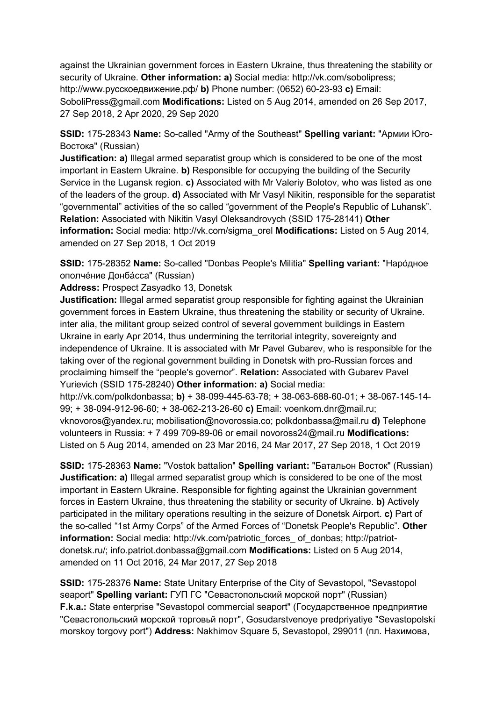against the Ukrainian government forces in Eastern Ukraine, thus threatening the stability or security of Ukraine. **Other information: a)** Social media: http://vk.com/sobolipress; http://www.русскоедвижение.рф/ **b)** Phone number: (0652) 60-23-93 **c)** Email: SoboliPress@gmail.com **Modifications:** Listed on 5 Aug 2014, amended on 26 Sep 2017, 27 Sep 2018, 2 Apr 2020, 29 Sep 2020

**SSID:** 175-28343 **Name:** So-called "Army of the Southeast" **Spelling variant:** "Армии Юго-Востока" (Russian)

**Justification: a)** Illegal armed separatist group which is considered to be one of the most important in Eastern Ukraine. **b)** Responsible for occupying the building of the Security Service in the Lugansk region. **c)** Associated with Mr Valeriy Bolotov, who was listed as one of the leaders of the group. **d)** Associated with Mr Vasyl Nikitin, responsible for the separatist "governmental" activities of the so called "government of the People's Republic of Luhansk". **Relation:** Associated with Nikitin Vasyl Oleksandrovych (SSID 175-28141) **Other information:** Social media: http://vk.com/sigma\_orel **Modifications:** Listed on 5 Aug 2014, amended on 27 Sep 2018, 1 Oct 2019

**SSID:** 175-28352 **Name:** So-called "Donbas People's Militia" **Spelling variant:** "Нарóдное ополчéние Донбáсса" (Russian)

**Address:** Prospect Zasyadko 13, Donetsk

**Justification:** Illegal armed separatist group responsible for fighting against the Ukrainian government forces in Eastern Ukraine, thus threatening the stability or security of Ukraine. inter alia, the militant group seized control of several government buildings in Eastern Ukraine in early Apr 2014, thus undermining the territorial integrity, sovereignty and independence of Ukraine. It is associated with Mr Pavel Gubarev, who is responsible for the taking over of the regional government building in Donetsk with pro-Russian forces and proclaiming himself the "people's governor". **Relation:** Associated with Gubarev Pavel Yurievich (SSID 175-28240) **Other information: a)** Social media:

http://vk.com/polkdonbassa; **b)** + 38-099-445-63-78; + 38-063-688-60-01; + 38-067-145-14- 99; + 38-094-912-96-60; + 38-062-213-26-60 **c)** Email: voenkom.dnr@mail.ru; vknovoros@yandex.ru; mobilisation@novorossia.co; polkdonbassa@mail.ru **d)** Telephone volunteers in Russia: + 7 499 709-89-06 or email novoross24@mail.ru **Modifications:**  Listed on 5 Aug 2014, amended on 23 Mar 2016, 24 Mar 2017, 27 Sep 2018, 1 Oct 2019

**SSID:** 175-28363 **Name:** "Vostok battalion" **Spelling variant:** "Батальон Восток" (Russian) **Justification: a)** Illegal armed separatist group which is considered to be one of the most important in Eastern Ukraine. Responsible for fighting against the Ukrainian government forces in Eastern Ukraine, thus threatening the stability or security of Ukraine. **b)** Actively participated in the military operations resulting in the seizure of Donetsk Airport. **c)** Part of the so-called "1st Army Corps" of the Armed Forces of "Donetsk People's Republic". **Other information:** Social media: http://vk.com/patriotic\_forces\_ of\_donbas; http://patriotdonetsk.ru/; info.patriot.donbassa@gmail.com **Modifications:** Listed on 5 Aug 2014, amended on 11 Oct 2016, 24 Mar 2017, 27 Sep 2018

**SSID:** 175-28376 **Name:** State Unitary Enterprise of the City of Sevastopol, "Sevastopol seaport" **Spelling variant:** ГУП ГС "Севастопольский морской порт" (Russian) **F.k.a.:** State enterprise "Sevastopol commercial seaport" (Государственное предприятие "Севастопольский морской торговьй порт", Gosudarstvenoye predpriyatiye "Sevastopolski morskoy torgovy port") **Address:** Nakhimov Square 5, Sevastopol, 299011 (пл. Нахимова,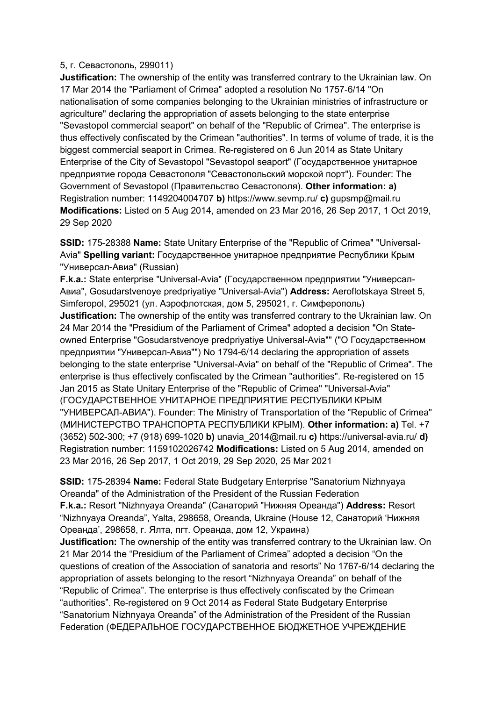#### 5, г. Севастополь, 299011)

**Justification:** The ownership of the entity was transferred contrary to the Ukrainian law. On 17 Mar 2014 the "Parliament of Crimea" adopted a resolution No 1757-6/14 "On nationalisation of some companies belonging to the Ukrainian ministries of infrastructure or agriculture" declaring the appropriation of assets belonging to the state enterprise "Sevastopol commercial seaport" on behalf of the "Republic of Crimea". The enterprise is thus effectively confiscated by the Crimean "authorities". In terms of volume of trade, it is the biggest commercial seaport in Crimea. Re-registered on 6 Jun 2014 as State Unitary Enterprise of the City of Sevastopol "Sevastopol seaport" (Государственное унитарное предприятие города Севастополя "Севастопольский морской порт"). Founder: The Government of Sevastopol (Правительство Севастополя). **Other information: a)**  Registration number: 1149204004707 **b)** https://www.sevmp.ru/ **c)** gupsmp@mail.ru **Modifications:** Listed on 5 Aug 2014, amended on 23 Mar 2016, 26 Sep 2017, 1 Oct 2019, 29 Sep 2020

**SSID:** 175-28388 **Name:** State Unitary Enterprise of the "Republic of Crimea" "Universal-Avia" **Spelling variant:** Государственное унитарное предприятие Республики Крым "Универсал-Авиа" (Russian)

**F.k.a.:** State enterprise "Universal-Avia" (Государственном предприятии "Универсал-Авиа", Gosudarstvenoye predpriyatiye "Universal-Avia") **Address:** Aeroflotskaya Street 5, Simferopol, 295021 (ул. Аэрофлотская, дом 5, 295021, г. Симферополь) **Justification:** The ownership of the entity was transferred contrary to the Ukrainian law. On 24 Mar 2014 the "Presidium of the Parliament of Crimea" adopted a decision "On Stateowned Enterprise "Gosudarstvenoye predpriyatiye Universal-Avia"" ("О Государственном предприятии "Универсал-Авиа"") No 1794-6/14 declaring the appropriation of assets belonging to the state enterprise "Universal-Avia" on behalf of the "Republic of Crimea". The enterprise is thus effectively confiscated by the Crimean "authorities". Re-registered on 15 Jan 2015 as State Unitary Enterprise of the "Republic of Crimea" "Universal-Avia" (ГОСУДАРСТВЕННОЕ УНИТАРНОЕ ПРЕДПРИЯТИЕ РЕСПУБЛИКИ КРЫМ "УНИВЕРСАЛ-АВИА"). Founder: The Ministry of Transportation of the "Republic of Crimea" (МИНИСТЕРСТВО ТРАНСПОРТА РЕСПУБЛИКИ КРЫМ). **Other information: a)** Tel. +7 (3652) 502-300; +7 (918) 699-1020 **b)** unavia\_2014@mail.ru **c)** https://universal-avia.ru/ **d)**  Registration number: 1159102026742 **Modifications:** Listed on 5 Aug 2014, amended on 23 Mar 2016, 26 Sep 2017, 1 Oct 2019, 29 Sep 2020, 25 Mar 2021

**SSID:** 175-28394 **Name:** Federal State Budgetary Enterprise "Sanatorium Nizhnyaya Oreanda" of the Administration of the President of the Russian Federation **F.k.a.:** Resort "Nizhnyaya Oreanda" (Санаторий "Нижняя Ореанда") **Address:** Resort "Nizhnyaya Oreanda", Yalta, 298658, Oreanda, Ukraine (House 12, Санаторий 'Нижняя Ореанда', 298658, г. Ялта, пгт. Ореанда, дом 12, Украина)

**Justification:** The ownership of the entity was transferred contrary to the Ukrainian law. On 21 Mar 2014 the "Presidium of the Parliament of Crimea" adopted a decision "On the questions of creation of the Association of sanatoria and resorts" No 1767-6/14 declaring the appropriation of assets belonging to the resort "Nizhnyaya Oreanda" on behalf of the "Republic of Crimea". The enterprise is thus effectively confiscated by the Crimean "authorities". Re-registered on 9 Oct 2014 as Federal State Budgetary Enterprise "Sanatorium Nizhnyaya Oreanda" of the Administration of the President of the Russian Federation (ФЕДЕРАЛЬНОЕ ГОСУДАРСТВЕННОЕ БЮДЖЕТНОЕ УЧРЕЖДЕНИЕ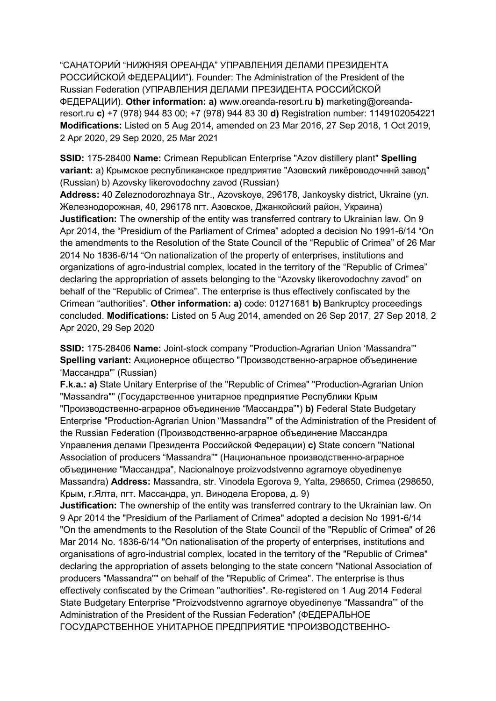"САНАТОРИЙ "НИЖНЯЯ ОРЕАНДА" УПРАВЛЕНИЯ ДЕЛАМИ ПРЕЗИДЕНТА РОССИЙСКОЙ ФЕДЕРАЦИИ"). Founder: The Administration of the President of the Russian Federation (УПРАВЛЕНИЯ ДЕЛАМИ ПРЕЗИДЕНТА РОССИЙСКОЙ ФЕДЕРАЦИИ). **Other information: a)** www.oreanda-resort.ru **b)** marketing@oreandaresort.ru **c)** +7 (978) 944 83 00; +7 (978) 944 83 30 **d)** Registration number: 1149102054221 **Modifications:** Listed on 5 Aug 2014, amended on 23 Mar 2016, 27 Sep 2018, 1 Oct 2019, 2 Apr 2020, 29 Sep 2020, 25 Mar 2021

**SSID:** 175-28400 **Name:** Crimean Republican Enterprise "Azov distillery plant" **Spelling variant:** a) Крымское республиканское предприятие "Азовский ликёроводочннй завод" (Russian) b) Azovsky likerovodochny zavod (Russian)

**Address:** 40 Zeleznodorozhnaya Str., Azovskoye, 296178, Jankoysky district, Ukraine (ул. Железнодорожная, 40, 296178 пгт. Азовское, Джанкойский район, Украина) **Justification:** The ownership of the entity was transferred contrary to Ukrainian law. On 9 Apr 2014, the "Presidium of the Parliament of Crimea" adopted a decision No 1991-6/14 "On the amendments to the Resolution of the State Council of the "Republic of Crimea" of 26 Mar 2014 No 1836-6/14 "On nationalization of the property of enterprises, institutions and organizations of agro-industrial complex, located in the territory of the "Republic of Crimea" declaring the appropriation of assets belonging to the "Azovsky likerovodochny zavod" on behalf of the "Republic of Crimea". The enterprise is thus effectively confiscated by the Crimean "authorities". **Other information: a)** code: 01271681 **b)** Bankruptcy proceedings concluded. **Modifications:** Listed on 5 Aug 2014, amended on 26 Sep 2017, 27 Sep 2018, 2 Apr 2020, 29 Sep 2020

**SSID:** 175-28406 **Name:** Joint-stock company "Production-Agrarian Union 'Massandra'" **Spelling variant:** Aкционерное общество "Производственно-аграрное объединение 'Массандра"' (Russian)

**F.k.a.: a)** State Unitary Enterprise of the "Republic of Crimea" "Production-Agrarian Union "Massandra"" (Государственное унитарное предприятие Республики Крым "Производственно-аграрное объединение "Массандра"") **b)** Federal State Budgetary Enterprise "Production-Agrarian Union "Massandra"" of the Administration of the President of the Russian Federation (Производственно-аграрное объединение Массандра Управления делами Президента Российской Федерации) **c)** State concern "National Association of producers "Massandra"" (Национальное производственно-аграрное объединение "Массандра", Nacionalnoye proizvodstvenno agrarnoye obyedinenye Massandra) **Address:** Massandra, str. Vinodela Egorova 9, Yalta, 298650, Crimea (298650, Крым, г.Ялта, пгт. Массандра, ул. Винодела Егорова, д. 9)

**Justification:** The ownership of the entity was transferred contrary to the Ukrainian law. On 9 Apr 2014 the "Presidium of the Parliament of Crimea" adopted a decision No 1991-6/14 "On the amendments to the Resolution of the State Council of the "Republic of Crimea" of 26 Mar 2014 No. 1836-6/14 "On nationalisation of the property of enterprises, institutions and organisations of agro-industrial complex, located in the territory of the "Republic of Crimea" declaring the appropriation of assets belonging to the state concern "National Association of producers "Massandra"" on behalf of the "Republic of Crimea". The enterprise is thus effectively confiscated by the Crimean "authorities". Re-registered on 1 Aug 2014 Federal State Budgetary Enterprise "Proizvodstvenno agrarnoye obyedinenye "Massandra"' of the Administration of the President of the Russian Federation" (ФЕДЕРАЛЬНОЕ ГОСУДАРСТВЕННОЕ УНИТАРНОЕ ПРЕДПРИЯТИЕ "ПРОИЗВОДСТВЕННО-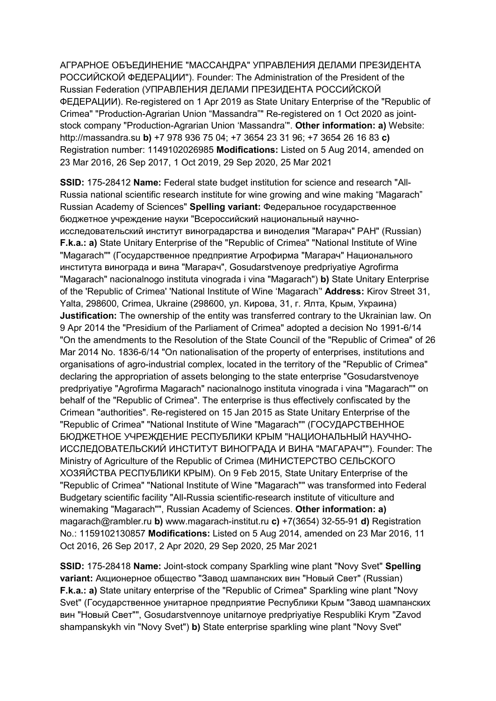АГРАРНОЕ ОБЪЕДИНЕНИЕ "МАССАНДРА" УПРАВЛЕНИЯ ДЕЛАМИ ПРЕЗИДЕНТА РОССИЙСКОЙ ФЕДЕРАЦИИ"). Founder: The Administration of the President of the Russian Federation (УПРАВЛЕНИЯ ДЕЛАМИ ПРЕЗИДЕНТА РОССИЙСКОЙ ФЕДЕРАЦИИ). Re-registered on 1 Apr 2019 as State Unitary Enterprise of the "Republic of Crimea" "Production-Agrarian Union "Massandra"" Re-registered on 1 Oct 2020 as jointstock company "Production-Agrarian Union 'Massandra'". **Other information: a)** Website: http://massandra.su **b)** +7 978 936 75 04; +7 3654 23 31 96; +7 3654 26 16 83 **c)**  Registration number: 1149102026985 **Modifications:** Listed on 5 Aug 2014, amended on 23 Mar 2016, 26 Sep 2017, 1 Oct 2019, 29 Sep 2020, 25 Mar 2021

**SSID:** 175-28412 **Name:** Federal state budget institution for science and research "All-Russia national scientific research institute for wine growing and wine making "Magarach" Russian Academy of Sciences" **Spelling variant:** Федеральное государственное бюджетное учреждение науки "Всероссийский национальный научноисследовательский институт виноградарства и виноделия "Магарач" РАН" (Russian) **F.k.a.: a)** State Unitary Enterprise of the "Republic of Crimea" "National Institute of Wine "Magarach"" (Государственное предприятие Агрофирма "Магарач" Национального института винограда и вина "Магарач", Gosudarstvenoye predpriyatiye Agrofirma "Magarach" nacionalnogo instituta vinograda i vina "Magarach") **b)** State Unitary Enterprise of the 'Republic of Crimea' 'National Institute of Wine 'Magarach'' **Address:** Kirov Street 31, Yalta, 298600, Crimea, Ukraine (298600, ул. Кирова, 31, г. Ялта, Крым, Украина) **Justification:** The ownership of the entity was transferred contrary to the Ukrainian law. On 9 Apr 2014 the "Presidium of the Parliament of Crimea" adopted a decision No 1991-6/14 "On the amendments to the Resolution of the State Council of the "Republic of Crimea" of 26 Mar 2014 No. 1836-6/14 "On nationalisation of the property of enterprises, institutions and organisations of agro-industrial complex, located in the territory of the "Republic of Crimea" declaring the appropriation of assets belonging to the state enterprise "Gosudarstvenoye predpriyatiye "Agrofirma Magarach" nacionalnogo instituta vinograda i vina "Magarach"" on behalf of the "Republic of Crimea". The enterprise is thus effectively confiscated by the Crimean "authorities". Re-registered on 15 Jan 2015 as State Unitary Enterprise of the "Republic of Crimea" "National Institute of Wine "Magarach"" (ГОСУДАРСТВЕННОЕ БЮДЖЕТНОЕ УЧРЕЖДЕНИЕ РЕСПУБЛИКИ КРЫМ "НАЦИОНАЛЬНЫЙ НАУЧНО-ИССЛЕДОВАТЕЛЬСКИЙ ИНСТИТУТ ВИНОГРАДА И ВИНА "МАГАРАЧ""). Founder: The Ministry of Agriculture of the Republic of Crimea (МИНИСТЕРСТВО СЕЛЬСКОГО ХОЗЯЙСТВА РЕСПУБЛИКИ КРЫМ). On 9 Feb 2015, State Unitary Enterprise of the "Republic of Crimea" "National Institute of Wine "Magarach"" was transformed into Federal Budgetary scientific facility "All-Russia scientific-research institute of viticulture and winemaking "Magarach"", Russian Academy of Sciences. **Other information: a)**  magarach@rambler.ru **b)** www.magarach-institut.ru **c)** +7(3654) 32-55-91 **d)** Registration No.: 1159102130857 **Modifications:** Listed on 5 Aug 2014, amended on 23 Mar 2016, 11 Oct 2016, 26 Sep 2017, 2 Apr 2020, 29 Sep 2020, 25 Mar 2021

**SSID:** 175-28418 **Name:** Joint-stock company Sparkling wine plant "Novy Svet" **Spelling variant:** Aкционерное общество "Завод шампанских вин "Новый Свет" (Russian) **F.k.a.: a)** State unitary enterprise of the "Republic of Crimea" Sparkling wine plant "Novy Svet" (Государственное унитарное предприятие Республики Крым "Завод шампанских вин "Новый Свет"", Gosudarstvennoye unitarnoye predpriyatiye Respubliki Krym "Zavod shampanskykh vin "Novy Svet") **b)** State enterprise sparkling wine plant "Novy Svet"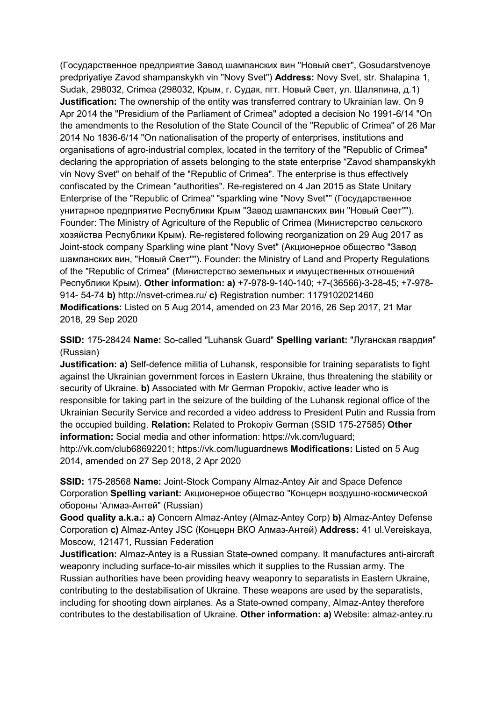(Государственное предприятие Завод шампанских вин "Новый свет", Gosudarstvenoye predpriyatiye Zavod shampanskykh vin "Novy Svet") **Address:** Novy Svet, str. Shalapina 1, Sudak, 298032, Crimea (298032, Крым, г. Судак, пгт. Новый Свет, ул. Шаляпина, д.1) **Justification:** The ownership of the entity was transferred contrary to Ukrainian law. On 9 Apr 2014 the "Presidium of the Parliament of Crimea" adopted a decision No 1991-6/14 "On the amendments to the Resolution of the State Council of the "Republic of Crimea" of 26 Mar 2014 No 1836-6/14 "On nationalisation of the property of enterprises, institutions and organisations of agro-industrial complex, located in the territory of the "Republic of Crimea" declaring the appropriation of assets belonging to the state enterprise "Zavod shampanskykh vin Novy Svet" on behalf of the "Republic of Crimea". The enterprise is thus effectively confiscated by the Crimean "authorities". Re-registered on 4 Jan 2015 as State Unitary Enterprise of the "Republic of Crimea" "sparkling wine "Novy Svet"" (Государственное унитарное предприятие Республики Крым "Завод шампанских вин "Новый Свет""). Founder: The Ministry of Agriculture of the Republic of Crimea (Министерство сельского хозяйства Республики Крым). Re-registered following reorganization on 29 Aug 2017 as Joint-stock company Sparkling wine plant "Novy Svet" (Aкционерное общество "Завод шампанских вин, "Новый Свет""). Founder: the Ministry of Land and Property Regulations of the "Republic of Crimea" (Министерство земельных и имущественных отношений Республики Крым). **Other information: a)** +7-978-9-140-140; +7-(36566)-3-28-45; +7-978- 914- 54-74 **b)** http://nsvet-crimea.ru/ **c)** Registration number: 1179102021460 **Modifications:** Listed on 5 Aug 2014, amended on 23 Mar 2016, 26 Sep 2017, 21 Mar 2018, 29 Sep 2020

**SSID:** 175-28424 **Name:** So-called "Luhansk Guard" **Spelling variant:** "Луганская гвардия" (Russian)

**Justification: a)** Self-defence militia of Luhansk, responsible for training separatists to fight against the Ukrainian government forces in Eastern Ukraine, thus threatening the stability or security of Ukraine. **b)** Associated with Mr German Propokiv, active leader who is responsible for taking part in the seizure of the building of the Luhansk regional office of the Ukrainian Security Service and recorded a video address to President Putin and Russia from the occupied building. **Relation:** Related to Prokopiv German (SSID 175-27585) **Other information:** Social media and other information: https://vk.com/luguard; http://vk.com/club68692201; https://vk.com/luguardnews **Modifications:** Listed on 5 Aug 2014, amended on 27 Sep 2018, 2 Apr 2020

**SSID:** 175-28568 **Name:** Joint-Stock Company Almaz-Antey Air and Space Defence Corporation **Spelling variant:** Акционерное общество "Концерн воздушно-космической обороны 'Алмаз-Антей" (Russian)

**Good quality a.k.a.: a)** Concern Almaz-Antey (Almaz-Antey Corp) **b)** Almaz-Antey Defense Corporation **c)** Almaz-Antey JSC (Концерн ВКО Алмаз-Антей) **Address:** 41 ul.Vereiskaya, Moscow, 121471, Russian Federation

**Justification:** Almaz-Antey is a Russian State-owned company. It manufactures anti-aircraft weaponry including surface-to-air missiles which it supplies to the Russian army. The Russian authorities have been providing heavy weaponry to separatists in Eastern Ukraine, contributing to the destabilisation of Ukraine. These weapons are used by the separatists, including for shooting down airplanes. As a State-owned company, Almaz-Antey therefore contributes to the destabilisation of Ukraine. **Other information: a)** Website: almaz-antey.ru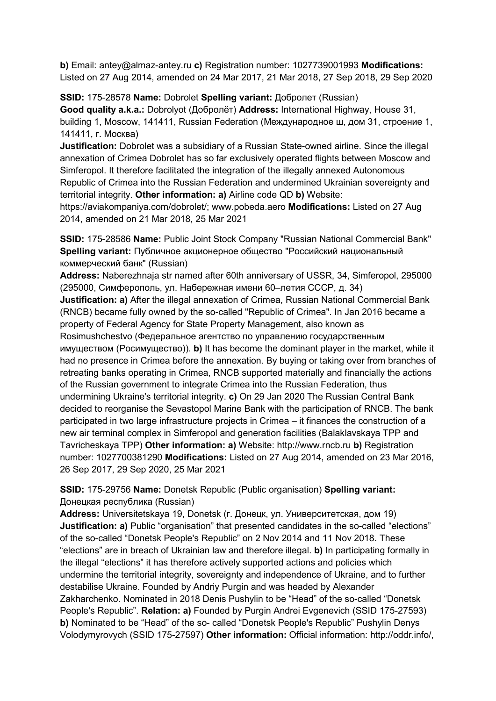**b)** Email: antey@almaz-antey.ru **c)** Registration number: 1027739001993 **Modifications:**  Listed on 27 Aug 2014, amended on 24 Mar 2017, 21 Mar 2018, 27 Sep 2018, 29 Sep 2020

**SSID:** 175-28578 **Name:** Dobrolet **Spelling variant:** Добролет (Russian) **Good quality a.k.a.:** Dobrolyot (Добролёт) **Address:** International Highway, House 31, building 1, Moscow, 141411, Russian Federation (Международное ш, дом 31, строение 1, 141411, г. Москва)

**Justification:** Dobrolet was a subsidiary of a Russian State-owned airline. Since the illegal annexation of Crimea Dobrolet has so far exclusively operated flights between Moscow and Simferopol. It therefore facilitated the integration of the illegally annexed Autonomous Republic of Crimea into the Russian Federation and undermined Ukrainian sovereignty and territorial integrity. **Other information: a)** Airline code QD **b)** Website:

https://aviakompaniya.com/dobrolet/; www.pobeda.aero **Modifications:** Listed on 27 Aug 2014, amended on 21 Mar 2018, 25 Mar 2021

**SSID:** 175-28586 **Name:** Public Joint Stock Company "Russian National Commercial Bank" **Spelling variant:** Публичное акционерное общество "Российский национальный коммерческий банк" (Russian)

**Address:** Naberezhnaja str named after 60th anniversary of USSR, 34, Simferopol, 295000 (295000, Симферополь, ул. Набережная имени 60–летия СССР, д. 34) **Justification: a)** After the illegal annexation of Crimea, Russian National Commercial Bank (RNCB) became fully owned by the so-called "Republic of Crimea". In Jan 2016 became a property of Federal Agency for State Property Management, also known as Rosimushchestvo (Федеральное агентство по управлению государственным имуществом (Росимущество)). **b)** It has become the dominant player in the market, while it had no presence in Crimea before the annexation. By buying or taking over from branches of retreating banks operating in Crimea, RNCB supported materially and financially the actions of the Russian government to integrate Crimea into the Russian Federation, thus undermining Ukraine's territorial integrity. **c)** On 29 Jan 2020 The Russian Central Bank decided to reorganise the Sevastopol Marine Bank with the participation of RNCB. The bank participated in two large infrastructure projects in Crimea – it finances the construction of a new air terminal complex in Simferopol and generation facilities (Balaklavskaya TPP and Tavricheskaya TPP) **Other information: a)** Website: http://www.rncb.ru **b)** Registration number: 1027700381290 **Modifications:** Listed on 27 Aug 2014, amended on 23 Mar 2016, 26 Sep 2017, 29 Sep 2020, 25 Mar 2021

**SSID:** 175-29756 **Name:** Donetsk Republic (Public organisation) **Spelling variant:**  Донецкая республика (Russian)

**Address:** Universitetskaya 19, Donetsk (г. Донецк, ул. Университетская, дом 19) **Justification: a)** Public "organisation" that presented candidates in the so-called "elections" of the so-called "Donetsk People's Republic" on 2 Nov 2014 and 11 Nov 2018. These "elections" are in breach of Ukrainian law and therefore illegal. **b)** In participating formally in the illegal "elections" it has therefore actively supported actions and policies which undermine the territorial integrity, sovereignty and independence of Ukraine, and to further destabilise Ukraine. Founded by Andriy Purgin and was headed by Alexander Zakharchenko. Nominated in 2018 Denis Pushylin to be "Head" of the so-called "Donetsk People's Republic". **Relation: a)** Founded by Purgin Andrei Evgenevich (SSID 175-27593) **b)** Nominated to be "Head" of the so- called "Donetsk People's Republic" Pushylin Denys Volodymyrovych (SSID 175-27597) **Other information:** Official information: http://oddr.info/,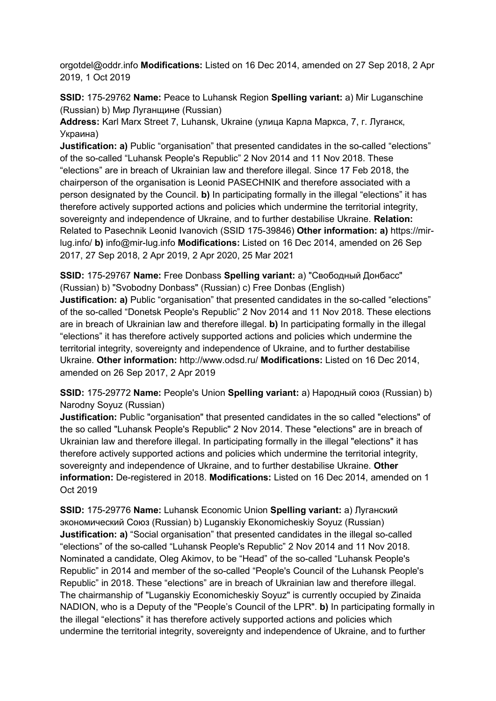orgotdel@oddr.info **Modifications:** Listed on 16 Dec 2014, amended on 27 Sep 2018, 2 Apr 2019, 1 Oct 2019

**SSID:** 175-29762 **Name:** Peace to Luhansk Region **Spelling variant:** a) Mir Luganschine (Russian) b) Мир Луганщине (Russian)

**Address:** Karl Marx Street 7, Luhansk, Ukraine (улица Карла Маркса, 7, г. Луганск, Украина)

**Justification: a)** Public "organisation" that presented candidates in the so-called "elections" of the so-called "Luhansk People's Republic" 2 Nov 2014 and 11 Nov 2018. These "elections" are in breach of Ukrainian law and therefore illegal. Since 17 Feb 2018, the chairperson of the organisation is Leonid PASECHNIK and therefore associated with a person designated by the Council. **b)** In participating formally in the illegal "elections" it has therefore actively supported actions and policies which undermine the territorial integrity, sovereignty and independence of Ukraine, and to further destabilise Ukraine. **Relation:** Related to Pasechnik Leonid Ivanovich (SSID 175-39846) **Other information: a)** https://mirlug.info/ **b)** info@mir-lug.info **Modifications:** Listed on 16 Dec 2014, amended on 26 Sep 2017, 27 Sep 2018, 2 Apr 2019, 2 Apr 2020, 25 Mar 2021

**SSID:** 175-29767 **Name:** Free Donbass **Spelling variant:** a) "Свободный Донбасс" (Russian) b) "Svobodny Donbass" (Russian) c) Free Donbas (English)

**Justification: a)** Public "organisation" that presented candidates in the so-called "elections" of the so-called "Donetsk People's Republic" 2 Nov 2014 and 11 Nov 2018. These elections are in breach of Ukrainian law and therefore illegal. **b)** In participating formally in the illegal "elections" it has therefore actively supported actions and policies which undermine the territorial integrity, sovereignty and independence of Ukraine, and to further destabilise Ukraine. **Other information:** http://www.odsd.ru/ **Modifications:** Listed on 16 Dec 2014, amended on 26 Sep 2017, 2 Apr 2019

**SSID:** 175-29772 **Name:** People's Union **Spelling variant:** a) Народный союз (Russian) b) Narodny Soyuz (Russian)

**Justification:** Public "organisation" that presented candidates in the so called "elections" of the so called "Luhansk People's Republic" 2 Nov 2014. These "elections" are in breach of Ukrainian law and therefore illegal. In participating formally in the illegal "elections" it has therefore actively supported actions and policies which undermine the territorial integrity, sovereignty and independence of Ukraine, and to further destabilise Ukraine. **Other information:** De-registered in 2018. **Modifications:** Listed on 16 Dec 2014, amended on 1 Oct 2019

**SSID:** 175-29776 **Name:** Luhansk Economic Union **Spelling variant:** a) Луганский экономический Союз (Russian) b) Luganskiy Ekonomicheskiy Soyuz (Russian) **Justification: a)** "Social organisation" that presented candidates in the illegal so-called "elections" of the so-called "Luhansk People's Republic" 2 Nov 2014 and 11 Nov 2018. Nominated a candidate, Oleg Akimov, to be "Head" of the so-called "Luhansk People's Republic" in 2014 and member of the so-called "People's Council of the Luhansk People's Republic" in 2018. These "elections" are in breach of Ukrainian law and therefore illegal. The chairmanship of "Luganskiy Economicheskiy Soyuz" is currently occupied by Zinaida NADION, who is a Deputy of the "People's Council of the LPR". **b)** In participating formally in the illegal "elections" it has therefore actively supported actions and policies which undermine the territorial integrity, sovereignty and independence of Ukraine, and to further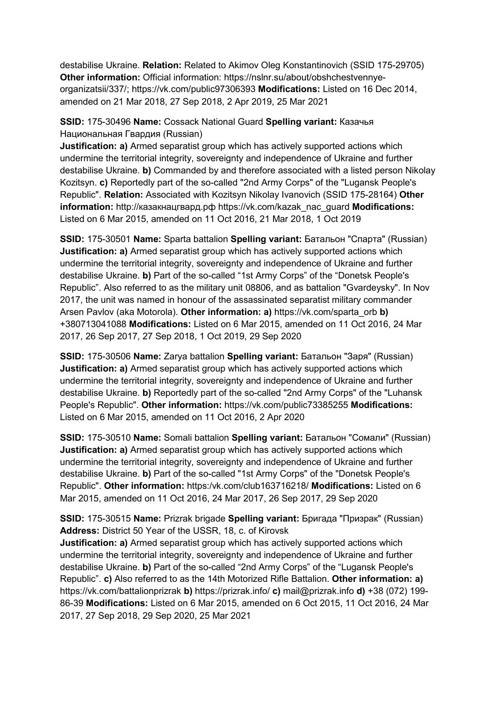destabilise Ukraine. **Relation:** Related to Akimov Oleg Konstantinovich (SSID 175-29705) **Other information:** Official information: https://nslnr.su/about/obshchestvennyeorganizatsii/337/; https://vk.com/public97306393 **Modifications:** Listed on 16 Dec 2014, amended on 21 Mar 2018, 27 Sep 2018, 2 Apr 2019, 25 Mar 2021

## **SSID:** 175-30496 **Name:** Cossack National Guard **Spelling variant:** Казачья Национальная Гвардия (Russian)

**Justification: a)** Armed separatist group which has actively supported actions which undermine the territorial integrity, sovereignty and independence of Ukraine and further destabilise Ukraine. **b)** Commanded by and therefore associated with a listed person Nikolay Kozitsyn. **c)** Reportedly part of the so-called "2nd Army Corps" of the "Lugansk People's Republic". **Relation:** Associated with Kozitsyn Nikolay Ivanovich (SSID 175-28164) **Other information:** http://казакнацгвард.рф https://vk.com/kazak\_nac\_guard **Modifications:**  Listed on 6 Mar 2015, amended on 11 Oct 2016, 21 Mar 2018, 1 Oct 2019

**SSID:** 175-30501 **Name:** Sparta battalion **Spelling variant:** Батальон "Спарта" (Russian) **Justification: a)** Armed separatist group which has actively supported actions which undermine the territorial integrity, sovereignty and independence of Ukraine and further destabilise Ukraine. **b)** Part of the so-called "1st Army Corps" of the "Donetsk People's Republic". Also referred to as the military unit 08806, and as battalion "Gvardeysky". In Nov 2017, the unit was named in honour of the assassinated separatist military commander Arsen Pavlov (aka Motorola). **Other information: a)** https://vk.com/sparta\_orb **b)**  +380713041088 **Modifications:** Listed on 6 Mar 2015, amended on 11 Oct 2016, 24 Mar 2017, 26 Sep 2017, 27 Sep 2018, 1 Oct 2019, 29 Sep 2020

**SSID:** 175-30506 **Name:** Zarya battalion **Spelling variant:** Батальон "Заря" (Russian) **Justification: a)** Armed separatist group which has actively supported actions which undermine the territorial integrity, sovereignty and independence of Ukraine and further destabilise Ukraine. **b)** Reportedly part of the so-called "2nd Army Corps" of the "Luhansk People's Republic". **Other information:** https://vk.com/public73385255 **Modifications:**  Listed on 6 Mar 2015, amended on 11 Oct 2016, 2 Apr 2020

**SSID:** 175-30510 **Name:** Somali battalion **Spelling variant:** Батальон "Сомали" (Russian) **Justification: a)** Armed separatist group which has actively supported actions which undermine the territorial integrity, sovereignty and independence of Ukraine and further destabilise Ukraine. **b)** Part of the so-called "1st Army Corps" of the "Donetsk People's Republic". **Other information:** https:/vk.com/club163716218/ **Modifications:** Listed on 6 Mar 2015, amended on 11 Oct 2016, 24 Mar 2017, 26 Sep 2017, 29 Sep 2020

**SSID:** 175-30515 **Name:** Prizrak brigade **Spelling variant:** Бригада "Призрак" (Russian) **Address:** District 50 Year of the USSR, 18, c. of Kirovsk

**Justification: a)** Armed separatist group which has actively supported actions which undermine the territorial integrity, sovereignty and independence of Ukraine and further destabilise Ukraine. **b)** Part of the so-called "2nd Army Corps" of the "Lugansk People's Republic". **c)** Also referred to as the 14th Motorized Rifle Battalion. **Other information: a)**  https://vk.com/battalionprizrak **b)** https://prizrak.info/ **c)** mail@prizrak.info **d)** +38 (072) 199- 86-39 **Modifications:** Listed on 6 Mar 2015, amended on 6 Oct 2015, 11 Oct 2016, 24 Mar 2017, 27 Sep 2018, 29 Sep 2020, 25 Mar 2021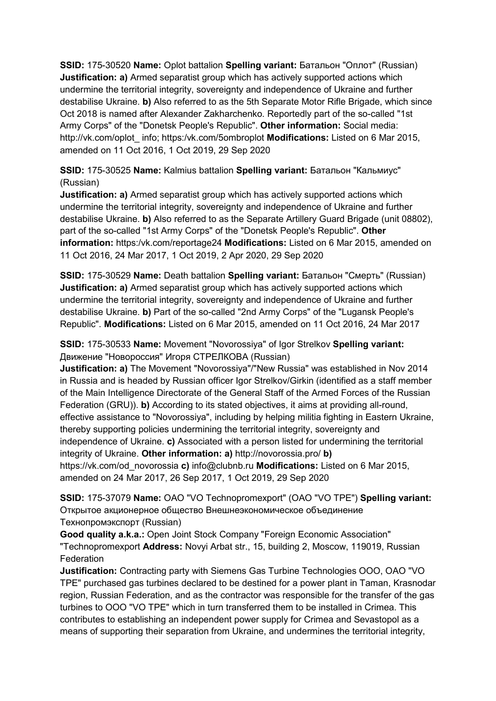**SSID:** 175-30520 **Name:** Oplot battalion **Spelling variant:** Батальон "Оплот" (Russian) **Justification: a)** Armed separatist group which has actively supported actions which undermine the territorial integrity, sovereignty and independence of Ukraine and further destabilise Ukraine. **b)** Also referred to as the 5th Separate Motor Rifle Brigade, which since Oct 2018 is named after Alexander Zakharchenko. Reportedly part of the so-called "1st Army Corps" of the "Donetsk People's Republic". **Other information:** Social media: http://vk.com/oplot\_ info; https:/vk.com/5ombroplot **Modifications:** Listed on 6 Mar 2015, amended on 11 Oct 2016, 1 Oct 2019, 29 Sep 2020

**SSID:** 175-30525 **Name:** Kalmius battalion **Spelling variant:** Батальон "Кальмиус" (Russian)

**Justification: a)** Armed separatist group which has actively supported actions which undermine the territorial integrity, sovereignty and independence of Ukraine and further destabilise Ukraine. **b)** Also referred to as the Separate Artillery Guard Brigade (unit 08802), part of the so-called "1st Army Corps" of the "Donetsk People's Republic". **Other information:** https:/vk.com/reportage24 **Modifications:** Listed on 6 Mar 2015, amended on 11 Oct 2016, 24 Mar 2017, 1 Oct 2019, 2 Apr 2020, 29 Sep 2020

**SSID:** 175-30529 **Name:** Death battalion **Spelling variant:** Батальон "Смерть" (Russian) **Justification: a)** Armed separatist group which has actively supported actions which undermine the territorial integrity, sovereignty and independence of Ukraine and further destabilise Ukraine. **b)** Part of the so-called "2nd Army Corps" of the "Lugansk People's Republic". **Modifications:** Listed on 6 Mar 2015, amended on 11 Oct 2016, 24 Mar 2017

**SSID:** 175-30533 **Name:** Movement "Novorossiya" of Igor Strelkov **Spelling variant:**  Движение "Новороссия" Игоря СТРЕЛКОВА (Russian)

**Justification: a)** The Movement "Novorossiya"/"New Russia" was established in Nov 2014 in Russia and is headed by Russian officer Igor Strelkov/Girkin (identified as a staff member of the Main Intelligence Directorate of the General Staff of the Armed Forces of the Russian Federation (GRU)). **b)** According to its stated objectives, it aims at providing all-round, effective assistance to "Novorossiya", including by helping militia fighting in Eastern Ukraine, thereby supporting policies undermining the territorial integrity, sovereignty and independence of Ukraine. **c)** Associated with a person listed for undermining the territorial integrity of Ukraine. **Other information: a)** http://novorossia.pro/ **b)**  https://vk.com/od\_novorossia **c)** info@clubnb.ru **Modifications:** Listed on 6 Mar 2015, amended on 24 Mar 2017, 26 Sep 2017, 1 Oct 2019, 29 Sep 2020

**SSID:** 175-37079 **Name:** OAO "VO Technopromexport" (OAO "VO TPE") **Spelling variant:**  Открытое акционерное общество Внешнеэкономическое объединение Технопромэкспорт (Russian)

**Good quality a.k.a.:** Open Joint Stock Company "Foreign Economic Association" "Technopromexport **Address:** Novyi Arbat str., 15, building 2, Moscow, 119019, Russian **Federation** 

**Justification:** Contracting party with Siemens Gas Turbine Technologies OOO, OAO "VO TPE" purchased gas turbines declared to be destined for a power plant in Taman, Krasnodar region, Russian Federation, and as the contractor was responsible for the transfer of the gas turbines to OOO "VO TPE" which in turn transferred them to be installed in Crimea. This contributes to establishing an independent power supply for Crimea and Sevastopol as a means of supporting their separation from Ukraine, and undermines the territorial integrity,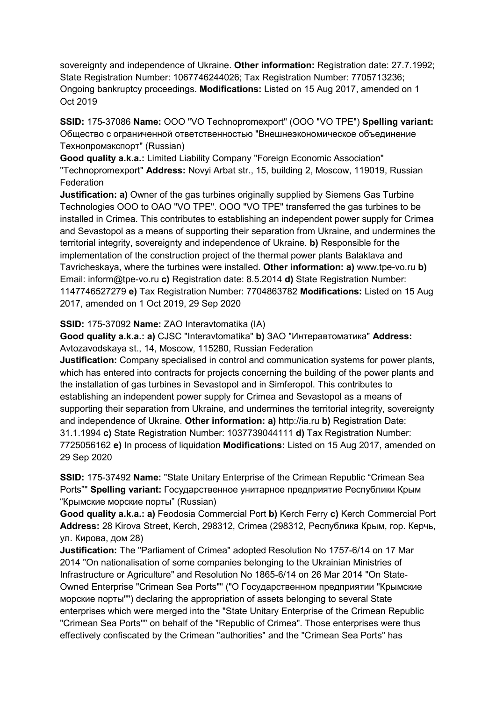sovereignty and independence of Ukraine. **Other information:** Registration date: 27.7.1992; State Registration Number: 1067746244026; Tax Registration Number: 7705713236; Ongoing bankruptcy proceedings. **Modifications:** Listed on 15 Aug 2017, amended on 1 Oct 2019

**SSID:** 175-37086 **Name:** OOO "VO Technopromexport" (OOO "VO TPE") **Spelling variant:**  Общество с ограниченной ответственностью "Внешнеэкономическое объединение Технопромэкспорт" (Russian)

**Good quality a.k.a.:** Limited Liability Company "Foreign Economic Association" "Technopromexport" **Address:** Novyi Arbat str., 15, building 2, Moscow, 119019, Russian Federation

**Justification: a)** Owner of the gas turbines originally supplied by Siemens Gas Turbine Technologies OOO to OAO "VO TPE". OOO "VO TPE" transferred the gas turbines to be installed in Crimea. This contributes to establishing an independent power supply for Crimea and Sevastopol as a means of supporting their separation from Ukraine, and undermines the territorial integrity, sovereignty and independence of Ukraine. **b)** Responsible for the implementation of the construction project of the thermal power plants Balaklava and Tavricheskaya, where the turbines were installed. **Other information: a)** www.tpe-vo.ru **b)**  Email: inform@tpe-vo.ru **c)** Registration date: 8.5.2014 **d)** State Registration Number: 1147746527279 **e)** Tax Registration Number: 7704863782 **Modifications:** Listed on 15 Aug 2017, amended on 1 Oct 2019, 29 Sep 2020

**SSID:** 175-37092 **Name:** ZAO Interavtomatika (IA)

**Good quality a.k.a.: a)** CJSC "Interavtomatika" **b)** ЗАО "Интеравтоматика" **Address:** Avtozavodskaya st., 14, Moscow, 115280, Russian Federation

**Justification:** Company specialised in control and communication systems for power plants, which has entered into contracts for projects concerning the building of the power plants and the installation of gas turbines in Sevastopol and in Simferopol. This contributes to establishing an independent power supply for Crimea and Sevastopol as a means of supporting their separation from Ukraine, and undermines the territorial integrity, sovereignty and independence of Ukraine. **Other information: a)** http://ia.ru **b)** Registration Date: 31.1.1994 **c)** State Registration Number: 1037739044111 **d)** Tax Registration Number: 7725056162 **e)** In process of liquidation **Modifications:** Listed on 15 Aug 2017, amended on 29 Sep 2020

**SSID:** 175-37492 **Name:** "State Unitary Enterprise of the Crimean Republic "Crimean Sea Ports"" **Spelling variant:** Государственное унитарное предприятие Республики Крым "Крымские морские порты" (Russian)

**Good quality a.k.a.: a)** Feodosia Commercial Port **b)** Kerch Ferry **c)** Kerch Commercial Port **Address:** 28 Kirova Street, Kerch, 298312, Crimea (298312, Республика Крым, гор. Керчь, ул. Кирова, дом 28)

**Justification:** The "Parliament of Crimea" adopted Resolution No 1757-6/14 on 17 Mar 2014 "On nationalisation of some companies belonging to the Ukrainian Ministries of Infrastructure or Agriculture" and Resolution No 1865-6/14 on 26 Mar 2014 "On State-Owned Enterprise "Crimean Sea Ports"" ("О Государственном предприятии "Крымские морские порты"") declaring the appropriation of assets belonging to several State enterprises which were merged into the "State Unitary Enterprise of the Crimean Republic "Crimean Sea Ports"" on behalf of the "Republic of Crimea". Those enterprises were thus effectively confiscated by the Crimean "authorities" and the "Crimean Sea Ports" has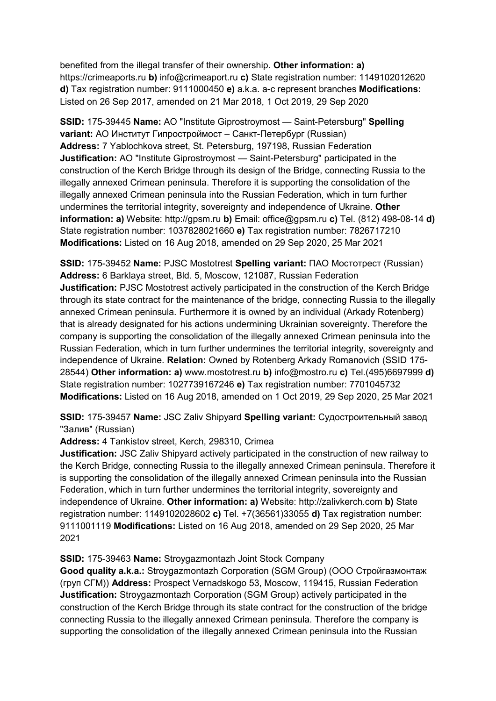benefited from the illegal transfer of their ownership. **Other information: a)**  https://crimeaports.ru **b)** info@crimeaport.ru **c)** State registration number: 1149102012620 **d)** Tax registration number: 9111000450 **e)** a.k.a. a-c represent branches **Modifications:**  Listed on 26 Sep 2017, amended on 21 Mar 2018, 1 Oct 2019, 29 Sep 2020

**SSID:** 175-39445 **Name:** AO "Institute Giprostroymost — Saint-Petersburg" **Spelling variant:** АО Институт Гипростроймост – Санкт-Петербург (Russian) **Address:** 7 Yablochkova street, St. Petersburg, 197198, Russian Federation **Justification:** AO "Institute Giprostroymost — Saint-Petersburg" participated in the construction of the Kerch Bridge through its design of the Bridge, connecting Russia to the illegally annexed Crimean peninsula. Therefore it is supporting the consolidation of the illegally annexed Crimean peninsula into the Russian Federation, which in turn further undermines the territorial integrity, sovereignty and independence of Ukraine. **Other information: a)** Website: http://gpsm.ru **b)** Email: office@gpsm.ru **c)** Tel. (812) 498-08-14 **d)**  State registration number: 1037828021660 **e)** Tax registration number: 7826717210 **Modifications:** Listed on 16 Aug 2018, amended on 29 Sep 2020, 25 Mar 2021

**SSID:** 175-39452 **Name:** PJSC Mostotrest **Spelling variant:** ПАО Мостотрест (Russian) **Address:** 6 Barklaya street, Bld. 5, Moscow, 121087, Russian Federation **Justification:** PJSC Mostotrest actively participated in the construction of the Kerch Bridge through its state contract for the maintenance of the bridge, connecting Russia to the illegally annexed Crimean peninsula. Furthermore it is owned by an individual (Arkady Rotenberg) that is already designated for his actions undermining Ukrainian sovereignty. Therefore the company is supporting the consolidation of the illegally annexed Crimean peninsula into the Russian Federation, which in turn further undermines the territorial integrity, sovereignty and independence of Ukraine. **Relation:** Owned by Rotenberg Arkady Romanovich (SSID 175- 28544) **Other information: a)** www.mostotrest.ru **b)** info@mostro.ru **c)** Tel.(495)6697999 **d)**  State registration number: 1027739167246 **e)** Tax registration number: 7701045732 **Modifications:** Listed on 16 Aug 2018, amended on 1 Oct 2019, 29 Sep 2020, 25 Mar 2021

**SSID:** 175-39457 **Name:** JSC Zaliv Shipyard **Spelling variant:** Судостроительный завод "Залив" (Russian)

**Address:** 4 Tankistov street, Kerch, 298310, Crimea

**Justification:** JSC Zaliv Shipyard actively participated in the construction of new railway to the Kerch Bridge, connecting Russia to the illegally annexed Crimean peninsula. Therefore it is supporting the consolidation of the illegally annexed Crimean peninsula into the Russian Federation, which in turn further undermines the territorial integrity, sovereignty and independence of Ukraine. **Other information: a)** Website: http://zalivkerch.com **b)** State registration number: 1149102028602 **c)** Tel. +7(36561)33055 **d)** Tax registration number: 9111001119 **Modifications:** Listed on 16 Aug 2018, amended on 29 Sep 2020, 25 Mar 2021

#### **SSID:** 175-39463 **Name:** Stroygazmontazh Joint Stock Company

**Good quality a.k.a.:** Stroygazmontazh Corporation (SGM Group) (ООО Стройгазмонтаж (груп СГМ)) **Address:** Prospect Vernadskogo 53, Moscow, 119415, Russian Federation **Justification:** Stroygazmontazh Corporation (SGM Group) actively participated in the construction of the Kerch Bridge through its state contract for the construction of the bridge connecting Russia to the illegally annexed Crimean peninsula. Therefore the company is supporting the consolidation of the illegally annexed Crimean peninsula into the Russian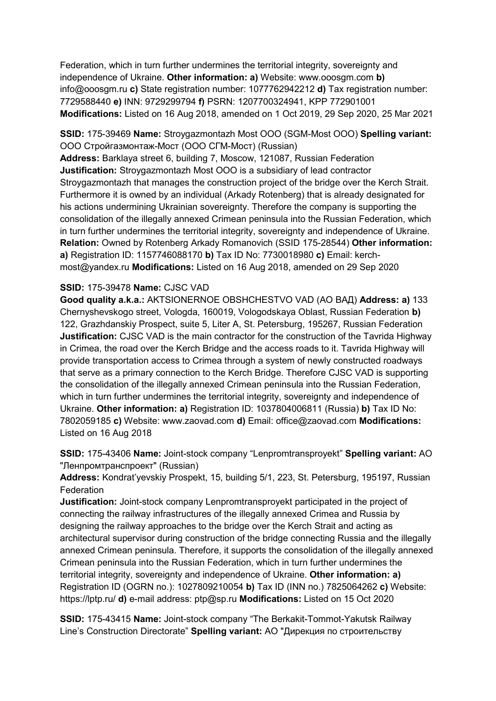Federation, which in turn further undermines the territorial integrity, sovereignty and independence of Ukraine. **Other information: a)** Website: www.ooosgm.com **b)**  info@ooosgm.ru **c)** State registration number: 1077762942212 **d)** Tax registration number: 7729588440 **e)** INN: 9729299794 **f)** PSRN: 1207700324941, KPP 772901001 **Modifications:** Listed on 16 Aug 2018, amended on 1 Oct 2019, 29 Sep 2020, 25 Mar 2021

**SSID:** 175-39469 **Name:** Stroygazmontazh Most OOO (SGM-Most OOO) **Spelling variant:**  OOO Стройгазмонтаж-Мост (ООО СГМ-Мост) (Russian)

**Address:** Barklaya street 6, building 7, Moscow, 121087, Russian Federation **Justification:** Stroygazmontazh Most OOO is a subsidiary of lead contractor Stroygazmontazh that manages the construction project of the bridge over the Kerch Strait. Furthermore it is owned by an individual (Arkady Rotenberg) that is already designated for his actions undermining Ukrainian sovereignty. Therefore the company is supporting the consolidation of the illegally annexed Crimean peninsula into the Russian Federation, which in turn further undermines the territorial integrity, sovereignty and independence of Ukraine. **Relation:** Owned by Rotenberg Arkady Romanovich (SSID 175-28544) **Other information: a)** Registration ID: 1157746088170 **b)** Tax ID No: 7730018980 **c)** Email: kerchmost@yandex.ru **Modifications:** Listed on 16 Aug 2018, amended on 29 Sep 2020

#### **SSID:** 175-39478 **Name:** CJSC VAD

**Good quality a.k.a.:** AKTSIONERNOE OBSHCHESTVO VAD (АО ВАД) **Address: a)** 133 Chernyshevskogo street, Vologda, 160019, Vologodskaya Oblast, Russian Federation **b)**  122, Grazhdanskiy Prospect, suite 5, Liter A, St. Petersburg, 195267, Russian Federation **Justification:** CJSC VAD is the main contractor for the construction of the Tavrida Highway in Crimea, the road over the Kerch Bridge and the access roads to it. Tavrida Highway will provide transportation access to Crimea through a system of newly constructed roadways that serve as a primary connection to the Kerch Bridge. Therefore CJSC VAD is supporting the consolidation of the illegally annexed Crimean peninsula into the Russian Federation, which in turn further undermines the territorial integrity, sovereignty and independence of Ukraine. **Other information: a)** Registration ID: 1037804006811 (Russia) **b)** Tax ID No: 7802059185 **c)** Website: www.zaovad.com **d)** Email: office@zaovad.com **Modifications:**  Listed on 16 Aug 2018

**SSID:** 175-43406 **Name:** Joint-stock company "Lenpromtransproyekt" **Spelling variant:** АО "Ленпромтранспроект" (Russian)

**Address:** Kondrat'yevskiy Prospekt, 15, building 5/1, 223, St. Petersburg, 195197, Russian **Federation** 

**Justification:** Joint-stock company Lenpromtransproyekt participated in the project of connecting the railway infrastructures of the illegally annexed Crimea and Russia by designing the railway approaches to the bridge over the Kerch Strait and acting as architectural supervisor during construction of the bridge connecting Russia and the illegally annexed Crimean peninsula. Therefore, it supports the consolidation of the illegally annexed Crimean peninsula into the Russian Federation, which in turn further undermines the territorial integrity, sovereignty and independence of Ukraine. **Other information: a)**  Registration ID (OGRN no.): 1027809210054 **b)** Tax ID (INN no.) 7825064262 **c)** Website: https://lptp.ru/ **d)** e-mail address: ptp@sp.ru **Modifications:** Listed on 15 Oct 2020

**SSID:** 175-43415 **Name:** Joint-stock company "The Berkakit-Tommot-Yakutsk Railway Line's Construction Directorate" **Spelling variant:** АО "Дирекция по строительству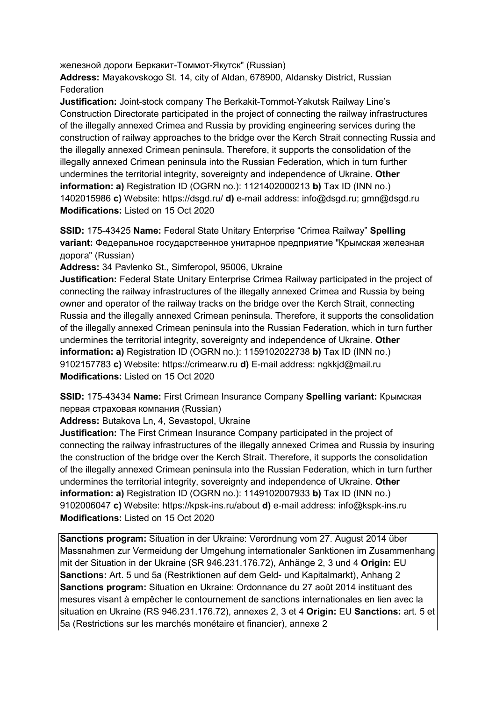железной дороги Беркакит-Томмот-Якутск" (Russian)

**Address:** Mayakovskogo St. 14, city of Aldan, 678900, Aldansky District, Russian **Federation** 

**Justification:** Joint-stock company The Berkakit-Tommot-Yakutsk Railway Line's Construction Directorate participated in the project of connecting the railway infrastructures of the illegally annexed Crimea and Russia by providing engineering services during the construction of railway approaches to the bridge over the Kerch Strait connecting Russia and the illegally annexed Crimean peninsula. Therefore, it supports the consolidation of the illegally annexed Crimean peninsula into the Russian Federation, which in turn further undermines the territorial integrity, sovereignty and independence of Ukraine. **Other information: a)** Registration ID (OGRN no.): 1121402000213 **b)** Tax ID (INN no.) 1402015986 **c)** Website: https://dsgd.ru/ **d)** e-mail address: info@dsgd.ru; gmn@dsgd.ru **Modifications:** Listed on 15 Oct 2020

**SSID:** 175-43425 **Name:** Federal State Unitary Enterprise "Crimea Railway" **Spelling variant:** Федеральное государственное унитарное предприятие "Крымская железная дорога" (Russian)

**Address:** 34 Pavlenko St., Simferopol, 95006, Ukraine

**Justification:** Federal State Unitary Enterprise Crimea Railway participated in the project of connecting the railway infrastructures of the illegally annexed Crimea and Russia by being owner and operator of the railway tracks on the bridge over the Kerch Strait, connecting Russia and the illegally annexed Crimean peninsula. Therefore, it supports the consolidation of the illegally annexed Crimean peninsula into the Russian Federation, which in turn further undermines the territorial integrity, sovereignty and independence of Ukraine. **Other information: a)** Registration ID (OGRN no.): 1159102022738 **b)** Tax ID (INN no.) 9102157783 **c)** Website: https://crimearw.ru **d)** E-mail address: ngkkjd@mail.ru **Modifications:** Listed on 15 Oct 2020

**SSID:** 175-43434 **Name:** First Crimean Insurance Company **Spelling variant:** Крымская первая страховая компания (Russian)

**Address:** Butakova Ln, 4, Sevastopol, Ukraine

**Justification:** The First Crimean Insurance Company participated in the project of connecting the railway infrastructures of the illegally annexed Crimea and Russia by insuring the construction of the bridge over the Kerch Strait. Therefore, it supports the consolidation of the illegally annexed Crimean peninsula into the Russian Federation, which in turn further undermines the territorial integrity, sovereignty and independence of Ukraine. **Other information: a)** Registration ID (OGRN no.): 1149102007933 **b)** Tax ID (INN no.) 9102006047 **c)** Website: https://kpsk-ins.ru/about **d)** e-mail address: info@kspk-ins.ru **Modifications:** Listed on 15 Oct 2020

**Sanctions program:** Situation in der Ukraine: Verordnung vom 27. August 2014 über Massnahmen zur Vermeidung der Umgehung internationaler Sanktionen im Zusammenhang mit der Situation in der Ukraine (SR 946.231.176.72), Anhänge 2, 3 und 4 **Origin:** EU **Sanctions:** Art. 5 und 5a (Restriktionen auf dem Geld- und Kapitalmarkt), Anhang 2 **Sanctions program:** Situation en Ukraine: Ordonnance du 27 août 2014 instituant des mesures visant à empêcher le contournement de sanctions internationales en lien avec la situation en Ukraine (RS 946.231.176.72), annexes 2, 3 et 4 **Origin:** EU **Sanctions:** art. 5 et 5a (Restrictions sur les marchés monétaire et financier), annexe 2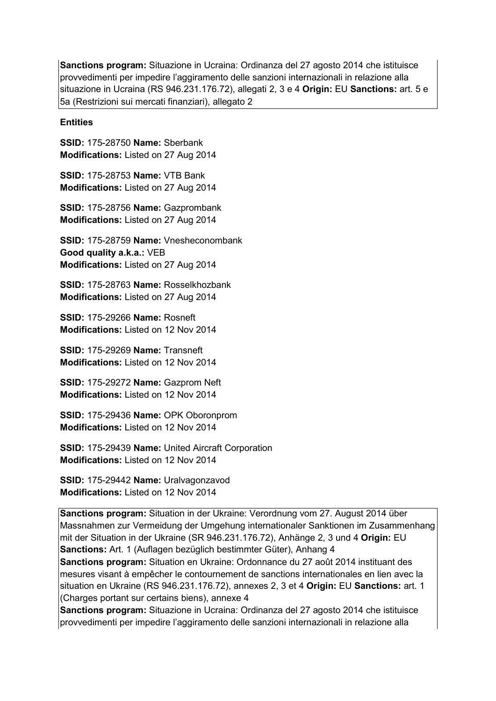**Sanctions program:** Situazione in Ucraina: Ordinanza del 27 agosto 2014 che istituisce provvedimenti per impedire l'aggiramento delle sanzioni internazionali in relazione alla situazione in Ucraina (RS 946.231.176.72), allegati 2, 3 e 4 **Origin:** EU **Sanctions:** art. 5 e 5a (Restrizioni sui mercati finanziari), allegato 2

**Entities**

**SSID:** 175-28750 **Name:** Sberbank **Modifications:** Listed on 27 Aug 2014

**SSID:** 175-28753 **Name:** VTB Bank **Modifications:** Listed on 27 Aug 2014

**SSID:** 175-28756 **Name:** Gazprombank **Modifications:** Listed on 27 Aug 2014

**SSID:** 175-28759 **Name:** Vnesheconombank **Good quality a.k.a.:** VEB **Modifications:** Listed on 27 Aug 2014

**SSID:** 175-28763 **Name:** Rosselkhozbank **Modifications:** Listed on 27 Aug 2014

**SSID:** 175-29266 **Name:** Rosneft **Modifications:** Listed on 12 Nov 2014

**SSID:** 175-29269 **Name:** Transneft **Modifications:** Listed on 12 Nov 2014

**SSID:** 175-29272 **Name:** Gazprom Neft **Modifications:** Listed on 12 Nov 2014

**SSID:** 175-29436 **Name:** OPK Oboronprom **Modifications:** Listed on 12 Nov 2014

**SSID:** 175-29439 **Name:** United Aircraft Corporation **Modifications:** Listed on 12 Nov 2014

**SSID:** 175-29442 **Name:** Uralvagonzavod **Modifications:** Listed on 12 Nov 2014

**Sanctions program:** Situation in der Ukraine: Verordnung vom 27. August 2014 über Massnahmen zur Vermeidung der Umgehung internationaler Sanktionen im Zusammenhang mit der Situation in der Ukraine (SR 946.231.176.72), Anhänge 2, 3 und 4 **Origin:** EU **Sanctions:** Art. 1 (Auflagen bezüglich bestimmter Güter), Anhang 4

**Sanctions program:** Situation en Ukraine: Ordonnance du 27 août 2014 instituant des mesures visant à empêcher le contournement de sanctions internationales en lien avec la situation en Ukraine (RS 946.231.176.72), annexes 2, 3 et 4 **Origin:** EU **Sanctions:** art. 1 (Charges portant sur certains biens), annexe 4

**Sanctions program:** Situazione in Ucraina: Ordinanza del 27 agosto 2014 che istituisce provvedimenti per impedire l'aggiramento delle sanzioni internazionali in relazione alla